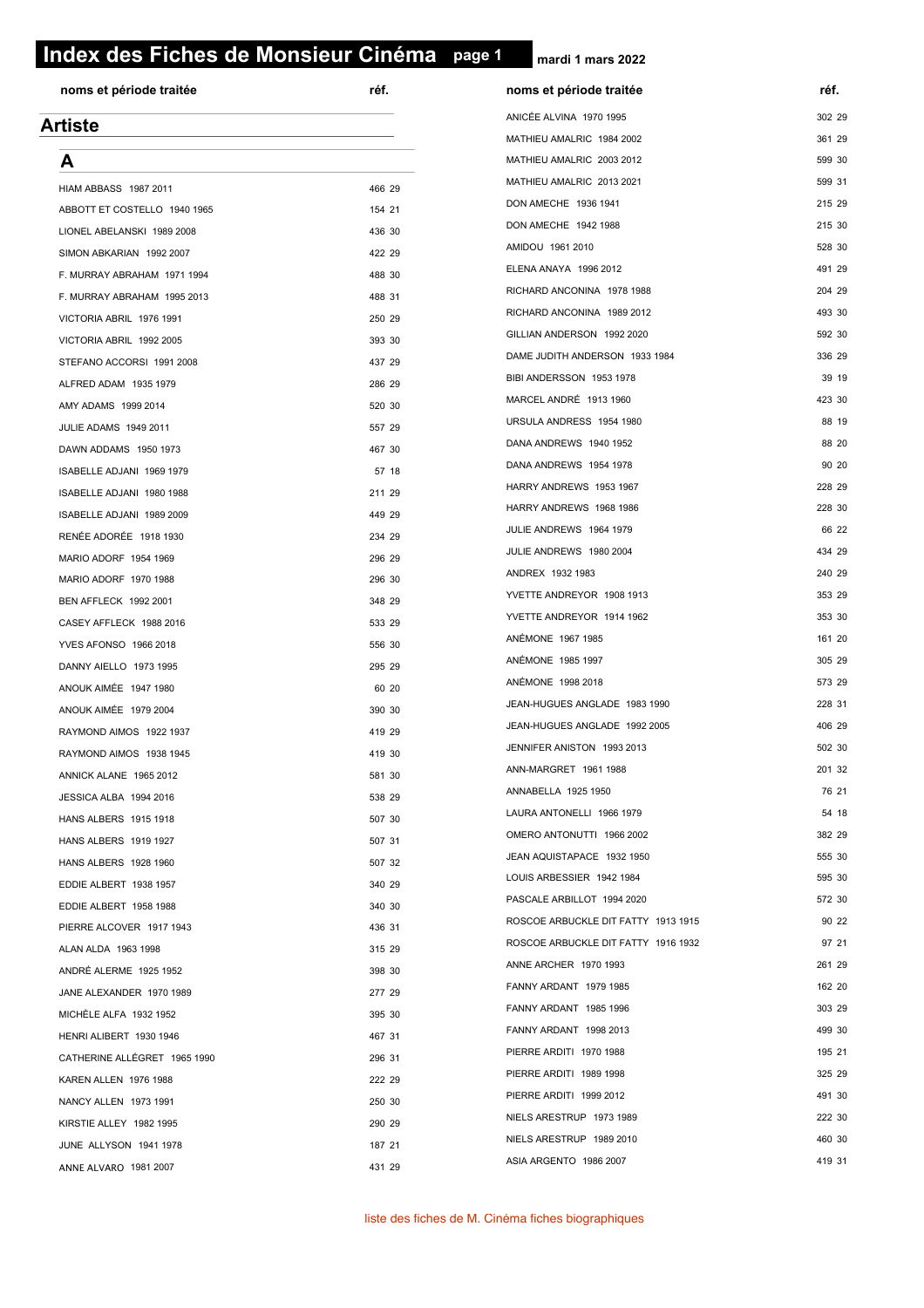# **page 1 Index des Fiches de Monsieur Cinéma page 1**

| noms et période traitée      | réf.   | noms et période traitée             | réf.   |
|------------------------------|--------|-------------------------------------|--------|
| <b>Artiste</b>               |        | ANICÉE ALVINA 1970 1995             | 302 29 |
|                              |        | MATHIEU AMALRIC 1984 2002           | 361 29 |
| A                            |        | MATHIEU AMALRIC 2003 2012           | 599 30 |
| <b>HIAM ABBASS 1987 2011</b> | 466 29 | MATHIEU AMALRIC 2013 2021           | 599 31 |
| ABBOTT ET COSTELLO 1940 1965 | 154 21 | DON AMECHE 1936 1941                | 215 29 |
| LIONEL ABELANSKI 1989 2008   | 436 30 | DON AMECHE 1942 1988                | 215 30 |
| SIMON ABKARIAN 1992 2007     | 422 29 | AMIDOU 1961 2010                    | 528 30 |
| F. MURRAY ABRAHAM 1971 1994  | 488 30 | ELENA ANAYA 1996 2012               | 491 29 |
| F. MURRAY ABRAHAM 1995 2013  | 488 31 | RICHARD ANCONINA 1978 1988          | 204 29 |
| VICTORIA ABRIL 1976 1991     | 250 29 | RICHARD ANCONINA 1989 2012          | 493 30 |
| VICTORIA ABRIL 1992 2005     | 393 30 | GILLIAN ANDERSON 1992 2020          | 592 30 |
| STEFANO ACCORSI 1991 2008    | 437 29 | DAME JUDITH ANDERSON 1933 1984      | 336 29 |
| ALFRED ADAM 1935 1979        | 286 29 | BIBI ANDERSSON 1953 1978            | 39 19  |
| AMY ADAMS 1999 2014          | 520 30 | MARCEL ANDRÉ 1913 1960              | 423 30 |
| JULIE ADAMS 1949 2011        | 557 29 | URSULA ANDRESS 1954 1980            | 88 19  |
| DAWN ADDAMS 1950 1973        | 467 30 | DANA ANDREWS 1940 1952              | 88 20  |
| ISABELLE ADJANI 1969 1979    | 57 18  | DANA ANDREWS 1954 1978              | 90 20  |
| ISABELLE ADJANI 1980 1988    | 211 29 | HARRY ANDREWS 1953 1967             | 228 29 |
| ISABELLE ADJANI 1989 2009    | 449 29 | HARRY ANDREWS 1968 1986             | 228 30 |
| RENÉE ADORÉE 1918 1930       | 234 29 | JULIE ANDREWS 1964 1979             | 66 22  |
| MARIO ADORF 1954 1969        | 296 29 | JULIE ANDREWS 1980 2004             | 434 29 |
| MARIO ADORF 1970 1988        | 296 30 | ANDREX 1932 1983                    | 240 29 |
| BEN AFFLECK 1992 2001        | 348 29 | YVETTE ANDREYOR 1908 1913           | 353 29 |
| CASEY AFFLECK 1988 2016      | 533 29 | YVETTE ANDREYOR 1914 1962           | 353 30 |
| YVES AFONSO 1966 2018        | 556 30 | ANÉMONE 1967 1985                   | 161 20 |
| DANNY AIELLO 1973 1995       | 295 29 | ANÉMONE 1985 1997                   | 305 29 |
| ANOUK AIMÉE 1947 1980        | 60 20  | ANÉMONE 1998 2018                   | 573 29 |
| ANOUK AIMÉE 1979 2004        | 390 30 | JEAN-HUGUES ANGLADE 1983 1990       | 228 31 |
| RAYMOND AIMOS 1922 1937      | 419 29 | JEAN-HUGUES ANGLADE 1992 2005       | 406 29 |
| RAYMOND AIMOS 1938 1945      | 419 30 | JENNIFER ANISTON 1993 2013          | 502 30 |
| ANNICK ALANE 1965 2012       | 581 30 | ANN-MARGRET 1961 1988               | 201 32 |
| JESSICA ALBA 1994 2016       | 538 29 | ANNABELLA 1925 1950                 | 76 21  |
| HANS ALBERS 1915 1918        | 507 30 | LAURA ANTONELLI 1966 1979           | 54 18  |
| HANS ALBERS 1919 1927        | 507 31 | OMERO ANTONUTTI 1966 2002           | 382 29 |
| HANS ALBERS 1928 1960        | 507 32 | JEAN AQUISTAPACE 1932 1950          | 555 30 |
| EDDIE ALBERT 1938 1957       | 340 29 | LOUIS ARBESSIER 1942 1984           | 595 30 |
| EDDIE ALBERT 1958 1988       | 340 30 | PASCALE ARBILLOT 1994 2020          | 572 30 |
| PIERRE ALCOVER 1917 1943     | 436 31 | ROSCOE ARBUCKLE DIT FATTY 1913 1915 | 90 22  |
| ALAN ALDA 1963 1998          | 315 29 | ROSCOE ARBUCKLE DIT FATTY 1916 1932 | 97 21  |
| ANDRÉ ALERME 1925 1952       | 398 30 | ANNE ARCHER 1970 1993               | 261 29 |
| JANE ALEXANDER 1970 1989     | 277 29 | FANNY ARDANT 1979 1985              | 162 20 |
| MICHELE ALFA 1932 1952       | 395 30 | FANNY ARDANT 1985 1996              | 303 29 |
| HENRI ALIBERT 1930 1946      | 467 31 | FANNY ARDANT 1998 2013              | 499 30 |
| CATHERINE ALLÉGRET 1965 1990 | 296 31 | PIERRE ARDITI 1970 1988             | 195 21 |
| KAREN ALLEN 1976 1988        | 222 29 | PIERRE ARDITI 1989 1998             | 325 29 |
| NANCY ALLEN 1973 1991        | 250 30 | PIERRE ARDITI 1999 2012             | 491 30 |
| KIRSTIE ALLEY 1982 1995      | 290 29 | NIELS ARESTRUP 1973 1989            | 222 30 |
| JUNE ALLYSON 1941 1978       | 187 21 | NIELS ARESTRUP 1989 2010            | 460 30 |
| ANNE ALVARO 1981 2007        | 431 29 | ASIA ARGENTO 1986 2007              | 419 31 |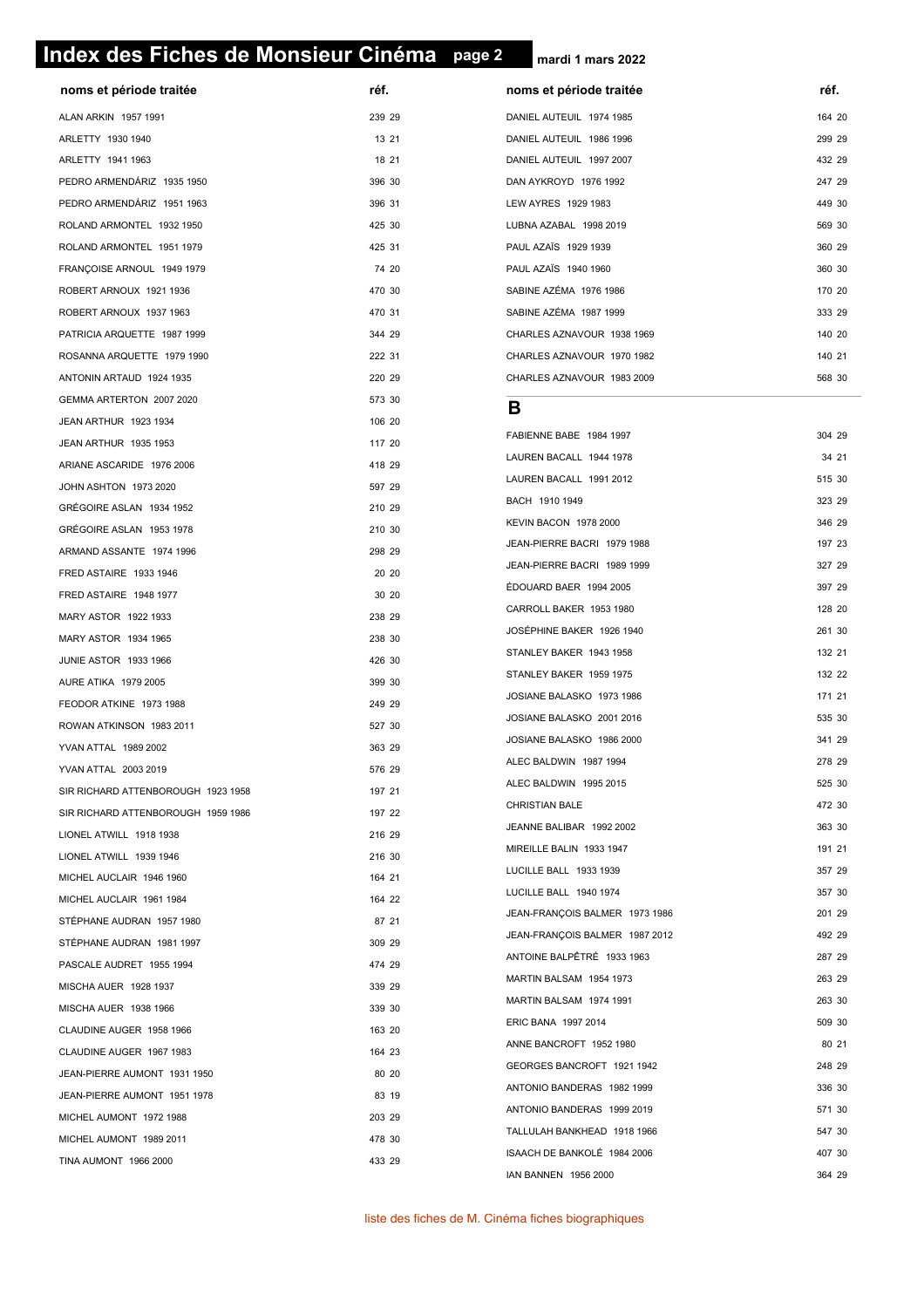#### **page 2 Index des Fiches de Monsieur Cinéma page 2**

| noms et période traitée            | réf.   | noms et période traitée        | réf. |
|------------------------------------|--------|--------------------------------|------|
| ALAN ARKIN 1957 1991               | 239 29 | DANIEL AUTEUIL 1974 1985       | 164  |
| ARLETTY 1930 1940                  | 13 21  | DANIEL AUTEUIL 1986 1996       | 299  |
| ARLETTY 1941 1963                  | 18 21  | DANIEL AUTEUIL 1997 2007       | 432  |
| PEDRO ARMENDÁRIZ 1935 1950         | 396 30 | DAN AYKROYD 1976 1992          | 247  |
| PEDRO ARMENDÁRIZ 1951 1963         | 396 31 | LEW AYRES 1929 1983            | 449  |
| ROLAND ARMONTEL 1932 1950          | 425 30 | LUBNA AZABAL 1998 2019         | 569  |
| ROLAND ARMONTEL 1951 1979          | 425 31 | PAUL AZAÏS 1929 1939           | 360  |
| FRANÇOISE ARNOUL 1949 1979         | 74 20  | PAUL AZAÏS 1940 1960           | 360  |
| ROBERT ARNOUX 1921 1936            | 470 30 | SABINE AZÉMA 1976 1986         | 170  |
| ROBERT ARNOUX 1937 1963            | 470 31 | SABINE AZÉMA 1987 1999         | 333  |
| PATRICIA ARQUETTE 1987 1999        | 344 29 | CHARLES AZNAVOUR 1938 1969     | 140: |
| ROSANNA ARQUETTE 1979 1990         | 222 31 | CHARLES AZNAVOUR 1970 1982     | 140: |
| ANTONIN ARTAUD 1924 1935           | 220 29 | CHARLES AZNAVOUR 1983 2009     | 568  |
| GEMMA ARTERTON 2007 2020           | 573 30 | В                              |      |
| JEAN ARTHUR 1923 1934              | 106 20 |                                |      |
| JEAN ARTHUR 1935 1953              | 117 20 | FABIENNE BABE 1984 1997        | 304  |
| ARIANE ASCARIDE 1976 2006          | 418 29 | LAUREN BACALL 1944 1978        | 34   |
| JOHN ASHTON 1973 2020              | 597 29 | LAUREN BACALL 1991 2012        | 515  |
| GRÉGOIRE ASLAN 1934 1952           | 210 29 | BACH 1910 1949                 | 323  |
| GRÉGOIRE ASLAN 1953 1978           | 210 30 | KEVIN BACON 1978 2000          | 346  |
| ARMAND ASSANTE 1974 1996           | 298 29 | JEAN-PIERRE BACRI 1979 1988    | 197  |
| FRED ASTAIRE 1933 1946             | 20 20  | JEAN-PIERRE BACRI 1989 1999    | 327  |
| FRED ASTAIRE 1948 1977             | 30 20  | ÉDOUARD BAER 1994 2005         | 397  |
| MARY ASTOR 1922 1933               | 238 29 | CARROLL BAKER 1953 1980        | 128: |
| MARY ASTOR 1934 1965               | 238 30 | JOSÉPHINE BAKER 1926 1940      | 261  |
| <b>JUNIE ASTOR 1933 1966</b>       | 426 30 | STANLEY BAKER 1943 1958        | 132  |
| AURE ATIKA 1979 2005               | 399 30 | STANLEY BAKER 1959 1975        | 132  |
| FEODOR ATKINE 1973 1988            | 249 29 | JOSIANE BALASKO 1973 1986      | 171: |
| ROWAN ATKINSON 1983 2011           | 527 30 | JOSIANE BALASKO 2001 2016      | 535  |
| <b>YVAN ATTAL 1989 2002</b>        | 363 29 | JOSIANE BALASKO 1986 2000      | 341  |
| YVAN ATTAL 2003 2019               | 576 29 | ALEC BALDWIN 1987 1994         | 278  |
| SIR RICHARD ATTENBOROUGH 1923 1958 | 197 21 | ALEC BALDWIN 1995 2015         | 525  |
| SIR RICHARD ATTENBOROUGH 1959 1986 | 197 22 | <b>CHRISTIAN BALE</b>          | 472  |
| LIONEL ATWILL 1918 1938            | 216 29 | JEANNE BALIBAR 1992 2002       | 363  |
| LIONEL ATWILL 1939 1946            | 216 30 | MIREILLE BALIN 1933 1947       | 191  |
| MICHEL AUCLAIR 1946 1960           | 164 21 | LUCILLE BALL 1933 1939         | 357  |
| MICHEL AUCLAIR 1961 1984           | 164 22 | LUCILLE BALL 1940 1974         | 357  |
| STÉPHANE AUDRAN 1957 1980          | 87 21  | JEAN-FRANÇOIS BALMER 1973 1986 | 201  |
| STÉPHANE AUDRAN 1981 1997          | 309 29 | JEAN-FRANCOIS BALMER 1987 2012 | 492  |
| PASCALE AUDRET 1955 1994           | 474 29 | ANTOINE BALPÊTRÉ 1933 1963     | 287  |
| MISCHA AUER 1928 1937              | 339 29 | MARTIN BALSAM 1954 1973        | 263  |
| MISCHA AUER 1938 1966              | 339 30 | MARTIN BALSAM 1974 1991        | 263  |
| CLAUDINE AUGER 1958 1966           | 163 20 | ERIC BANA 1997 2014            | 509  |
| CLAUDINE AUGER 1967 1983           | 164 23 | ANNE BANCROFT 1952 1980        | 80   |
| JEAN-PIERRE AUMONT 1931 1950       | 80 20  | GEORGES BANCROFT 1921 1942     | 248  |
| JEAN-PIERRE AUMONT 1951 1978       | 83 19  | ANTONIO BANDERAS 1982 1999     | 336  |
| MICHEL AUMONT 1972 1988            | 203 29 | ANTONIO BANDERAS 1999 2019     | 571: |
| MICHEL AUMONT 1989 2011            | 478 30 | TALLULAH BANKHEAD 1918 1966    | 547  |
| <b>TINA AUMONT 1966 2000</b>       | 433 29 | ISAACH DE BANKOLÉ 1984 2006    | 407  |
|                                    |        | IAN BANNEN 1956 2000           | 364  |

| noms et période traitée    | réf.   |
|----------------------------|--------|
| DANIEL AUTEUIL 1974 1985   | 164 20 |
| DANIEL AUTEUIL 1986 1996   | 299 29 |
| DANIEL AUTEUIL 1997 2007   | 432 29 |
| DAN AYKROYD 1976 1992      | 247 29 |
| LEW AYRES 1929 1983        | 449 30 |
| LUBNA AZABAL 1998 2019     | 569 30 |
| PAUL AZAÏS 1929 1939       | 360 29 |
| PAUL AZAÏS 1940 1960       | 360 30 |
| SABINE AZÉMA 1976 1986     | 170 20 |
| SABINE AZÉMA 1987 1999     | 333 29 |
| CHARLES AZNAVOUR 1938 1969 | 140 20 |
| CHARLES AZNAVOUR 1970 1982 | 140 21 |
| CHARLES AZNAVOUR 1983 2009 | 568 30 |

| FABIENNE BABE 1984 1997        | 304 29 |       |
|--------------------------------|--------|-------|
| LAUREN BACALL 1944 1978        |        | 34 21 |
| LAUREN BACALL 1991 2012        | 515 30 |       |
| BACH 1910 1949                 | 323 29 |       |
| KEVIN BACON 1978 2000          | 346 29 |       |
| JEAN-PIERRE BACRI 1979 1988    | 197 23 |       |
| JEAN-PIERRE BACRI 1989 1999    | 327 29 |       |
| ÉDOUARD BAER 1994 2005         | 397 29 |       |
| CARROLL BAKER 1953 1980        | 128 20 |       |
| JOSÉPHINE BAKER 1926 1940      | 261 30 |       |
| STANLEY BAKER 1943 1958        | 132 21 |       |
| STANLEY BAKER 1959 1975        | 132 22 |       |
| JOSIANE BALASKO 1973 1986      | 171 21 |       |
| JOSIANE BALASKO 2001 2016      | 535 30 |       |
| JOSIANE BALASKO 1986 2000      | 341 29 |       |
| ALEC BALDWIN 1987 1994         | 278 29 |       |
| ALEC BALDWIN 1995 2015         | 525 30 |       |
| <b>CHRISTIAN BALE</b>          | 472 30 |       |
| JEANNE BALIBAR 1992 2002       | 363 30 |       |
| MIREILLE BALIN 1933 1947       | 191 21 |       |
| LUCILLE BALL 1933 1939         | 357 29 |       |
| LUCILLE BALL 1940 1974         | 357 30 |       |
| JEAN-FRANÇOIS BALMER 1973 1986 | 201 29 |       |
| JEAN-FRANÇOIS BALMER 1987 2012 | 492 29 |       |
| ANTOINE BALPÊTRÉ 1933 1963     | 287 29 |       |
| MARTIN BALSAM 1954 1973        | 263 29 |       |
| MARTIN BALSAM 1974 1991        | 263 30 |       |
| ERIC BANA 1997 2014            | 509 30 |       |
| ANNE BANCROFT 1952 1980        |        | 80 21 |
| GEORGES BANCROFT 1921 1942     | 248 29 |       |
| ANTONIO BANDERAS 1982 1999     | 336 30 |       |
| ANTONIO BANDERAS 1999 2019     | 571 30 |       |
| TALLULAH BANKHEAD 1918 1966    | 547 30 |       |
| ISAACH DE BANKOLÉ 1984 2006    | 407 30 |       |
| IAN BANNEN 1956 2000           | 364 29 |       |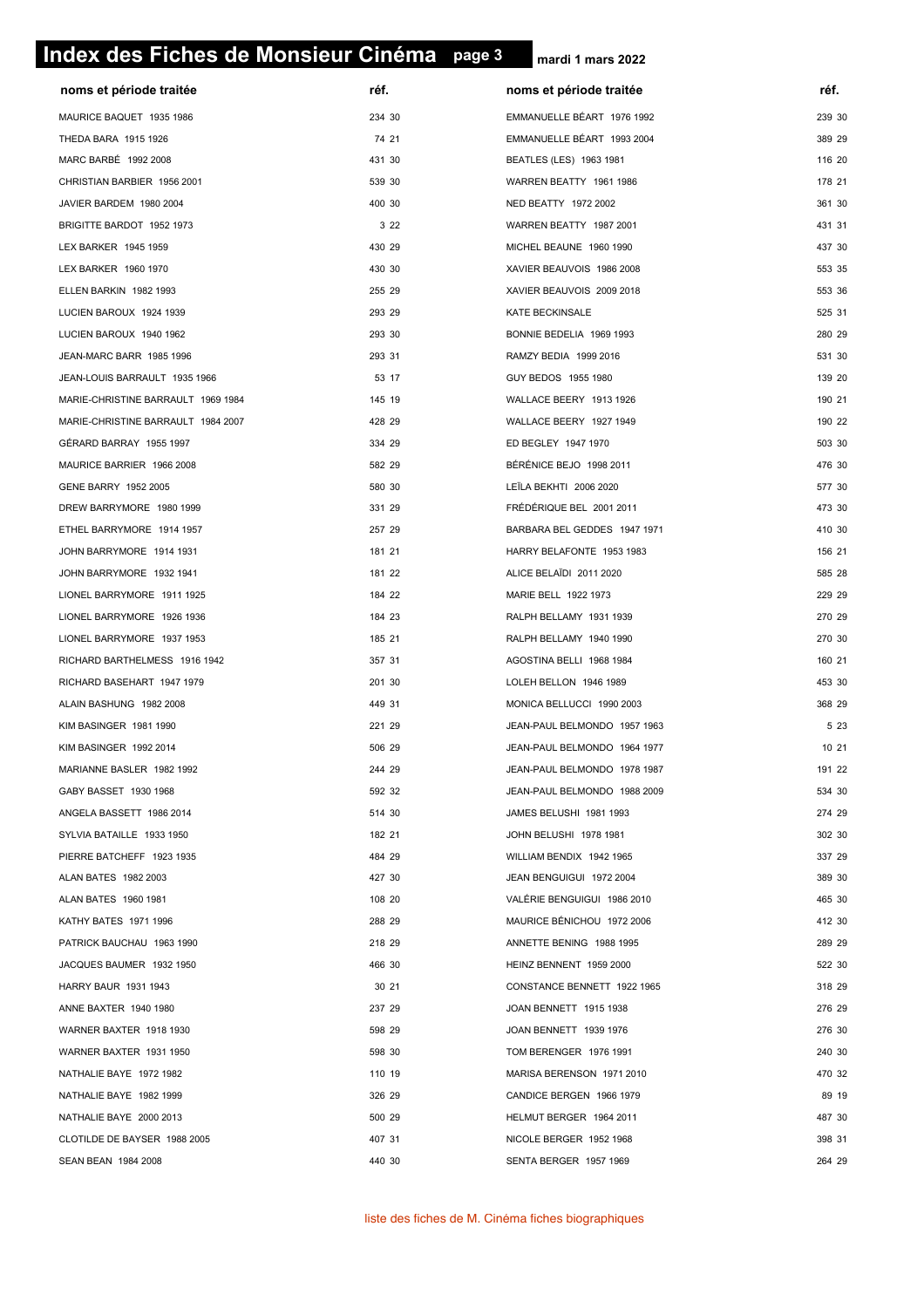# **page 3 Index des Fiches de Monsieur Cinéma page 3**

|                                    | réf.   |                              | réf.   |
|------------------------------------|--------|------------------------------|--------|
| noms et période traitée            |        | noms et période traitée      |        |
| MAURICE BAQUET 1935 1986           | 234 30 | EMMANUELLE BÉART 1976 1992   | 239 30 |
| THEDA BARA 1915 1926               | 74 21  | EMMANUELLE BÉART 1993 2004   | 389 29 |
| MARC BARBÉ 1992 2008               | 431 30 | BEATLES (LES) 1963 1981      | 116 20 |
| CHRISTIAN BARBIER 1956 2001        | 539 30 | WARREN BEATTY 1961 1986      | 178 21 |
| JAVIER BARDEM 1980 2004            | 400 30 | NED BEATTY 1972 2002         | 361 30 |
| BRIGITTE BARDOT 1952 1973          | 3 2 2  | WARREN BEATTY 1987 2001      | 431 31 |
| LEX BARKER 1945 1959               | 430 29 | MICHEL BEAUNE 1960 1990      | 437 30 |
| LEX BARKER 1960 1970               | 430 30 | XAVIER BEAUVOIS 1986 2008    | 553 35 |
| ELLEN BARKIN 1982 1993             | 255 29 | XAVIER BEAUVOIS 2009 2018    | 553 36 |
| LUCIEN BAROUX 1924 1939            | 293 29 | KATE BECKINSALE              | 525 31 |
| LUCIEN BAROUX 1940 1962            | 293 30 | BONNIE BEDELIA 1969 1993     | 280 29 |
| JEAN-MARC BARR 1985 1996           | 293 31 | RAMZY BEDIA 1999 2016        | 531 30 |
| JEAN-LOUIS BARRAULT 1935 1966      | 53 17  | GUY BEDOS 1955 1980          | 139 20 |
| MARIE-CHRISTINE BARRAULT 1969 1984 | 145 19 | WALLACE BEERY 1913 1926      | 190 21 |
| MARIE-CHRISTINE BARRAULT 1984 2007 | 428 29 | WALLACE BEERY 1927 1949      | 190 22 |
| GÉRARD BARRAY 1955 1997            | 334 29 | ED BEGLEY 1947 1970          | 503 30 |
| MAURICE BARRIER 1966 2008          | 582 29 | BÉRÉNICE BEJO 1998 2011      | 476 30 |
| GENE BARRY 1952 2005               | 580 30 | LEÏLA BEKHTI 2006 2020       | 577 30 |
| DREW BARRYMORE 1980 1999           | 331 29 | FRÉDÉRIQUE BEL 2001 2011     | 473 30 |
| ETHEL BARRYMORE 1914 1957          | 257 29 | BARBARA BEL GEDDES 1947 1971 | 410 30 |
| JOHN BARRYMORE 1914 1931           | 181 21 | HARRY BELAFONTE 1953 1983    | 156 21 |
| JOHN BARRYMORE 1932 1941           | 181 22 | ALICE BELAIDI 2011 2020      | 585 28 |
| LIONEL BARRYMORE 1911 1925         | 184 22 | MARIE BELL 1922 1973         | 229 29 |
| LIONEL BARRYMORE 1926 1936         | 184 23 | RALPH BELLAMY 1931 1939      | 270 29 |
| LIONEL BARRYMORE 1937 1953         | 185 21 | RALPH BELLAMY 1940 1990      | 270 30 |
| RICHARD BARTHELMESS 1916 1942      | 357 31 | AGOSTINA BELLI 1968 1984     | 160 21 |
| RICHARD BASEHART 1947 1979         | 201 30 | LOLEH BELLON 1946 1989       | 453 30 |
| ALAIN BASHUNG 1982 2008            | 449 31 | MONICA BELLUCCI 1990 2003    | 368 29 |
| KIM BASINGER 1981 1990             | 221 29 | JEAN-PAUL BELMONDO 1957 1963 | 5 2 3  |
| <b>KIM BASINGER 1992 2014</b>      | 506 29 | JEAN-PAUL BELMONDO 1964 1977 | 10 21  |
| MARIANNE BASLER 1982 1992          | 244 29 | JEAN-PAUL BELMONDO 1978 1987 | 191 22 |
| GABY BASSET 1930 1968              | 592 32 | JEAN-PAUL BELMONDO 1988 2009 | 534 30 |
| ANGELA BASSETT 1986 2014           | 514 30 | JAMES BELUSHI 1981 1993      | 274 29 |
| SYLVIA BATAILLE 1933 1950          | 182 21 | JOHN BELUSHI 1978 1981       | 302 30 |
| PIERRE BATCHEFF 1923 1935          | 484 29 | WILLIAM BENDIX 1942 1965     | 337 29 |
| ALAN BATES 1982 2003               | 427 30 | JEAN BENGUIGUI 1972 2004     | 389 30 |
| ALAN BATES 1960 1981               | 108 20 | VALÉRIE BENGUIGUI 1986 2010  | 465 30 |
| KATHY BATES 1971 1996              | 288 29 | MAURICE BÉNICHOU 1972 2006   | 412 30 |
| PATRICK BAUCHAU 1963 1990          | 218 29 | ANNETTE BENING 1988 1995     | 289 29 |
| JACQUES BAUMER 1932 1950           | 466 30 | HEINZ BENNENT 1959 2000      | 522 30 |
| HARRY BAUR 1931 1943               | 30 21  | CONSTANCE BENNETT 1922 1965  | 318 29 |
| ANNE BAXTER 1940 1980              | 237 29 | JOAN BENNETT 1915 1938       | 276 29 |
| WARNER BAXTER 1918 1930            | 598 29 | JOAN BENNETT 1939 1976       | 276 30 |
| WARNER BAXTER 1931 1950            | 598 30 | TOM BERENGER 1976 1991       | 240 30 |
| NATHALIE BAYE 1972 1982            | 110 19 | MARISA BERENSON 1971 2010    | 470 32 |
| NATHALIE BAYE 1982 1999            | 326 29 | CANDICE BERGEN 1966 1979     | 89 19  |
| NATHALIE BAYE 2000 2013            | 500 29 | HELMUT BERGER 1964 2011      | 487 30 |
| CLOTILDE DE BAYSER 1988 2005       | 407 31 | NICOLE BERGER 1952 1968      | 398 31 |
| SEAN BEAN 1984 2008                | 440 30 | SENTA BERGER 1957 1969       | 264 29 |
|                                    |        |                              |        |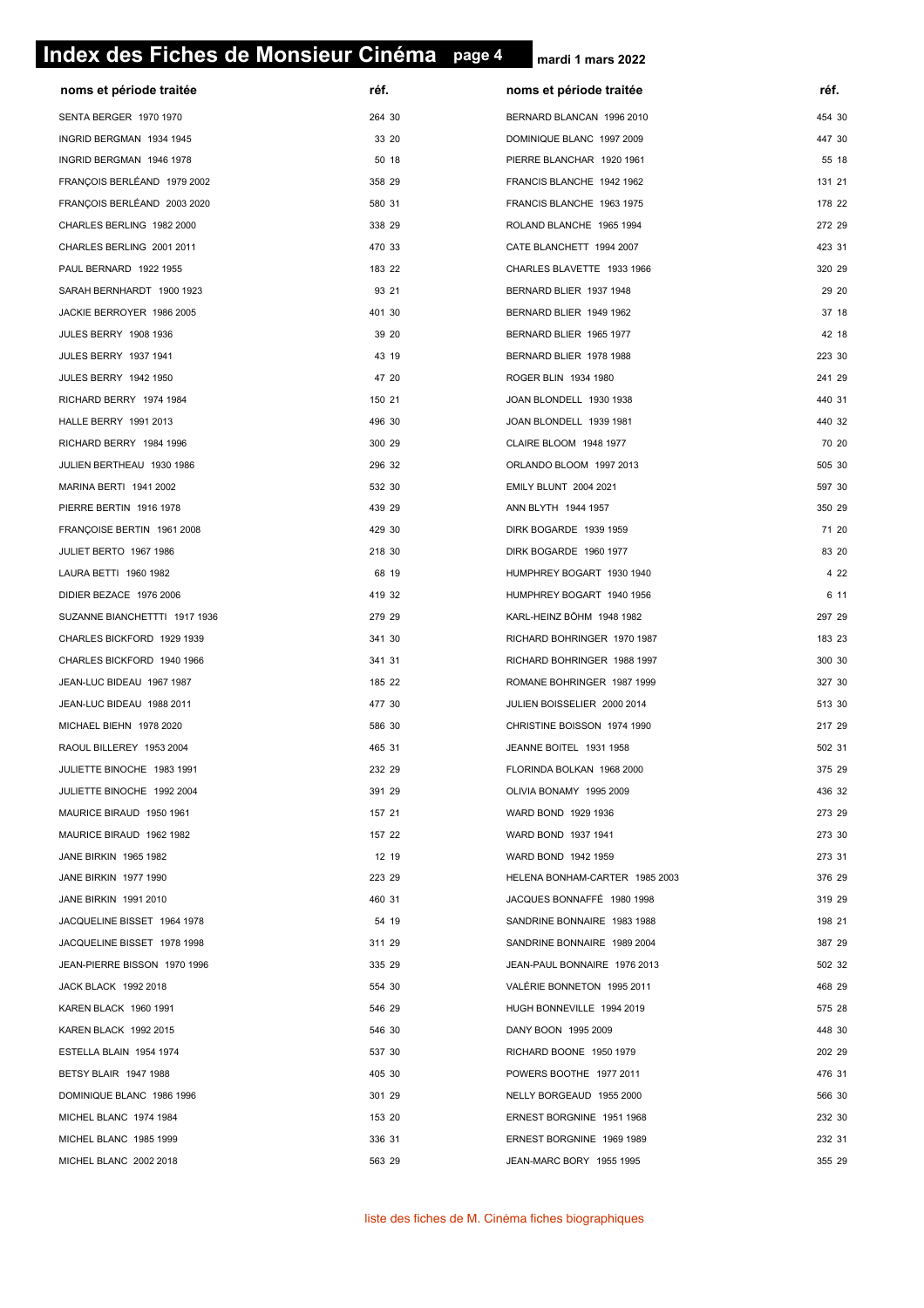# **page 4 Index des Fiches de Monsieur Cinéma page 4**

| noms et période traitée       | réf.   | noms et période traitée        | réf.   |
|-------------------------------|--------|--------------------------------|--------|
| SENTA BERGER 1970 1970        | 264 30 | BERNARD BLANCAN 1996 2010      | 454 30 |
| INGRID BERGMAN 1934 1945      | 33 20  | DOMINIQUE BLANC 1997 2009      | 447 30 |
| INGRID BERGMAN 1946 1978      | 50 18  | PIERRE BLANCHAR 1920 1961      | 55 18  |
| FRANÇOIS BERLÉAND 1979 2002   | 358 29 | FRANCIS BLANCHE 1942 1962      | 131 21 |
| FRANÇOIS BERLÉAND 2003 2020   | 580 31 | FRANCIS BLANCHE 1963 1975      | 178 22 |
| CHARLES BERLING 1982 2000     | 338 29 | ROLAND BLANCHE 1965 1994       | 272 29 |
| CHARLES BERLING 2001 2011     | 470 33 | CATE BLANCHETT 1994 2007       | 423 31 |
| PAUL BERNARD 1922 1955        | 183 22 | CHARLES BLAVETTE 1933 1966     | 320 29 |
| SARAH BERNHARDT 1900 1923     | 93 21  | BERNARD BLIER 1937 1948        | 29 20  |
| JACKIE BERROYER 1986 2005     | 401 30 | BERNARD BLIER 1949 1962        | 37 18  |
| <b>JULES BERRY 1908 1936</b>  | 39 20  | BERNARD BLIER 1965 1977        | 42 18  |
| JULES BERRY 1937 1941         | 43 19  | BERNARD BLIER 1978 1988        | 223 30 |
| <b>JULES BERRY 1942 1950</b>  | 47 20  | ROGER BLIN 1934 1980           | 241 29 |
| RICHARD BERRY 1974 1984       | 150 21 | JOAN BLONDELL 1930 1938        | 440 31 |
| HALLE BERRY 1991 2013         | 496 30 | JOAN BLONDELL 1939 1981        | 440 32 |
| RICHARD BERRY 1984 1996       | 300 29 | CLAIRE BLOOM 1948 1977         | 70 20  |
| JULIEN BERTHEAU 1930 1986     | 296 32 | ORLANDO BLOOM 1997 2013        | 505 30 |
| MARINA BERTI 1941 2002        | 532 30 | <b>EMILY BLUNT 2004 2021</b>   | 597 30 |
| PIERRE BERTIN 1916 1978       | 439 29 | ANN BLYTH 1944 1957            | 350 29 |
| FRANÇOISE BERTIN 1961 2008    | 429 30 | DIRK BOGARDE 1939 1959         | 71 20  |
| JULIET BERTO 1967 1986        | 218 30 | DIRK BOGARDE 1960 1977         | 83 20  |
| LAURA BETTI 1960 1982         | 68 19  | HUMPHREY BOGART 1930 1940      | 4 2 2  |
| DIDIER BEZACE 1976 2006       | 419 32 | HUMPHREY BOGART 1940 1956      | 6 11   |
| SUZANNE BIANCHETTTI 1917 1936 | 279 29 | KARL-HEINZ BÖHM 1948 1982      | 297 29 |
| CHARLES BICKFORD 1929 1939    | 341 30 | RICHARD BOHRINGER 1970 1987    | 183 23 |
| CHARLES BICKFORD 1940 1966    | 341 31 | RICHARD BOHRINGER 1988 1997    | 300 30 |
| JEAN-LUC BIDEAU 1967 1987     | 185 22 | ROMANE BOHRINGER 1987 1999     | 327 30 |
| JEAN-LUC BIDEAU 1988 2011     | 477 30 | JULIEN BOISSELIER 2000 2014    | 513 30 |
| MICHAEL BIEHN 1978 2020       | 586 30 | CHRISTINE BOISSON 1974 1990    | 217 29 |
| RAOUL BILLEREY 1953 2004      | 465 31 | JEANNE BOITEL 1931 1958        | 502 31 |
| JULIETTE BINOCHE 1983 1991    | 232 29 | FLORINDA BOLKAN 1968 2000      | 375 29 |
| JULIETTE BINOCHE 1992 2004    | 391 29 | OLIVIA BONAMY 1995 2009        | 436 32 |
| MAURICE BIRAUD 1950 1961      | 157 21 | WARD BOND 1929 1936            | 273 29 |
| MAURICE BIRAUD 1962 1982      | 157 22 | WARD BOND 1937 1941            | 273 30 |
| JANE BIRKIN 1965 1982         | 12 19  | WARD BOND 1942 1959            | 273 31 |
| JANE BIRKIN 1977 1990         | 223 29 | HELENA BONHAM-CARTER 1985 2003 | 376 29 |
| JANE BIRKIN 1991 2010         | 460 31 | JACQUES BONNAFFÉ 1980 1998     | 319 29 |
| JACQUELINE BISSET 1964 1978   | 54 19  | SANDRINE BONNAIRE 1983 1988    | 198 21 |
| JACQUELINE BISSET 1978 1998   | 311 29 | SANDRINE BONNAIRE 1989 2004    | 387 29 |
| JEAN-PIERRE BISSON 1970 1996  | 335 29 | JEAN-PAUL BONNAIRE 1976 2013   | 502 32 |
| JACK BLACK 1992 2018          | 554 30 | VALÉRIE BONNETON 1995 2011     | 468 29 |
| KAREN BLACK 1960 1991         | 546 29 | HUGH BONNEVILLE 1994 2019      | 575 28 |
| KAREN BLACK 1992 2015         | 546 30 | DANY BOON 1995 2009            | 448 30 |
| ESTELLA BLAIN 1954 1974       | 537 30 | RICHARD BOONE 1950 1979        | 202 29 |
| BETSY BLAIR 1947 1988         | 405 30 | POWERS BOOTHE 1977 2011        | 476 31 |
| DOMINIQUE BLANC 1986 1996     | 301 29 | NELLY BORGEAUD 1955 2000       | 566 30 |
| MICHEL BLANC 1974 1984        | 153 20 | ERNEST BORGNINE 1951 1968      | 232 30 |
| MICHEL BLANC 1985 1999        | 336 31 | ERNEST BORGNINE 1969 1989      | 232 31 |
| MICHEL BLANC 2002 2018        | 563 29 | JEAN-MARC BORY 1955 1995       | 355 29 |
|                               |        |                                |        |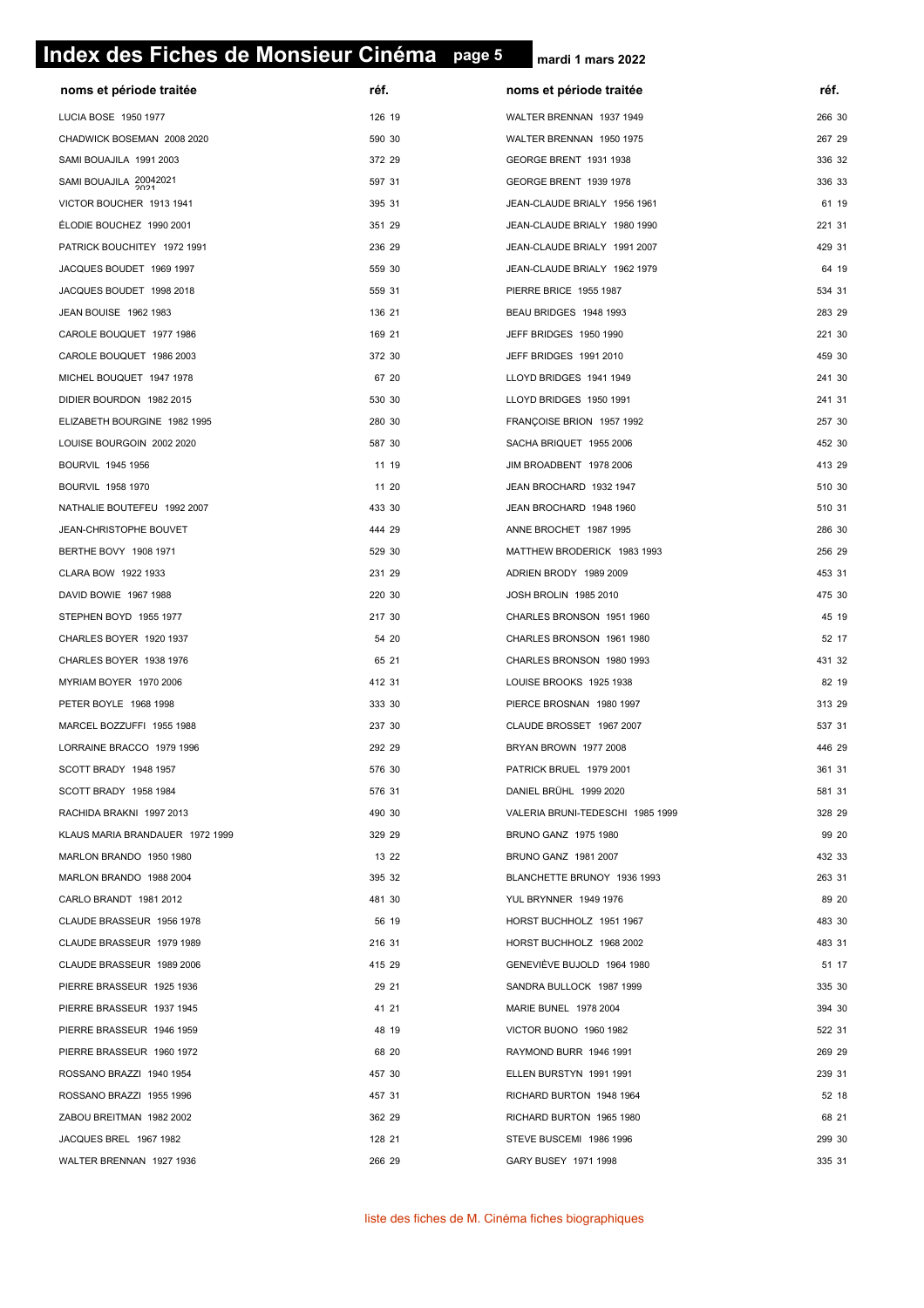# **page 5 Index des Fiches de Monsieur Cinéma page 5**

| noms et période traitée                        | réf.   | noms et période traitée          | réf.   |
|------------------------------------------------|--------|----------------------------------|--------|
| LUCIA BOSE 1950 1977                           | 126 19 | WALTER BRENNAN 1937 1949         | 266 30 |
| CHADWICK BOSEMAN 2008 2020                     | 590 30 | WALTER BRENNAN 1950 1975         | 267 29 |
| SAMI BOUAJILA 1991 2003                        | 372 29 | GEORGE BRENT 1931 1938           | 336 32 |
| SAMI BOUAJILA 20042021                         | 597 31 | GEORGE BRENT 1939 1978           | 336 33 |
| VICTOR BOUCHER 1913 1941                       | 395 31 | JEAN-CLAUDE BRIALY 1956 1961     | 61 19  |
| ÉLODIE BOUCHEZ 1990 2001                       | 351 29 | JEAN-CLAUDE BRIALY 1980 1990     | 221 31 |
| PATRICK BOUCHITEY 1972 1991                    | 236 29 | JEAN-CLAUDE BRIALY 1991 2007     | 429 31 |
| JACQUES BOUDET 1969 1997                       | 559 30 | JEAN-CLAUDE BRIALY 1962 1979     | 64 19  |
| JACQUES BOUDET 1998 2018                       | 559 31 | PIERRE BRICE 1955 1987           | 534 31 |
| JEAN BOUISE 1962 1983                          | 136 21 | BEAU BRIDGES 1948 1993           | 283 29 |
| CAROLE BOUQUET 1977 1986                       | 169 21 | JEFF BRIDGES 1950 1990           | 221 30 |
| CAROLE BOUQUET 1986 2003                       | 372 30 | JEFF BRIDGES 1991 2010           | 459 30 |
| MICHEL BOUQUET 1947 1978                       | 67 20  | LLOYD BRIDGES 1941 1949          | 241 30 |
| DIDIER BOURDON 1982 2015                       | 530 30 | LLOYD BRIDGES 1950 1991          | 241 31 |
| ELIZABETH BOURGINE 1982 1995                   | 280 30 | FRANÇOISE BRION 1957 1992        | 257 30 |
| LOUISE BOURGOIN 2002 2020                      | 587 30 | SACHA BRIQUET 1955 2006          | 452 30 |
| BOURVIL 1945 1956                              | 11 19  | JIM BROADBENT 1978 2006          | 413 29 |
| BOURVIL 1958 1970                              | 11 20  | JEAN BROCHARD 1932 1947          | 510 30 |
| NATHALIE BOUTEFEU 1992 2007                    | 433 30 | JEAN BROCHARD 1948 1960          | 510 31 |
| JEAN-CHRISTOPHE BOUVET                         | 444 29 | ANNE BROCHET 1987 1995           | 286 30 |
| BERTHE BOVY 1908 1971                          | 529 30 | MATTHEW BRODERICK 1983 1993      | 256 29 |
| CLARA BOW 1922 1933                            | 231 29 | ADRIEN BRODY 1989 2009           | 453 31 |
| DAVID BOWIE 1967 1988                          | 220 30 | JOSH BROLIN 1985 2010            | 475 30 |
| STEPHEN BOYD 1955 1977                         | 217 30 | CHARLES BRONSON 1951 1960        | 45 19  |
| CHARLES BOYER 1920 1937                        | 54 20  | CHARLES BRONSON 1961 1980        | 52 17  |
| CHARLES BOYER 1938 1976                        | 65 21  | CHARLES BRONSON 1980 1993        | 431 32 |
|                                                |        |                                  | 82 19  |
| MYRIAM BOYER 1970 2006                         | 412 31 | LOUISE BROOKS 1925 1938          | 313 29 |
| PETER BOYLE 1968 1998                          | 333 30 | PIERCE BROSNAN 1980 1997         | 537 31 |
| MARCEL BOZZUFFI 1955 1988                      | 237 30 | CLAUDE BROSSET 1967 2007         | 446 29 |
| LORRAINE BRACCO 1979 1996                      | 292 29 | BRYAN BROWN 1977 2008            |        |
| SCOTT BRADY 1948 1957<br>SCOTT BRADY 1958 1984 | 576 30 | PATRICK BRUEL 1979 2001          | 361 31 |
|                                                | 576 31 | DANIEL BRÜHL 1999 2020           | 581 31 |
| RACHIDA BRAKNI 1997 2013                       | 490 30 | VALERIA BRUNI-TEDESCHI 1985 1999 | 328 29 |
| KLAUS MARIA BRANDAUER 1972 1999                | 329 29 | BRUNO GANZ 1975 1980             | 99 20  |
| MARLON BRANDO 1950 1980                        | 13 22  | BRUNO GANZ 1981 2007             | 432 33 |
| MARLON BRANDO 1988 2004                        | 395 32 | BLANCHETTE BRUNOY 1936 1993      | 263 31 |
| CARLO BRANDT 1981 2012                         | 481 30 | <b>YUL BRYNNER 1949 1976</b>     | 89 20  |
| CLAUDE BRASSEUR 1956 1978                      | 56 19  | HORST BUCHHOLZ 1951 1967         | 483 30 |
| CLAUDE BRASSEUR 1979 1989                      | 216 31 | HORST BUCHHOLZ 1968 2002         | 483 31 |
| CLAUDE BRASSEUR 1989 2006                      | 415 29 | GENEVIÈVE BUJOLD 1964 1980       | 51 17  |
| PIERRE BRASSEUR 1925 1936                      | 29 21  | SANDRA BULLOCK 1987 1999         | 335 30 |
| PIERRE BRASSEUR 1937 1945                      | 41 21  | MARIE BUNEL 1978 2004            | 394 30 |
| PIERRE BRASSEUR 1946 1959                      | 48 19  | VICTOR BUONO 1960 1982           | 522 31 |
| PIERRE BRASSEUR 1960 1972                      | 68 20  | RAYMOND BURR 1946 1991           | 269 29 |
| ROSSANO BRAZZI 1940 1954                       | 457 30 | ELLEN BURSTYN 1991 1991          | 239 31 |
| ROSSANO BRAZZI 1955 1996                       | 457 31 | RICHARD BURTON 1948 1964         | 52 18  |
| ZABOU BREITMAN 1982 2002                       | 362 29 | RICHARD BURTON 1965 1980         | 68 21  |
| JACQUES BREL 1967 1982                         | 128 21 | STEVE BUSCEMI 1986 1996          | 299 30 |
| WALTER BRENNAN 1927 1936                       | 266 29 | GARY BUSEY 1971 1998             | 335 31 |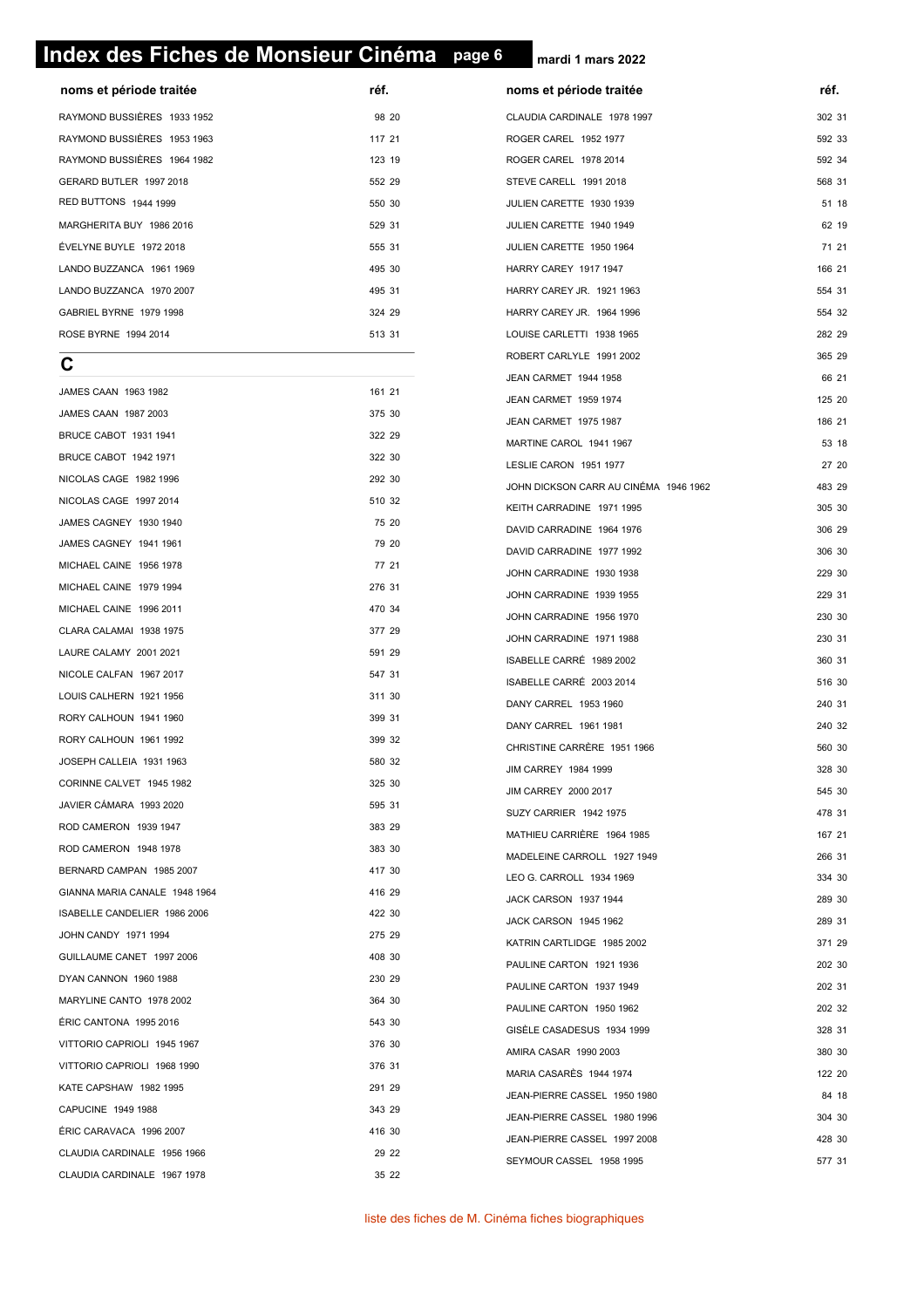#### **page 6 Index des Fiches de Monsieur Cinéma page 6**

**noms et période traitée réf. réf. noms et période traitée** RAYMOND BUSSIÈRES 1933 1952 **1952** 1952 1952 1968 20 RAYMOND BUSSIÈRES 1953 1963 117 21 RAYMOND BUSSIÈRES 1964 1982 123 19 GERARD BUTLER 1997 2018 RED BUTTONS 1944 1999 **550 10** MARGHERITA BUY 1986 2016 529 31 ÉVELYNE BUYLE 1972 2018 555 31 LANDO BUZZANCA 1961 1969 495 30 LANDO BUZZANCA 1970 2007 1200 1200 1200 1200 1200 131 GABRIEL BYRNE 1979 1998 324 29 ROSE BYRNE 1994 2014 513 31

**C**

|                               |        | JEAN CARMET 1944 1958                 | 66 21  |
|-------------------------------|--------|---------------------------------------|--------|
| JAMES CAAN 1963 1982          | 161 21 | JEAN CARMET 1959 1974                 | 125 20 |
| JAMES CAAN 1987 2003          | 375 30 | JEAN CARMET 1975 1987                 | 186 21 |
| BRUCE CABOT 1931 1941         | 322 29 | MARTINE CAROL 1941 1967               | 53 18  |
| BRUCE CABOT 1942 1971         | 322 30 | LESLIE CARON 1951 1977                | 27 20  |
| NICOLAS CAGE 1982 1996        | 292 30 | JOHN DICKSON CARR AU CINÉMA 1946 1962 | 483 29 |
| NICOLAS CAGE 1997 2014        | 510 32 | KEITH CARRADINE 1971 1995             | 305 30 |
| JAMES CAGNEY 1930 1940        | 75 20  | DAVID CARRADINE 1964 1976             | 306 29 |
| JAMES CAGNEY 1941 1961        | 79 20  | DAVID CARRADINE 1977 1992             | 306 30 |
| MICHAEL CAINE 1956 1978       | 77 21  | JOHN CARRADINE 1930 1938              | 229 30 |
| MICHAEL CAINE 1979 1994       | 276 31 | JOHN CARRADINE 1939 1955              | 229 31 |
| MICHAEL CAINE 1996 2011       | 470 34 | JOHN CARRADINE 1956 1970              | 230 30 |
| CLARA CALAMAI 1938 1975       | 377 29 | JOHN CARRADINE 1971 1988              | 230 31 |
| LAURE CALAMY 2001 2021        | 591 29 | ISABELLE CARRÉ 1989 2002              | 360 31 |
| NICOLE CALFAN 1967 2017       | 547 31 | ISABELLE CARRÉ 2003 2014              | 516 30 |
| LOUIS CALHERN 1921 1956       | 311 30 | DANY CARREL 1953 1960                 | 240 31 |
| RORY CALHOUN 1941 1960        | 399 31 | DANY CARREL 1961 1981                 | 240 32 |
| RORY CALHOUN 1961 1992        | 399 32 | CHRISTINE CARRÈRE 1951 1966           | 560 30 |
| JOSEPH CALLEIA 1931 1963      | 580 32 | JIM CARREY 1984 1999                  | 328 30 |
| CORINNE CALVET 1945 1982      | 325 30 | JIM CARREY 2000 2017                  | 545 30 |
| JAVIER CÁMARA 1993 2020       | 595 31 | SUZY CARRIER 1942 1975                | 478 31 |
| ROD CAMERON 1939 1947         | 383 29 | MATHIEU CARRIÈRE 1964 1985            | 167 21 |
| ROD CAMERON 1948 1978         | 383 30 | MADELEINE CARROLL 1927 1949           | 266 31 |
| BERNARD CAMPAN 1985 2007      | 417 30 | LEO G. CARROLL 1934 1969              | 334 30 |
| GIANNA MARIA CANALE 1948 1964 | 416 29 | JACK CARSON 1937 1944                 | 289 30 |
| ISABELLE CANDELIER 1986 2006  | 422 30 | JACK CARSON 1945 1962                 | 289 31 |
| JOHN CANDY 1971 1994          | 275 29 | KATRIN CARTLIDGE 1985 2002            | 371 29 |
| GUILLAUME CANET 1997 2006     | 408 30 | PAULINE CARTON 1921 1936              | 202 30 |
| DYAN CANNON 1960 1988         | 230 29 | PAULINE CARTON 1937 1949              | 202 31 |
| MARYLINE CANTO 1978 2002      | 364 30 | PAULINE CARTON 1950 1962              | 202 32 |
| ÉRIC CANTONA 1995 2016        | 543 30 | GISÈLE CASADESUS 1934 1999            | 328 31 |
| VITTORIO CAPRIOLI 1945 1967   | 376 30 | AMIRA CASAR 1990 2003                 | 380 30 |
| VITTORIO CAPRIOLI 1968 1990   | 376 31 | MARIA CASARÈS 1944 1974               | 122 20 |
| KATE CAPSHAW 1982 1995        | 291 29 | JEAN-PIERRE CASSEL 1950 1980          | 84 18  |
| CAPUCINE 1949 1988            | 343 29 | JEAN-PIERRE CASSEL 1980 1996          | 304 30 |
| ÉRIC CARAVACA 1996 2007       | 416 30 | JEAN-PIERRE CASSEL 1997 2008          | 428 30 |
| CLAUDIA CARDINALE 1956 1966   | 29 22  |                                       |        |
| CLAUDIA CARDINALE 1967 1978   | 35 22  | SEYMOUR CASSEL 1958 1995              | 577 31 |
|                               |        |                                       |        |

**mardi 1 mars 2022**

#### CLAUDIA CARDINALE 1978 1997 302 31 ROGER CAREL 1952 1977 592 33 ROGER CAREL 1978 2014 592 34 STEVE CARELL 1991 2018 568 31 **JULIEN CARETTE 1930 1939** 51 18 JULIEN CARETTE 1940 1949 62 19 JULIEN CARETTE 1950 1964 71 21 HARRY CAREY 1917 1947 166 21 HARRY CAREY JR. 1921 1963 **554 31** HARRY CAREY JR. 1964 1996 554 32 LOUISE CARLETTI 1938 1965 282 29 ROBERT CARLYLE 1991 2002 365 29 JEAN CARMET 1944 1958 66 21 JEAN CARMET 1959 1974 125 20 JEAN CARMET 1975 1987 1868 1988 1870 1870 1880 1891 1872 1880 1891 1892 1893 1894 1894 1895 1897 1898 1898 18  $M = 1941 1967$  53 18 LESLIE CARON 1951 1977 27 20 CARR AU CINÉMA 1946 1962 **483 29**  $NE$  1971 1995  $305$  305 30 DAVID CARRADINE 1964 1976 306 29 DAVID CARRADINE 1977 1992 306 30 **JOHN CARRADINE 1930 1938 229 30 229 30 229 30 229 30 229 30 229 30 229 30 229 30 229 30 229 30 229 30 229 30 229 30** JOHN CARRADINE 1939 1955 229 31 JOHN CARRADINE 1956 1970 230 30 JOHN CARRADINE 1971 1988 230 31 estado de 1989 2002 a 1989 2002 a 1989 2002 a 1989 2003 100 a 1989 2003 100 a 1989 2004 2005 2008 2009 2009 20<br>Notes to the state of the state of the state of the state of the state of the state of the state of the state o  $\hat{F}$  2003 2014 516 30 DANY CARREL 1953 1960 240 31 1961 1981 240 32 POST 1951 1966 560 30 JIM CARREY 1984 1999 328 30 JIM CARREY 2000 2017 **545 30** SUZY CARRIER 1942 1975 478 31 **IÈRE** 1964 1985 167 21 PROLL 1927 1949 266 31 LEO G. CARROLL 1934 1969 334 30 JACK CARSON 1937 1944 289 30 1945 1962 289 31 extending the 1985 2002 371 29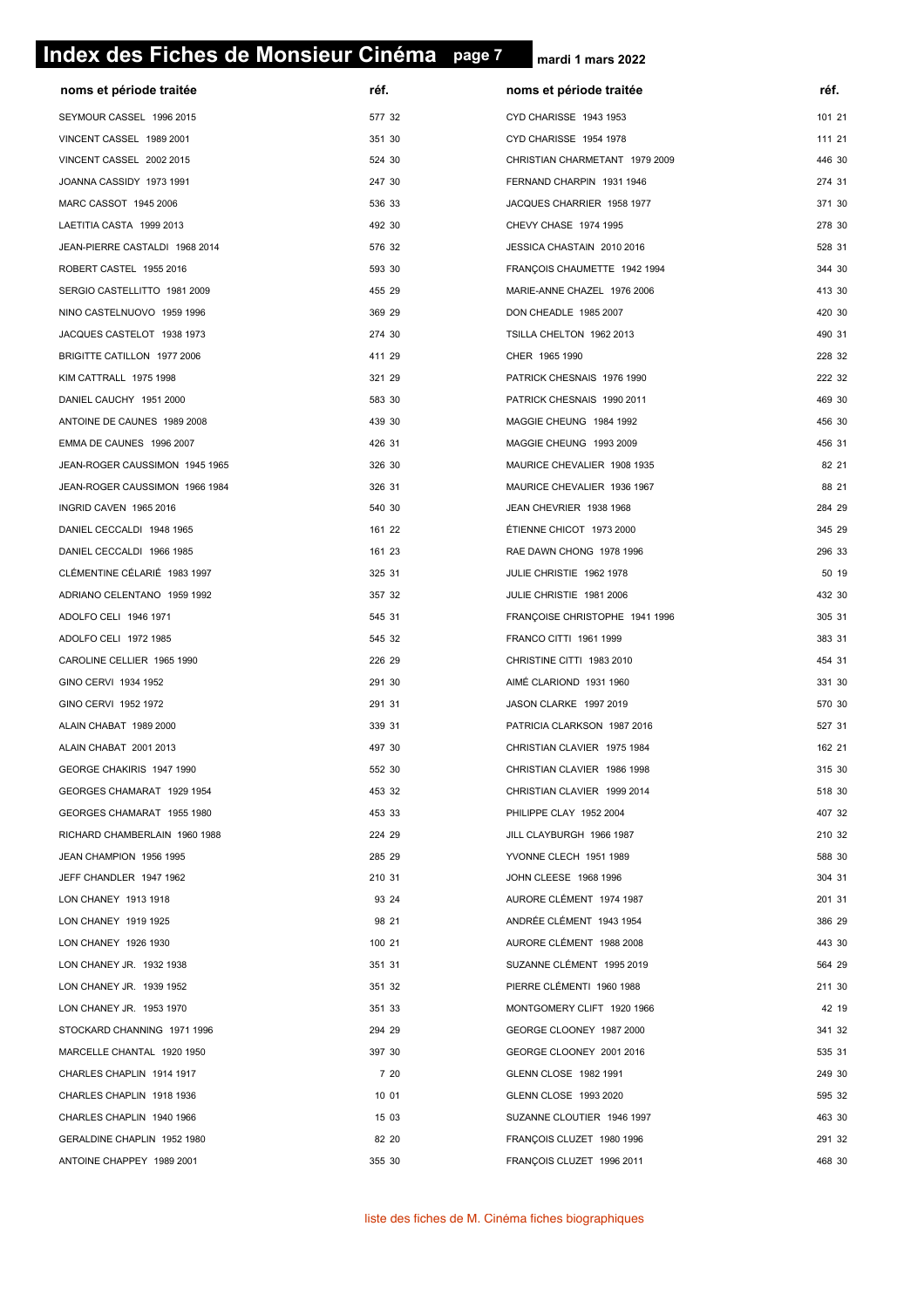# **page 7 Index des Fiches de Monsieur Cinéma page 7**

| noms et période traitée        | réf.   | noms et période traitée        | réf.   |
|--------------------------------|--------|--------------------------------|--------|
| SEYMOUR CASSEL 1996 2015       | 577 32 | CYD CHARISSE 1943 1953         | 101 21 |
| VINCENT CASSEL 1989 2001       | 351 30 | CYD CHARISSE 1954 1978         | 111 21 |
| VINCENT CASSEL 2002 2015       | 524 30 | CHRISTIAN CHARMETANT 1979 2009 | 446 30 |
| JOANNA CASSIDY 1973 1991       | 247 30 | FERNAND CHARPIN 1931 1946      | 274 31 |
| MARC CASSOT 1945 2006          | 536 33 | JACQUES CHARRIER 1958 1977     | 371 30 |
| LAETITIA CASTA 1999 2013       | 492 30 | CHEVY CHASE 1974 1995          | 278 30 |
| JEAN-PIERRE CASTALDI 1968 2014 | 576 32 | JESSICA CHASTAIN 2010 2016     | 528 31 |
| ROBERT CASTEL 1955 2016        | 593 30 | FRANÇOIS CHAUMETTE 1942 1994   | 344 30 |
| SERGIO CASTELLITTO 1981 2009   | 455 29 | MARIE-ANNE CHAZEL 1976 2006    | 413 30 |
| NINO CASTELNUOVO 1959 1996     | 369 29 | DON CHEADLE 1985 2007          | 420 30 |
| JACQUES CASTELOT 1938 1973     | 274 30 | TSILLA CHELTON 1962 2013       | 490 31 |
| BRIGITTE CATILLON 1977 2006    | 411 29 | CHER 1965 1990                 | 228 32 |
| KIM CATTRALL 1975 1998         | 321 29 | PATRICK CHESNAIS 1976 1990     | 222 32 |
| DANIEL CAUCHY 1951 2000        | 583 30 | PATRICK CHESNAIS 1990 2011     | 469 30 |
| ANTOINE DE CAUNES 1989 2008    | 439 30 | MAGGIE CHEUNG 1984 1992        | 456 30 |
| EMMA DE CAUNES 1996 2007       | 426 31 | MAGGIE CHEUNG 1993 2009        | 456 31 |
| JEAN-ROGER CAUSSIMON 1945 1965 | 326 30 | MAURICE CHEVALIER 1908 1935    | 82 21  |
| JEAN-ROGER CAUSSIMON 1966 1984 | 326 31 | MAURICE CHEVALIER 1936 1967    | 88 21  |
| INGRID CAVEN 1965 2016         | 540 30 | JEAN CHEVRIER 1938 1968        | 284 29 |
| DANIEL CECCALDI 1948 1965      | 161 22 | ÉTIENNE CHICOT 1973 2000       | 345 29 |
| DANIEL CECCALDI 1966 1985      | 161 23 | RAE DAWN CHONG 1978 1996       | 296 33 |
| CLÉMENTINE CÉLARIÉ 1983 1997   | 325 31 | JULIE CHRISTIE 1962 1978       | 50 19  |
| ADRIANO CELENTANO 1959 1992    | 357 32 | JULIE CHRISTIE 1981 2006       | 432 30 |
| ADOLFO CELI 1946 1971          | 545 31 | FRANÇOISE CHRISTOPHE 1941 1996 | 305 31 |
| ADOLFO CELI 1972 1985          | 545 32 | FRANCO CITTI 1961 1999         | 383 31 |
| CAROLINE CELLIER 1965 1990     | 226 29 | CHRISTINE CITTI 1983 2010      | 454 31 |
| GINO CERVI 1934 1952           | 291 30 | AIMÉ CLARIOND 1931 1960        | 331 30 |
| GINO CERVI 1952 1972           | 291 31 | JASON CLARKE 1997 2019         | 570 30 |
| ALAIN CHABAT 1989 2000         | 339 31 | PATRICIA CLARKSON 1987 2016    | 527 31 |
| ALAIN CHABAT 2001 2013         | 497 30 | CHRISTIAN CLAVIER 1975 1984    | 162 21 |
| GEORGE CHAKIRIS 1947 1990      | 552 30 | CHRISTIAN CLAVIER 1986 1998    | 315 30 |
| GEORGES CHAMARAT 1929 1954     | 453 32 | CHRISTIAN CLAVIER 1999 2014    | 518 30 |
| GEORGES CHAMARAT 1955 1980     | 453 33 | PHILIPPE CLAY 1952 2004        | 407 32 |
| RICHARD CHAMBERLAIN 1960 1988  | 224 29 | JILL CLAYBURGH 1966 1987       | 210 32 |
| JEAN CHAMPION 1956 1995        | 285 29 | YVONNE CLECH 1951 1989         | 588 30 |
| JEFF CHANDLER 1947 1962        | 210 31 | JOHN CLEESE 1968 1996          | 304 31 |
| LON CHANEY 1913 1918           | 93 24  | AURORE CLÉMENT 1974 1987       | 201 31 |
| LON CHANEY 1919 1925           | 98 21  | ANDRÉE CLÉMENT 1943 1954       | 386 29 |
| LON CHANEY 1926 1930           | 100 21 | AURORE CLÉMENT 1988 2008       | 443 30 |
| LON CHANEY JR. 1932 1938       | 351 31 | SUZANNE CLÉMENT 1995 2019      | 564 29 |
| LON CHANEY JR. 1939 1952       | 351 32 | PIERRE CLÉMENTI 1960 1988      | 211 30 |
| LON CHANEY JR. 1953 1970       | 351 33 | MONTGOMERY CLIFT 1920 1966     | 42 19  |
| STOCKARD CHANNING 1971 1996    | 294 29 | GEORGE CLOONEY 1987 2000       | 341 32 |
| MARCELLE CHANTAL 1920 1950     | 397 30 | GEORGE CLOONEY 2001 2016       | 535 31 |
| CHARLES CHAPLIN 1914 1917      | 7 20   | GLENN CLOSE 1982 1991          | 249 30 |
| CHARLES CHAPLIN 1918 1936      | 10 01  | GLENN CLOSE 1993 2020          | 595 32 |
| CHARLES CHAPLIN 1940 1966      | 15 03  | SUZANNE CLOUTIER 1946 1997     | 463 30 |
| GERALDINE CHAPLIN 1952 1980    | 82 20  | FRANÇOIS CLUZET 1980 1996      | 291 32 |
| ANTOINE CHAPPEY 1989 2001      | 355 30 | FRANÇOIS CLUZET 1996 2011      | 468 30 |
|                                |        |                                |        |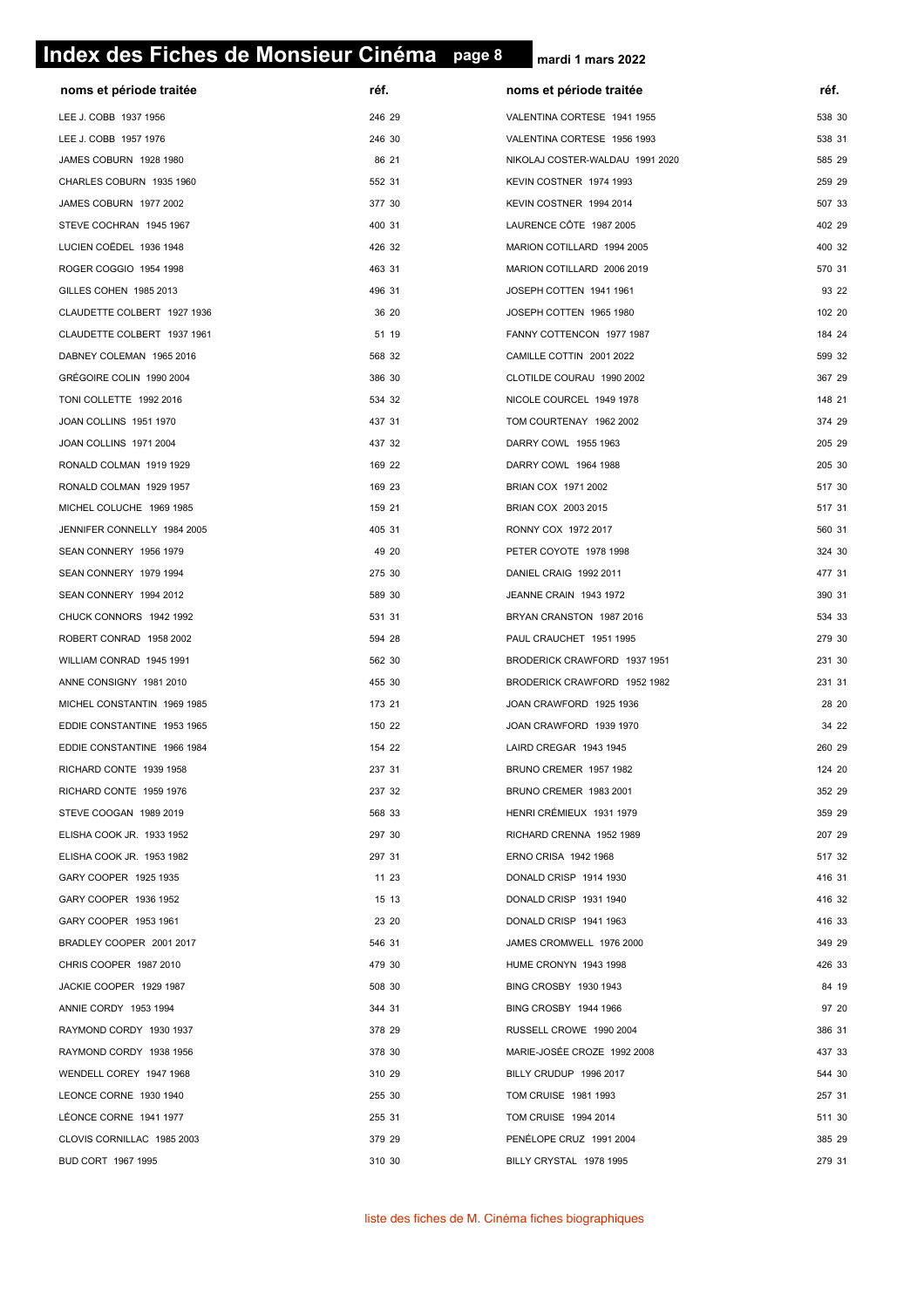# **page 8 Index des Fiches de Monsieur Cinéma page 8**

| noms et période traitée     | réf.   | noms et période traitée         | réf.   |
|-----------------------------|--------|---------------------------------|--------|
| LEE J. COBB 1937 1956       | 246 29 | VALENTINA CORTESE 1941 1955     | 538 30 |
| LEE J. COBB 1957 1976       | 246 30 | VALENTINA CORTESE 1956 1993     | 538 31 |
| JAMES COBURN 1928 1980      | 86 21  | NIKOLAJ COSTER-WALDAU 1991 2020 | 585 29 |
| CHARLES COBURN 1935 1960    | 552 31 | KEVIN COSTNER 1974 1993         | 259 29 |
| JAMES COBURN 1977 2002      | 377 30 | KEVIN COSTNER 1994 2014         | 507 33 |
| STEVE COCHRAN 1945 1967     | 400 31 | LAURENCE CÔTE 1987 2005         | 402 29 |
| LUCIEN COËDEL 1936 1948     | 426 32 | MARION COTILLARD 1994 2005      | 400 32 |
| ROGER COGGIO 1954 1998      | 463 31 | MARION COTILLARD 2006 2019      | 570 31 |
| GILLES COHEN 1985 2013      | 496 31 | JOSEPH COTTEN 1941 1961         | 93 22  |
| CLAUDETTE COLBERT 1927 1936 | 36 20  | JOSEPH COTTEN 1965 1980         | 102 20 |
| CLAUDETTE COLBERT 1937 1961 | 51 19  | FANNY COTTENCON 1977 1987       | 184 24 |
| DABNEY COLEMAN 1965 2016    | 568 32 | CAMILLE COTTIN 2001 2022        | 599 32 |
| GRÉGOIRE COLIN 1990 2004    | 386 30 | CLOTILDE COURAU 1990 2002       | 367 29 |
| TONI COLLETTE 1992 2016     | 534 32 | NICOLE COURCEL 1949 1978        | 148 21 |
| JOAN COLLINS 1951 1970      | 437 31 | TOM COURTENAY 1962 2002         | 374 29 |
| JOAN COLLINS 1971 2004      | 437 32 | DARRY COWL 1955 1963            | 205 29 |
| RONALD COLMAN 1919 1929     | 169 22 | DARRY COWL 1964 1988            | 205 30 |
| RONALD COLMAN 1929 1957     | 169 23 | BRIAN COX 1971 2002             | 517 30 |
| MICHEL COLUCHE 1969 1985    | 159 21 | BRIAN COX 2003 2015             | 517 31 |
| JENNIFER CONNELLY 1984 2005 | 405 31 | RONNY COX 1972 2017             | 560 31 |
| SEAN CONNERY 1956 1979      | 49 20  | PETER COYOTE 1978 1998          | 324 30 |
| SEAN CONNERY 1979 1994      | 275 30 | DANIEL CRAIG 1992 2011          | 477 31 |
| SEAN CONNERY 1994 2012      | 589 30 | JEANNE CRAIN 1943 1972          | 390 31 |
| CHUCK CONNORS 1942 1992     | 531 31 | BRYAN CRANSTON 1987 2016        | 534 33 |
| ROBERT CONRAD 1958 2002     | 594 28 | PAUL CRAUCHET 1951 1995         | 279 30 |
| WILLIAM CONRAD 1945 1991    | 562 30 | BRODERICK CRAWFORD 1937 1951    | 231 30 |
| ANNE CONSIGNY 1981 2010     | 455 30 | BRODERICK CRAWFORD 1952 1982    | 231 31 |
| MICHEL CONSTANTIN 1969 1985 | 173 21 | JOAN CRAWFORD 1925 1936         | 28 20  |
| EDDIE CONSTANTINE 1953 1965 | 150 22 | JOAN CRAWFORD 1939 1970         | 34 22  |
| EDDIE CONSTANTINE 1966 1984 | 154 22 | LAIRD CREGAR 1943 1945          | 260 29 |
| RICHARD CONTE 1939 1958     | 237 31 | BRUNO CREMER 1957 1982          | 124 20 |
| RICHARD CONTE 1959 1976     | 237 32 | BRUNO CREMER 1983 2001          | 352 29 |
| STEVE COOGAN 1989 2019      | 568 33 | HENRI CRÉMIEUX 1931 1979        | 359 29 |
| ELISHA COOK JR. 1933 1952   | 297 30 | RICHARD CRENNA 1952 1989        | 207 29 |
| ELISHA COOK JR. 1953 1982   | 297 31 | ERNO CRISA 1942 1968            | 517 32 |
| GARY COOPER 1925 1935       | 11 23  | DONALD CRISP 1914 1930          | 416 31 |
| GARY COOPER 1936 1952       | 15 13  | DONALD CRISP 1931 1940          | 416 32 |
| GARY COOPER 1953 1961       | 23 20  | DONALD CRISP 1941 1963          | 416 33 |
| BRADLEY COOPER 2001 2017    | 546 31 | JAMES CROMWELL 1976 2000        | 349 29 |
| CHRIS COOPER 1987 2010      | 479 30 | HUME CRONYN 1943 1998           | 426 33 |
| JACKIE COOPER 1929 1987     | 508 30 | BING CROSBY 1930 1943           | 84 19  |
| ANNIE CORDY 1953 1994       | 344 31 | BING CROSBY 1944 1966           | 97 20  |
| RAYMOND CORDY 1930 1937     | 378 29 | RUSSELL CROWE 1990 2004         | 386 31 |
| RAYMOND CORDY 1938 1956     | 378 30 | MARIE-JOSÉE CROZE 1992 2008     | 437 33 |
| WENDELL COREY 1947 1968     | 310 29 | BILLY CRUDUP 1996 2017          | 544 30 |
| LEONCE CORNE 1930 1940      | 255 30 | TOM CRUISE 1981 1993            | 257 31 |
| LÉONCE CORNE 1941 1977      | 255 31 | TOM CRUISE 1994 2014            | 511 30 |
| CLOVIS CORNILLAC 1985 2003  | 379 29 | PENÉLOPE CRUZ 1991 2004         | 385 29 |
| BUD CORT 1967 1995          | 310 30 | BILLY CRYSTAL 1978 1995         | 279 31 |
|                             |        |                                 |        |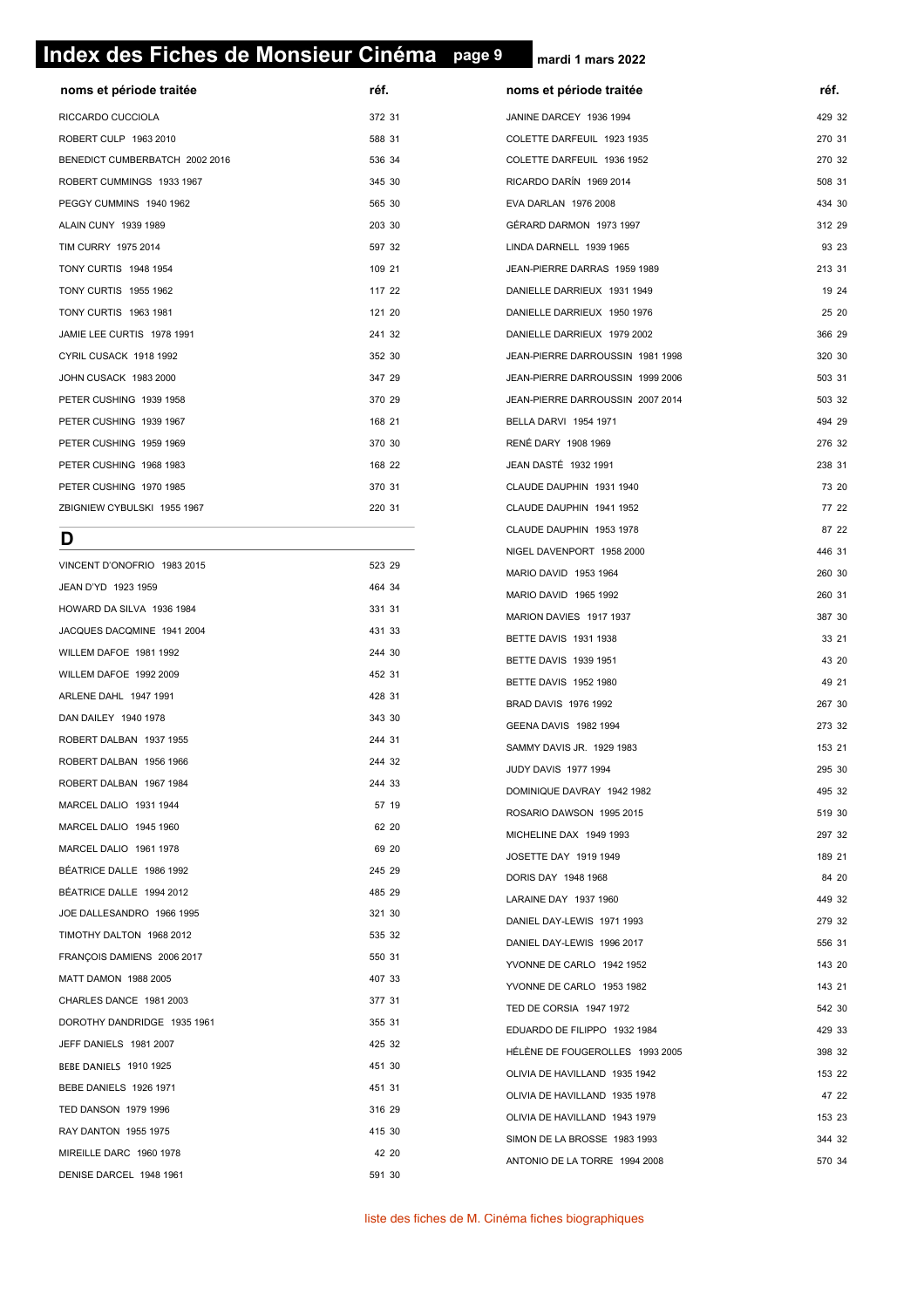# **page 9 Index des Fiches de Monsieur Cinéma page 9**

**mardi 1 mars 2022**

| noms et période traitée        | réf.   |
|--------------------------------|--------|
| RICCARDO CUCCIOLA              | 372 31 |
| ROBERT CULP 1963 2010          | 588 31 |
| BENEDICT CUMBERBATCH 2002 2016 | 536 34 |
| ROBERT CUMMINGS 1933 1967      | 345 30 |
| PEGGY CUMMINS 1940 1962        | 565 30 |
| <b>ALAIN CUNY 1939 1989</b>    | 203 30 |
| TIM CURRY 1975 2014            | 597 32 |
| <b>TONY CURTIS 1948 1954</b>   | 109 21 |
| <b>TONY CURTIS 1955 1962</b>   | 117 22 |
| <b>TONY CURTIS 1963 1981</b>   | 121 20 |
| JAMIE LEE CURTIS 1978 1991     | 241 32 |
| CYRIL CUSACK 1918 1992         | 352 30 |
| JOHN CUSACK 1983 2000          | 347 29 |
| PETER CUSHING 1939 1958        | 370 29 |
| PETER CUSHING 1939 1967        | 168 21 |
| PETER CUSHING 1959 1969        | 370 30 |
| PETER CUSHING 1968 1983        | 168 22 |
| PETER CUSHING 1970 1985        | 370 31 |
| ZBIGNIEW CYBULSKI 1955 1967    | 220 31 |
| n                              |        |

|                             |        | NIGEL DAVENPORT 1958 2000       | 446 31 |
|-----------------------------|--------|---------------------------------|--------|
| VINCENT D'ONOFRIO 1983 2015 | 523 29 | MARIO DAVID 1953 1964           | 260 30 |
| JEAN D'YD 1923 1959         | 464 34 | MARIO DAVID 1965 1992           | 260 31 |
| HOWARD DA SILVA 1936 1984   | 331 31 | MARION DAVIES 1917 1937         | 387 30 |
| JACQUES DACQMINE 1941 2004  | 431 33 | BETTE DAVIS 1931 1938           | 33 21  |
| WILLEM DAFOE 1981 1992      | 244 30 | BETTE DAVIS 1939 1951           | 43 20  |
| WILLEM DAFOE 1992 2009      | 452 31 | BETTE DAVIS 1952 1980           | 49 21  |
| ARLENE DAHL 1947 1991       | 428 31 | BRAD DAVIS 1976 1992            | 267 30 |
| DAN DAILEY 1940 1978        | 343 30 | GEENA DAVIS 1982 1994           | 273 32 |
| ROBERT DALBAN 1937 1955     | 244 31 | SAMMY DAVIS JR. 1929 1983       | 153 21 |
| ROBERT DALBAN 1956 1966     | 244 32 | <b>JUDY DAVIS 1977 1994</b>     | 295 30 |
| ROBERT DALBAN 1967 1984     | 244 33 | DOMINIQUE DAVRAY 1942 1982      | 495 32 |
| MARCEL DALIO 1931 1944      | 57 19  | ROSARIO DAWSON 1995 2015        | 519 30 |
| MARCEL DALIO 1945 1960      | 62 20  | MICHELINE DAX 1949 1993         | 297 32 |
| MARCEL DALIO 1961 1978      | 69 20  | JOSETTE DAY 1919 1949           | 189 21 |
| BÉATRICE DALLE 1986 1992    | 245 29 | DORIS DAY 1948 1968             | 84 20  |
| BÉATRICE DALLE 1994 2012    | 485 29 | LARAINE DAY 1937 1960           | 449 32 |
| JOE DALLESANDRO 1966 1995   | 321 30 | DANIEL DAY-LEWIS 1971 1993      | 279 32 |
| TIMOTHY DALTON 1968 2012    | 535 32 | DANIEL DAY-LEWIS 1996 2017      | 556 31 |
| FRANÇOIS DAMIENS 2006 2017  | 550 31 | YVONNE DE CARLO 1942 1952       | 143 20 |
| MATT DAMON 1988 2005        | 407 33 | YVONNE DE CARLO 1953 1982       | 143 21 |
| CHARLES DANCE 1981 2003     | 377 31 | TED DE CORSIA 1947 1972         | 542 30 |
| DOROTHY DANDRIDGE 1935 1961 | 355 31 | EDUARDO DE FILIPPO 1932 1984    | 429 33 |
| JEFF DANIELS 1981 2007      | 425 32 | HÉLÈNE DE FOUGEROLLES 1993 2005 | 398 32 |
| BEBE DANIELS 1910 1925      | 451 30 | OLIVIA DE HAVILLAND 1935 1942   | 153 22 |
| BEBE DANIELS 1926 1971      | 451 31 | OLIVIA DE HAVILLAND 1935 1978   | 47 22  |
| TED DANSON 1979 1996        | 316 29 | OLIVIA DE HAVILLAND 1943 1979   | 153 23 |
| RAY DANTON 1955 1975        | 415 30 | SIMON DE LA BROSSE 1983 1993    | 344 32 |
| MIREILLE DARC 1960 1978     | 42 20  | ANTONIO DE LA TORRE 1994 2008   | 570 34 |
| DENISE DARCEL 1948 1961     | 591 30 |                                 |        |
|                             |        |                                 |        |

| noms et période traitée          | réf.   |       |
|----------------------------------|--------|-------|
| JANINE DARCEY 1936 1994          | 429 32 |       |
| COLETTE DARFEUIL 1923 1935       | 270 31 |       |
| COLETTE DARFEUIL 1936 1952       | 270 32 |       |
| RICARDO DARÍN 1969 2014          | 508 31 |       |
| EVA DARLAN 1976 2008             | 434 30 |       |
| GÉRARD DARMON 1973 1997          | 312 29 |       |
| LINDA DARNELL 1939 1965          |        | 93 23 |
| JEAN-PIERRE DARRAS 1959 1989     | 213 31 |       |
| DANIELLE DARRIEUX 1931 1949      |        | 19 24 |
| DANIELLE DARRIEUX 1950 1976      |        | 25 20 |
| DANIELLE DARRIEUX 1979 2002      | 366 29 |       |
| JEAN-PIERRE DARROUSSIN 1981 1998 | 320 30 |       |
| JEAN-PIERRE DARROUSSIN 1999 2006 | 503 31 |       |
| JEAN-PIERRE DARROUSSIN 2007 2014 | 503 32 |       |
| BELLA DARVI 1954 1971            | 494 29 |       |
| <b>RENÉ DARY 1908 1969</b>       | 276 32 |       |
| JEAN DASTÉ 1932 1991             | 238 31 |       |
| CLAUDE DAUPHIN 1931 1940         |        | 73 20 |
| CLAUDE DAUPHIN 1941 1952         |        | 77 22 |
| CLAUDE DAUPHIN 1953 1978         |        | 87 22 |
| NIGEL DAVENPORT 1958 2000        | 446 31 |       |
| MARIO DAVID 1953 1964            | 260 30 |       |
| MARIO DAVID 1965 1992            | 260 31 |       |
| MARION DAVIES 1917 1937          | 387 30 |       |
| BETTE DAVIS 1931 1938            |        | 33 21 |
| <b>BETTE DAVIS 1939 1951</b>     |        | 43 20 |
| <b>BETTE DAVIS 1952 1980</b>     |        | 49 21 |
| BRAD DAVIS 1976 1992             | 267 30 |       |
| GEENA DAVIS 1982 1994            | 273 32 |       |
| SAMMY DAVIS JR. 1929 1983        | 153 21 |       |
| JUDY DAVIS 1977 1994             | 295 30 |       |
| DOMINIQUE DAVRAY 1942 1982       | 495 32 |       |
| ROSARIO DAWSON 1995 2015         | 519 30 |       |
| MICHELINE DAX 1949 1993          | 297 32 |       |
| JOSETTE DAY 1919 1949            | 189 21 |       |
| DORIS DAY 1948 1968              |        | 84 20 |
| LARAINE DAY 1937 1960            | 449 32 |       |
| DANIEL DAY-LEWIS 1971 1993       | 279 32 |       |
| DANIEL DAY-LEWIS 1996 2017       | 556 31 |       |
| YVONNE DE CARLO 1942 1952        | 143 20 |       |
| YVONNE DE CARLO 1953 1982        | 143 21 |       |
| TED DE CORSIA 1947 1972          | 542 30 |       |
| EDUARDO DE FILIPPO 1932 1984     | 429 33 |       |
| HÉLÈNE DE FOUGEROLLES 1993 2005  | 398 32 |       |
| OLIVIA DE HAVILLAND 1935 1942    | 153 22 |       |
| OLIVIA DE HAVILLAND 1935 1978    |        | 47 22 |
| OLIVIA DE HAVILLAND 1943 1979    | 153 23 |       |
| SIMON DE LA BROSSE 1983 1993     | 344 32 |       |

liste des fiches de M. Cinéma fiches biographiques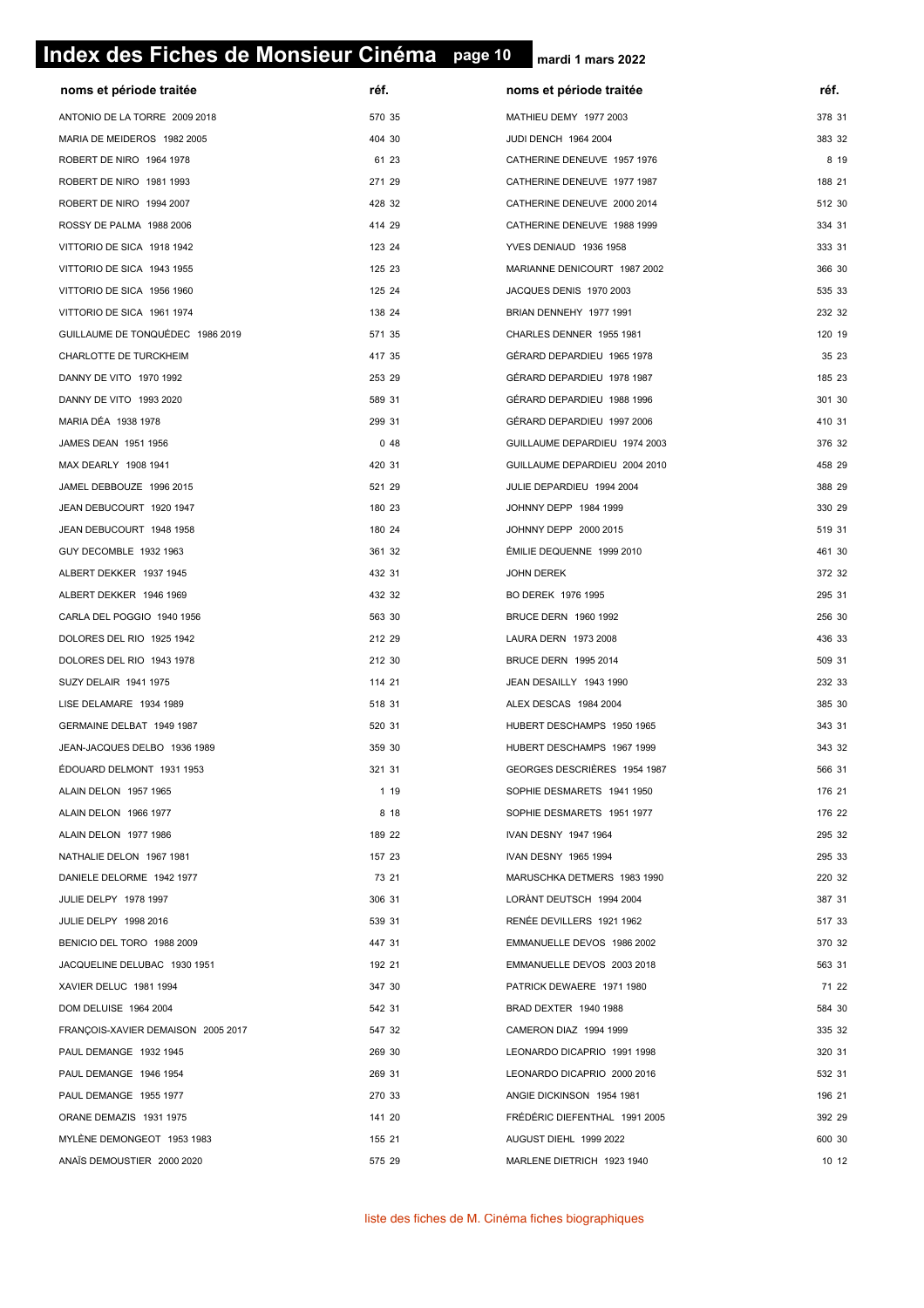# **page 10 Index des Fiches de Monsieur Cinéma page 10**

| noms et période traitée            | réf.   | noms et période traitée       | réf.   |
|------------------------------------|--------|-------------------------------|--------|
| ANTONIO DE LA TORRE 2009 2018      | 570 35 | MATHIEU DEMY 1977 2003        | 378 31 |
| MARIA DE MEIDEROS 1982 2005        | 404 30 | JUDI DENCH 1964 2004          | 383 32 |
| ROBERT DE NIRO 1964 1978           | 61 23  | CATHERINE DENEUVE 1957 1976   | 8 19   |
| ROBERT DE NIRO 1981 1993           | 271 29 | CATHERINE DENEUVE 1977 1987   | 188 21 |
| ROBERT DE NIRO 1994 2007           | 428 32 | CATHERINE DENEUVE 2000 2014   | 512 30 |
| ROSSY DE PALMA 1988 2006           | 414 29 | CATHERINE DENEUVE 1988 1999   | 334 31 |
| VITTORIO DE SICA 1918 1942         | 123 24 | YVES DENIAUD 1936 1958        | 333 31 |
| VITTORIO DE SICA 1943 1955         | 125 23 | MARIANNE DENICOURT 1987 2002  | 366 30 |
| VITTORIO DE SICA 1956 1960         | 125 24 | JACQUES DENIS 1970 2003       | 535 33 |
| VITTORIO DE SICA 1961 1974         | 138 24 | BRIAN DENNEHY 1977 1991       | 232 32 |
| GUILLAUME DE TONQUÉDEC 1986 2019   | 571 35 | CHARLES DENNER 1955 1981      | 120 19 |
| CHARLOTTE DE TURCKHEIM             | 417 35 | GÉRARD DEPARDIEU 1965 1978    | 35 23  |
| DANNY DE VITO 1970 1992            | 253 29 | GÉRARD DEPARDIEU 1978 1987    | 185 23 |
| DANNY DE VITO 1993 2020            | 589 31 | GÉRARD DEPARDIEU 1988 1996    | 301 30 |
| MARIA DÉA 1938 1978                | 299 31 | GÉRARD DEPARDIEU 1997 2006    | 410 31 |
| JAMES DEAN 1951 1956               | 048    | GUILLAUME DEPARDIEU 1974 2003 | 376 32 |
| MAX DEARLY 1908 1941               | 420 31 | GUILLAUME DEPARDIEU 2004 2010 | 458 29 |
| JAMEL DEBBOUZE 1996 2015           | 521 29 | JULIE DEPARDIEU 1994 2004     | 388 29 |
| JEAN DEBUCOURT 1920 1947           | 180 23 | JOHNNY DEPP 1984 1999         | 330 29 |
| JEAN DEBUCOURT 1948 1958           | 180 24 | JOHNNY DEPP 2000 2015         | 519 31 |
| GUY DECOMBLE 1932 1963             | 361 32 | ÉMILIE DEQUENNE 1999 2010     | 461 30 |
| ALBERT DEKKER 1937 1945            | 432 31 | JOHN DEREK                    | 372 32 |
| ALBERT DEKKER 1946 1969            | 432 32 | BO DEREK 1976 1995            | 295 31 |
| CARLA DEL POGGIO 1940 1956         | 563 30 | BRUCE DERN 1960 1992          | 256 30 |
| DOLORES DEL RIO 1925 1942          | 212 29 | LAURA DERN 1973 2008          | 436 33 |
| DOLORES DEL RIO 1943 1978          | 212 30 | BRUCE DERN 1995 2014          | 509 31 |
| SUZY DELAIR 1941 1975              | 114 21 | JEAN DESAILLY 1943 1990       | 232 33 |
| LISE DELAMARE 1934 1989            | 518 31 | ALEX DESCAS 1984 2004         | 385 30 |
| GERMAINE DELBAT 1949 1987          | 520 31 | HUBERT DESCHAMPS 1950 1965    | 343 31 |
| JEAN-JACQUES DELBO 1936 1989       | 359 30 | HUBERT DESCHAMPS 1967 1999    | 343 32 |
| ÉDOUARD DELMONT 1931 1953          | 321 31 | GEORGES DESCRIÈRES 1954 1987  | 566 31 |
| ALAIN DELON 1957 1965              | 1 19   | SOPHIE DESMARETS 1941 1950    | 176 21 |
| ALAIN DELON 1966 1977              | 8 18   | SOPHIE DESMARETS 1951 1977    | 176 22 |
| ALAIN DELON 1977 1986              | 189 22 | IVAN DESNY 1947 1964          | 295 32 |
| NATHALIE DELON 1967 1981           | 157 23 | IVAN DESNY 1965 1994          | 295 33 |
| DANIELE DELORME 1942 1977          | 73 21  | MARUSCHKA DETMERS 1983 1990   | 220 32 |
| JULIE DELPY 1978 1997              | 306 31 | LORÀNT DEUTSCH 1994 2004      | 387 31 |
| JULIE DELPY 1998 2016              | 539 31 | RENÉE DEVILLERS 1921 1962     | 517 33 |
| BENICIO DEL TORO 1988 2009         | 447 31 | EMMANUELLE DEVOS 1986 2002    | 370 32 |
| JACQUELINE DELUBAC 1930 1951       | 192 21 | EMMANUELLE DEVOS 2003 2018    | 563 31 |
| XAVIER DELUC 1981 1994             | 347 30 | PATRICK DEWAERE 1971 1980     | 71 22  |
| DOM DELUISE 1964 2004              | 542 31 | BRAD DEXTER 1940 1988         | 584 30 |
| FRANÇOIS-XAVIER DEMAISON 2005 2017 | 547 32 | CAMERON DIAZ 1994 1999        | 335 32 |
| PAUL DEMANGE 1932 1945             | 269 30 | LEONARDO DICAPRIO 1991 1998   | 320 31 |
| PAUL DEMANGE 1946 1954             | 269 31 | LEONARDO DICAPRIO 2000 2016   | 532 31 |
| PAUL DEMANGE 1955 1977             | 270 33 | ANGIE DICKINSON 1954 1981     | 196 21 |
| ORANE DEMAZIS 1931 1975            | 141 20 | FRÉDÉRIC DIEFENTHAL 1991 2005 | 392 29 |
| MYLÈNE DEMONGEOT 1953 1983         | 155 21 | AUGUST DIEHL 1999 2022        | 600 30 |
| ANAÏS DEMOUSTIER 2000 2020         | 575 29 | MARLENE DIETRICH 1923 1940    | 10 12  |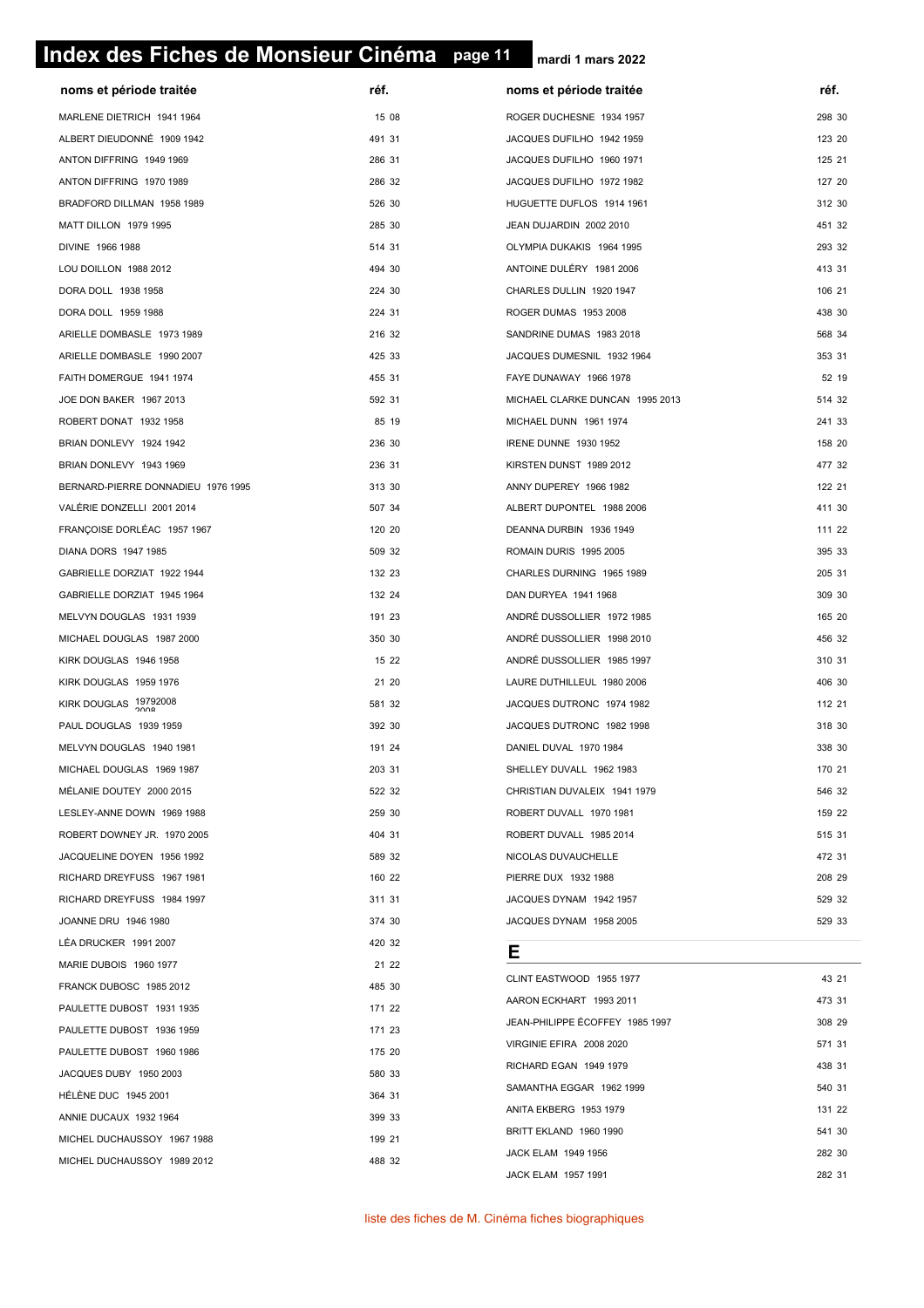# **page 11 Index des Fiches de Monsieur Cinéma page 11**

| noms et période traitée            | réf.   | noms et période traitée         | réf.   |
|------------------------------------|--------|---------------------------------|--------|
| MARLENE DIETRICH 1941 1964         | 15 08  | ROGER DUCHESNE 1934 1957        | 298 30 |
| ALBERT DIEUDONNÉ 1909 1942         | 491 31 | JACQUES DUFILHO 1942 1959       | 123 20 |
| ANTON DIFFRING 1949 1969           | 286 31 | JACQUES DUFILHO 1960 1971       | 125 21 |
| ANTON DIFFRING 1970 1989           | 286 32 | JACQUES DUFILHO 1972 1982       | 127 20 |
| BRADFORD DILLMAN 1958 1989         | 526 30 | HUGUETTE DUFLOS 1914 1961       | 312 30 |
| MATT DILLON 1979 1995              | 285 30 | JEAN DUJARDIN 2002 2010         | 451 32 |
| DIVINE 1966 1988                   | 514 31 | OLYMPIA DUKAKIS 1964 1995       | 293 32 |
| LOU DOILLON 1988 2012              | 494 30 | ANTOINE DULÉRY 1981 2006        | 413 31 |
| DORA DOLL 1938 1958                | 224 30 | CHARLES DULLIN 1920 1947        | 106 21 |
| DORA DOLL 1959 1988                | 224 31 | ROGER DUMAS 1953 2008           | 438 30 |
| ARIELLE DOMBASLE 1973 1989         | 216 32 | SANDRINE DUMAS 1983 2018        | 568 34 |
| ARIELLE DOMBASLE 1990 2007         | 425 33 | JACQUES DUMESNIL 1932 1964      | 353 31 |
| FAITH DOMERGUE 1941 1974           | 455 31 | FAYE DUNAWAY 1966 1978          | 52 19  |
| JOE DON BAKER 1967 2013            | 592 31 | MICHAEL CLARKE DUNCAN 1995 2013 | 514 32 |
| ROBERT DONAT 1932 1958             | 85 19  | MICHAEL DUNN 1961 1974          | 241 33 |
| BRIAN DONLEVY 1924 1942            | 236 30 | IRENE DUNNE 1930 1952           | 158 20 |
| BRIAN DONLEVY 1943 1969            | 236 31 | KIRSTEN DUNST 1989 2012         | 477 32 |
| BERNARD-PIERRE DONNADIEU 1976 1995 | 313 30 | ANNY DUPEREY 1966 1982          | 122 21 |
| VALÉRIE DONZELLI 2001 2014         | 507 34 | ALBERT DUPONTEL 1988 2006       | 411 30 |
| FRANÇOISE DORLÉAC 1957 1967        | 120 20 | DEANNA DURBIN 1936 1949         | 111 22 |
| DIANA DORS 1947 1985               | 509 32 | ROMAIN DURIS 1995 2005          | 395 33 |
| GABRIELLE DORZIAT 1922 1944        | 132 23 | CHARLES DURNING 1965 1989       | 205 31 |
| GABRIELLE DORZIAT 1945 1964        | 132 24 | DAN DURYEA 1941 1968            | 309 30 |
| MELVYN DOUGLAS 1931 1939           | 191 23 | ANDRÉ DUSSOLLIER 1972 1985      | 165 20 |
| MICHAEL DOUGLAS 1987 2000          | 350 30 | ANDRÉ DUSSOLLIER 1998 2010      | 456 32 |
| KIRK DOUGLAS 1946 1958             | 15 22  | ANDRÉ DUSSOLLIER 1985 1997      | 310 31 |
| KIRK DOUGLAS 1959 1976             | 21 20  | LAURE DUTHILLEUL 1980 2006      | 406 30 |
| KIRK DOUGLAS 19792008              | 581 32 | JACQUES DUTRONC 1974 1982       | 112 21 |
| PAUL DOUGLAS 1939 1959             | 392 30 | JACQUES DUTRONC 1982 1998       | 318 30 |
| MELVYN DOUGLAS 1940 1981           | 191 24 | DANIEL DUVAL 1970 1984          | 338 30 |
| MICHAEL DOUGLAS 1969 1987          | 203 31 | SHELLEY DUVALL 1962 1983        | 170 21 |
| MÉLANIE DOUTEY 2000 2015           | 522 32 | CHRISTIAN DUVALEIX 1941 1979    | 546 32 |
| LESLEY-ANNE DOWN 1969 1988         | 259 30 | ROBERT DUVALL 1970 1981         | 159 22 |
| ROBERT DOWNEY JR. 1970 2005        | 404 31 | ROBERT DUVALL 1985 2014         | 515 31 |
| JACQUELINE DOYEN 1956 1992         | 589 32 | NICOLAS DUVAUCHELLE             | 472 31 |
| RICHARD DREYFUSS 1967 1981         | 160 22 | PIERRE DUX 1932 1988            | 208 29 |
| RICHARD DREYFUSS 1984 1997         | 311 31 | JACQUES DYNAM 1942 1957         | 529 32 |
| JOANNE DRU 1946 1980               | 374 30 | JACQUES DYNAM 1958 2005         | 529 33 |
| LÉA DRUCKER 1991 2007              | 420 32 | Е                               |        |
| MARIE DUBOIS 1960 1977             | 21 22  | CLINT EASTWOOD 1955 1977        | 43 21  |
| FRANCK DUBOSC 1985 2012            | 485 30 | AARON ECKHART 1993 2011         | 473 31 |
| PAULETTE DUBOST 1931 1935          | 171 22 | JEAN-PHILIPPE ÉCOFFEY 1985 1997 | 308 29 |
| PAULETTE DUBOST 1936 1959          | 171 23 | VIRGINIE EFIRA 2008 2020        | 571 31 |
| PAULETTE DUBOST 1960 1986          | 175 20 | RICHARD EGAN 1949 1979          | 438 31 |
| JACQUES DUBY 1950 2003             | 580 33 | SAMANTHA EGGAR 1962 1999        | 540 31 |
| <b>HÉLÈNE DUC 1945 2001</b>        | 364 31 | ANITA EKBERG 1953 1979          | 131 22 |
| ANNIE DUCAUX 1932 1964             | 399 33 | BRITT EKLAND 1960 1990          | 541 30 |
| MICHEL DUCHAUSSOY 1967 1988        | 199 21 | JACK ELAM 1949 1956             | 282 30 |
| MICHEL DUCHAUSSOY 1989 2012        | 488 32 | <b>JACK ELAM 1957 1991</b>      | 282 31 |
|                                    |        |                                 |        |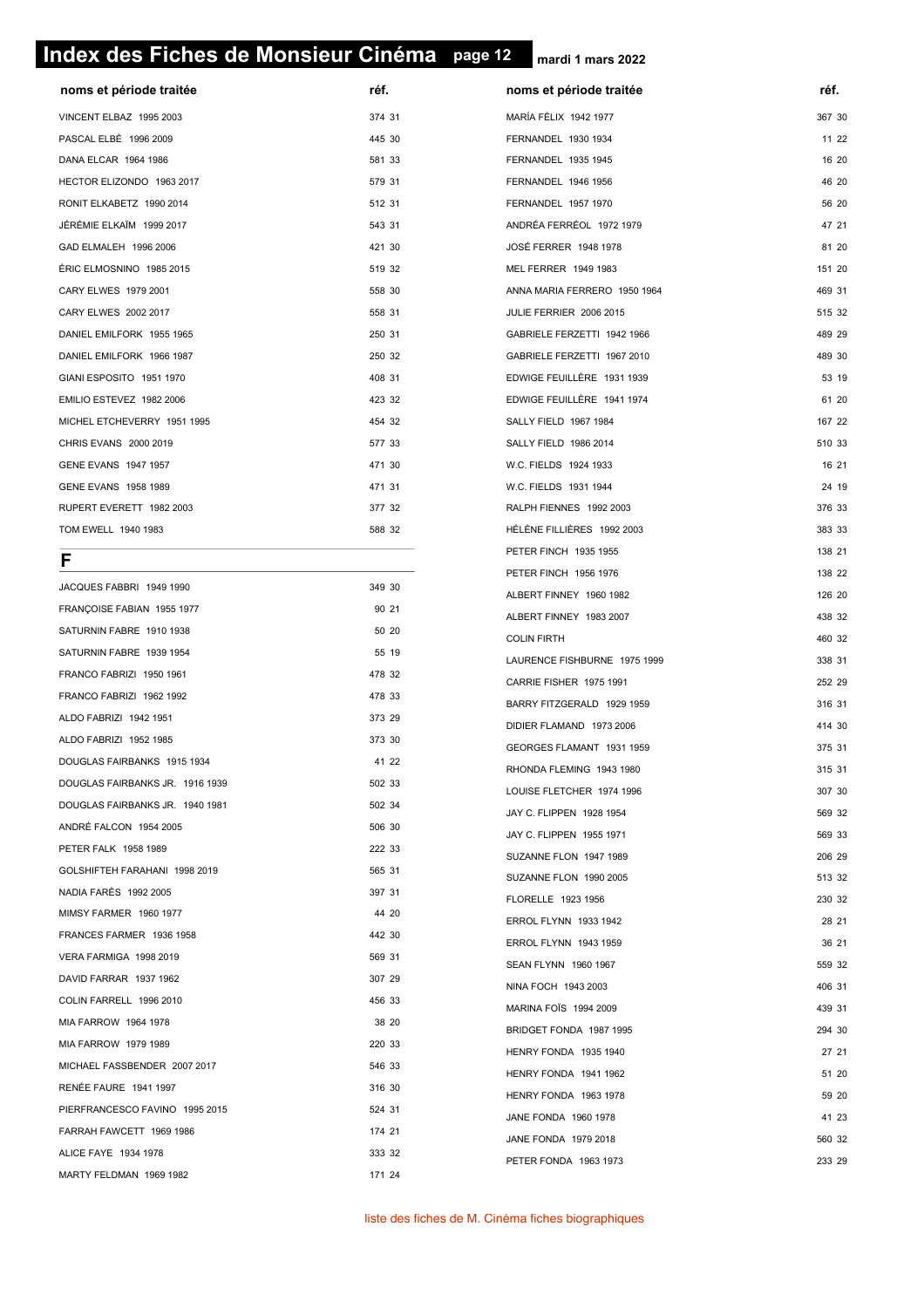# **page 12 Index des Fiches de Monsieur Cinéma page 12**

**mardi 1 mars 2022**

| noms et période traitée     | réf.   |  |
|-----------------------------|--------|--|
| VINCENT ELBAZ 1995 2003     | 374 31 |  |
| PASCAL ELBÉ 1996 2009       | 445 30 |  |
| DANA ELCAR 1964 1986        | 581 33 |  |
| HECTOR ELIZONDO 1963 2017   | 579 31 |  |
| RONIT ELKABETZ 1990 2014    | 512 31 |  |
| JÉRÉMIE ELKAÏM 1999 2017    | 543 31 |  |
| GAD ELMALEH 1996 2006       | 421 30 |  |
| ÉRIC ELMOSNINO 1985 2015    | 519 32 |  |
| CARY ELWES 1979 2001        | 558 30 |  |
| CARY ELWES 2002 2017        | 558 31 |  |
| DANIEL EMILFORK 1955 1965   | 250 31 |  |
| DANIEL EMILFORK 1966 1987   | 250 32 |  |
| GIANI ESPOSITO 1951 1970    | 408 31 |  |
| EMILIO ESTEVEZ 1982 2006    | 423 32 |  |
| MICHEL ETCHEVERRY 1951 1995 | 454 32 |  |
| CHRIS EVANS 2000 2019       | 577 33 |  |
| <b>GENE EVANS 1947 1957</b> | 471 30 |  |
| GENE EVANS 1958 1989        | 471 31 |  |
| RUPERT EVERETT 1982 2003    | 377 32 |  |
| TOM EWELL 1940 1983         | 588 32 |  |
|                             |        |  |

#### **F**

| JACQUES FABBRI 1949 1990        | 349 30 |
|---------------------------------|--------|
| FRANÇOISE FABIAN 1955 1977      | 90 21  |
| SATURNIN FABRE 1910 1938        | 50 20  |
| SATURNIN FABRE 1939 1954        | 55 19  |
| FRANCO FABRIZI 1950 1961        | 478 32 |
| FRANCO FABRIZI 1962 1992        | 478 33 |
| ALDO FABRIZI 1942 1951          | 373 29 |
| ALDO FABRIZI 1952 1985          | 373 30 |
| DOUGLAS FAIRBANKS 1915 1934     | 41 22  |
| DOUGLAS FAIRBANKS JR. 1916 1939 | 502 33 |
| DOUGLAS FAIRBANKS JR. 1940 1981 | 502 34 |
| ANDRÉ FALCON 1954 2005          | 506 30 |
| PETER FALK 1958 1989            | 222 33 |
| GOLSHIFTEH FARAHANI 1998 2019   | 565 31 |
| <b>NADIA FARÈS 1992 2005</b>    | 397 31 |
| MIMSY FARMER 1960 1977          | 44 20  |
| FRANCES FARMER 1936 1958        | 442 30 |
| VERA FARMIGA 1998 2019          | 569 31 |
| DAVID FARRAR 1937 1962          | 307 29 |
| COLIN FARRELL 1996 2010         | 456 33 |
| MIA FARROW 1964 1978            | 38 20  |
| MIA FARROW 1979 1989            | 220 33 |
| MICHAEL FASSBENDER 2007 2017    | 546 33 |
| RENÉE FAURE 1941 1997           | 316 30 |
| PIERFRANCESCO FAVINO 1995 2015  | 524 31 |
| FARRAH FAWCETT 1969 1986        | 174 21 |
| ALICE FAYE 1934 1978            | 333 32 |
| MARTY FELDMAN 1969 1982         | 171 24 |

| noms et période traitée       | réf.   |
|-------------------------------|--------|
| <b>MARÍA FÉLIX 1942 1977</b>  | 367 30 |
| FERNANDEL 1930 1934           | 11 22  |
| FERNANDEL 1935 1945           | 16 20  |
| <b>FERNANDEL 1946 1956</b>    | 46 20  |
| FERNANDEL 1957 1970           | 56 20  |
| ANDRÉA FERRÉOL 1972 1979      | 47 21  |
| <b>JOSÉ FERRER 1948 1978</b>  | 81 20  |
| MEL FERRER 1949 1983          | 151 20 |
| ANNA MARIA FERRERO 1950 1964  | 469 31 |
| JULIE FERRIER 2006 2015       | 515 32 |
| GABRIELE FERZETTI 1942 1966   | 489 29 |
| GABRIELE FERZETTI 1967 2010   | 489 30 |
| EDWIGE FEUILLÈRE 1931 1939    | 53 19  |
| EDWIGE FEUILLÈRE 1941 1974    | 61 20  |
| SALLY FIELD 1967 1984         | 167 22 |
| SALLY FIELD 1986 2014         | 510 33 |
| W.C. FIELDS 1924 1933         | 16 21  |
| W.C. FIELDS 1931 1944         | 24 19  |
| RALPH FIENNES 1992 2003       | 376 33 |
| HÉLÈNE FILLIÈRES 1992 2003    | 383 33 |
| PETER FINCH 1935 1955         | 138 21 |
| PETER FINCH 1956 1976         | 138 22 |
| ALBERT FINNEY 1960 1982       | 126 20 |
| ALBERT FINNEY 1983 2007       | 438 32 |
| <b>COLIN FIRTH</b>            | 460 32 |
| LAURENCE FISHBURNE 1975 1999  | 338 31 |
| CARRIE FISHER 1975 1991       | 252 29 |
| BARRY FITZGERALD 1929 1959    | 316 31 |
| DIDIER FLAMAND 1973 2006      | 414 30 |
| GEORGES FLAMANT 1931 1959     | 375 31 |
| RHONDA FLEMING 1943 1980      | 315 31 |
| LOUISE FLETCHER 1974 1996     | 307 30 |
| JAY C. FLIPPEN 1928 1954      | 569 32 |
| JAY C. FLIPPEN 1955 1971      | 569 33 |
| SUZANNE FLON 1947 1989        | 206 29 |
| <b>SUZANNE FLON 1990 2005</b> | 513 32 |
| FLORELLE 1923 1956            | 230 32 |
| ERROL FLYNN 1933 1942         | 28 21  |
| ERROL FLYNN 1943 1959         | 36 21  |
| SEAN FLYNN 1960 1967          | 559 32 |
| NINA FOCH 1943 2003           | 406 31 |
| MARINA FOÏS 1994 2009         | 439 31 |
| BRIDGET FONDA 1987 1995       | 294 30 |
| HENRY FONDA 1935 1940         | 27 21  |
| HENRY FONDA 1941 1962         | 51 20  |
| HENRY FONDA 1963 1978         | 59 20  |
| JANE FONDA 1960 1978          | 41 23  |
| JANE FONDA 1979 2018          | 560 32 |
| PETER FONDA 1963 1973         | 233 29 |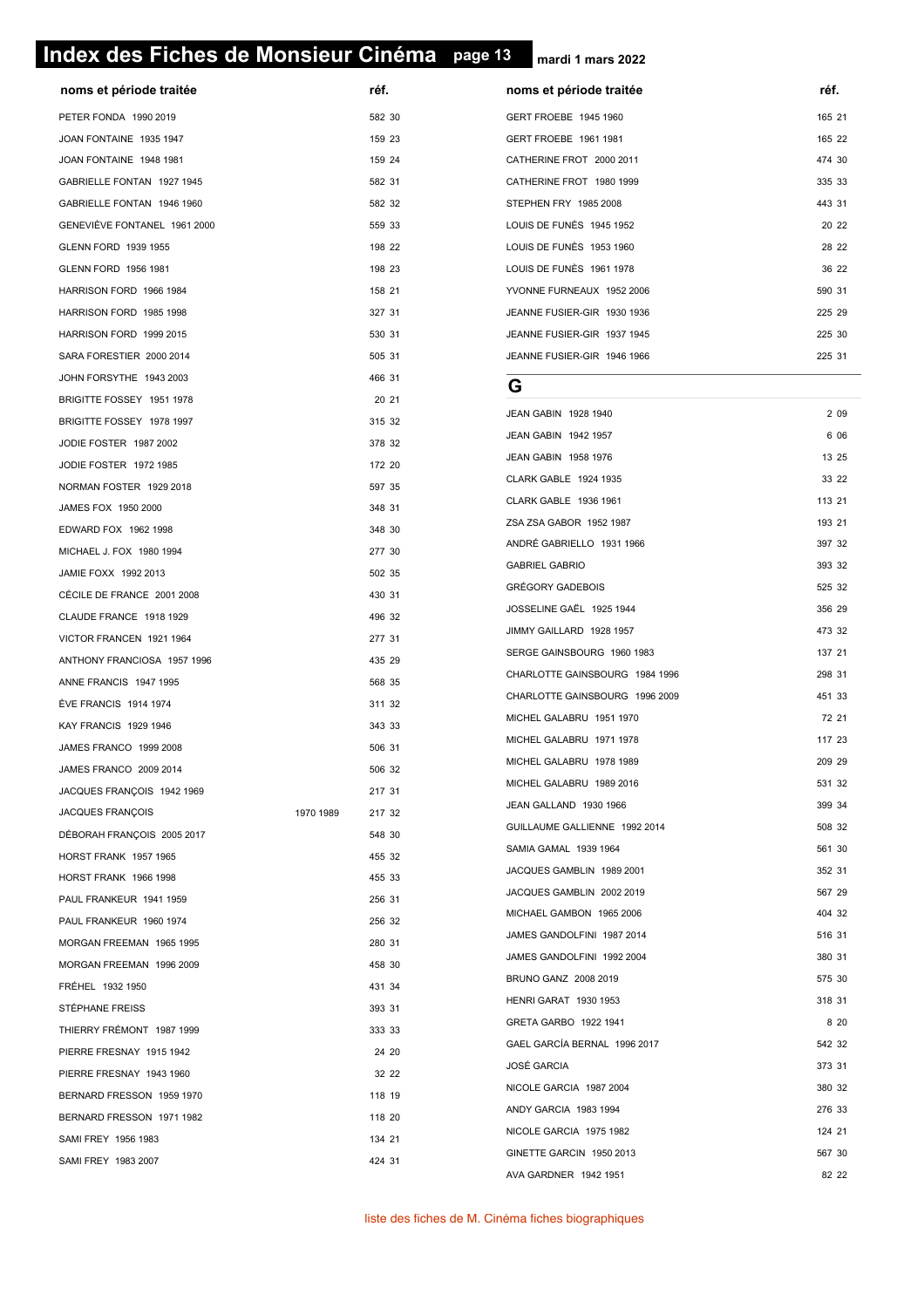# **page 13 Index des Fiches de Monsieur Cinéma page 13**

**mardi 1 mars 2022**

| noms et période traitée                              |           | réf.   | noms et période traitée        | réf.            |
|------------------------------------------------------|-----------|--------|--------------------------------|-----------------|
| PETER FONDA 1990 2019                                |           | 582 30 | GERT FROEBE 1945 1960          | 165             |
| JOAN FONTAINE 1935 1947                              |           | 159 23 | GERT FROEBE 1961 1981          | 165             |
| JOAN FONTAINE 1948 1981                              |           | 159 24 | CATHERINE FROT 2000 2011       | 474             |
| GABRIELLE FONTAN 1927 1945                           |           | 582 31 | CATHERINE FROT 1980 1999       | 335             |
| GABRIELLE FONTAN 1946 1960                           |           | 582 32 | STEPHEN FRY 1985 2008          | 443             |
| GENEVIEVE FONTANEL 1961 2000                         |           | 559 33 | LOUIS DE FUNÉS 1945 1952       | 20:             |
| GLENN FORD 1939 1955                                 |           | 198 22 | LOUIS DE FUNÈS 1953 1960       | 28:             |
| GLENN FORD 1956 1981                                 |           | 198 23 | LOUIS DE FUNÈS 1961 1978       | 36              |
| HARRISON FORD 1966 1984                              |           | 158 21 | YVONNE FURNEAUX 1952 2006      | 590             |
| HARRISON FORD 1985 1998                              |           | 327 31 | JEANNE FUSIER-GIR 1930 1936    | 225             |
| HARRISON FORD 1999 2015                              |           | 530 31 | JEANNE FUSIER-GIR 1937 1945    | 225             |
| SARA FORESTIER 2000 2014                             |           | 505 31 | JEANNE FUSIER-GIR 1946 1966    | 225             |
| JOHN FORSYTHE 1943 2003                              |           | 466 31 |                                |                 |
| BRIGITTE FOSSEY 1951 1978                            |           | 20 21  | G                              |                 |
| BRIGITTE FOSSEY 1978 1997                            |           | 315 32 | JEAN GABIN 1928 1940           | 2 <sub>1</sub>  |
| JODIE FOSTER 1987 2002                               |           | 378 32 | JEAN GABIN 1942 1957           | 6 <sub>1</sub>  |
| JODIE FOSTER 1972 1985                               |           | 172 20 | JEAN GABIN 1958 1976           | 13              |
| NORMAN FOSTER 1929 2018                              |           | 597 35 | CLARK GABLE 1924 1935          | 33 <sup>3</sup> |
| JAMES FOX 1950 2000                                  |           | 348 31 | CLARK GABLE 1936 1961          | 113:            |
| EDWARD FOX 1962 1998                                 |           | 348 30 | ZSA ZSA GABOR 1952 1987        | 193             |
| MICHAEL J. FOX 1980 1994                             |           | 277 30 | ANDRÉ GABRIELLO 1931 1966      | 397             |
| JAMIE FOXX 1992 2013                                 |           | 502 35 | <b>GABRIEL GABRIO</b>          | 393             |
| CÉCILE DE FRANCE 2001 2008                           |           | 430 31 | <b>GRÉGORY GADEBOIS</b>        | 525             |
| CLAUDE FRANCE 1918 1929                              |           | 496 32 | JOSSELINE GAËL 1925 1944       | 356             |
| VICTOR FRANCEN 1921 1964                             |           | 277 31 | JIMMY GAILLARD 1928 1957       | 473             |
| ANTHONY FRANCIOSA 1957 1996                          |           | 435 29 | SERGE GAINSBOURG 1960 1983     | 137             |
| ANNE FRANCIS 1947 1995                               |           | 568 35 | CHARLOTTE GAINSBOURG 1984 1996 | 298             |
| ÈVE FRANCIS 1914 1974                                |           | 311 32 | CHARLOTTE GAINSBOURG 1996 2009 | 451             |
| <b>KAY FRANCIS 1929 1946</b>                         |           | 343 33 | MICHEL GALABRU 1951 1970       | 72:             |
|                                                      |           |        | MICHEL GALABRU 1971 1978       | 117:            |
| JAMES FRANCO 1999 2008                               |           | 506 31 | MICHEL GALABRU 1978 1989       | 209             |
| JAMES FRANCO 2009 2014<br>JACQUES FRANÇOIS 1942 1969 |           | 506 32 | MICHEL GALABRU 1989 2016       | 531             |
| JACQUES FRANÇOIS                                     | 1970 1989 | 217 31 | JEAN GALLAND 1930 1966         | 399             |
|                                                      |           | 217 32 | GUILLAUME GALLIENNE 1992 2014  | 508             |
| DÉBORAH FRANÇOIS 2005 2017<br>HORST FRANK 1957 1965  |           | 548 30 | SAMIA GAMAL 1939 1964          | 561             |
|                                                      |           | 455 32 | JACQUES GAMBLIN 1989 2001      | 352:            |
| HORST FRANK 1966 1998                                |           | 455 33 | JACQUES GAMBLIN 2002 2019      | 567             |
| PAUL FRANKEUR 1941 1959                              |           | 256 31 | MICHAEL GAMBON 1965 2006       | 404             |
| PAUL FRANKEUR 1960 1974                              |           | 256 32 | JAMES GANDOLFINI 1987 2014     | 516:            |
| MORGAN FREEMAN 1965 1995                             |           | 280 31 | JAMES GANDOLFINI 1992 2004     | 380             |
| MORGAN FREEMAN 1996 2009                             |           | 458 30 | BRUNO GANZ 2008 2019           | 575             |
| FREHEL 1932 1950                                     |           | 431 34 | <b>HENRI GARAT 1930 1953</b>   | 318:            |
| STÉPHANE FREISS                                      |           | 393 31 | GRETA GARBO 1922 1941          | 8               |
| THIERRY FRÉMONT 1987 1999                            |           | 333 33 | GAEL GARCÍA BERNAL 1996 2017   | 542             |
| PIERRE FRESNAY 1915 1942                             |           | 24 20  | JOSÉ GARCIA                    | 373             |
| PIERRE FRESNAY 1943 1960                             |           | 32 22  | NICOLE GARCIA 1987 2004        | 380             |
| BERNARD FRESSON 1959 1970                            |           | 118 19 | ANDY GARCIA 1983 1994          | 276             |
| BERNARD FRESSON 1971 1982                            |           | 118 20 | NICOLE GARCIA 1975 1982        | 124:            |
| SAMI FREY 1956 1983                                  |           | 134 21 | GINETTE GARCIN 1950 2013       | 567             |
| SAMI FREY 1983 2007                                  |           | 424 31 | AVA GARDNER 1942 1951          | 82              |
|                                                      |           |        |                                |                 |

| noms et période traitée     | réf.   |
|-----------------------------|--------|
| GERT FROEBE 1945 1960       | 165 21 |
| GERT FROEBE 1961 1981       | 165 22 |
| CATHERINE FROT 2000 2011    | 474 30 |
| CATHERINE FROT 1980 1999    | 335 33 |
| STEPHEN FRY 1985 2008       | 443 31 |
| LOUIS DE FUNÈS 1945 1952    | 20 22  |
| LOUIS DE FUNÈS 1953 1960    | 28 22  |
| LOUIS DE FUNÈS 1961 1978    | 36 22  |
| YVONNE FURNEAUX 1952 2006   | 590 31 |
| JEANNE FUSIER-GIR 1930 1936 | 225 29 |
| JEANNE FUSIER-GIR 1937 1945 | 225 30 |
| JEANNE FUSIER-GIR 1946 1966 | 225 31 |

#### **G**

| JEAN GABIN 1928 1940           | 2 0 9  |
|--------------------------------|--------|
| JEAN GABIN 1942 1957           | 6 0 6  |
| JEAN GABIN 1958 1976           | 13 25  |
| CLARK GABLE 1924 1935          | 33 22  |
| CLARK GABLE 1936 1961          | 113 21 |
| ZSA ZSA GABOR 1952 1987        | 193 21 |
| ANDRÉ GABRIELLO 1931 1966      | 397 32 |
| <b>GABRIEL GABRIO</b>          | 393 32 |
| <b>GRÉGORY GADEBOIS</b>        | 525 32 |
| JOSSELINE GAËL 1925 1944       | 356 29 |
| JIMMY GAILLARD 1928 1957       | 473 32 |
| SERGE GAINSBOURG 1960 1983     | 137 21 |
| CHARLOTTE GAINSBOURG 1984 1996 | 298 31 |
| CHARLOTTE GAINSBOURG 1996 2009 | 451 33 |
| MICHEL GALABRU 1951 1970       | 72 21  |
| MICHEL GALABRU 1971 1978       | 117 23 |
| MICHEL GALABRU 1978 1989       | 209 29 |
| MICHEL GALABRU 1989 2016       | 531 32 |
| JEAN GALLAND 1930 1966         | 399 34 |
| GUILLAUME GALLIENNE 1992 2014  | 508 32 |
| <b>SAMIA GAMAL 1939 1964</b>   | 561 30 |
| JACQUES GAMBLIN 1989 2001      | 352 31 |
| JACQUES GAMBLIN 2002 2019      | 567 29 |
| MICHAEL GAMBON 1965 2006       | 404 32 |
| JAMES GANDOLFINI 1987 2014     | 516 31 |
| JAMES GANDOLFINI 1992 2004     | 380 31 |
| BRUNO GANZ 2008 2019           | 575 30 |
| <b>HENRI GARAT 1930 1953</b>   | 318 31 |
| GRETA GARBO 1922 1941          | 8 2 0  |
| GAEL GARCÍA BERNAL 1996 2017   | 542 32 |
| <b>JOSÉ GARCIA</b>             | 373 31 |
| NICOLE GARCIA 1987 2004        | 380 32 |
| ANDY GARCIA 1983 1994          | 276 33 |
| NICOLE GARCIA 1975 1982        | 124 21 |
| GINETTE GARCIN 1950 2013       | 567 30 |
| AVA GARDNER 1942 1951          | 82 22  |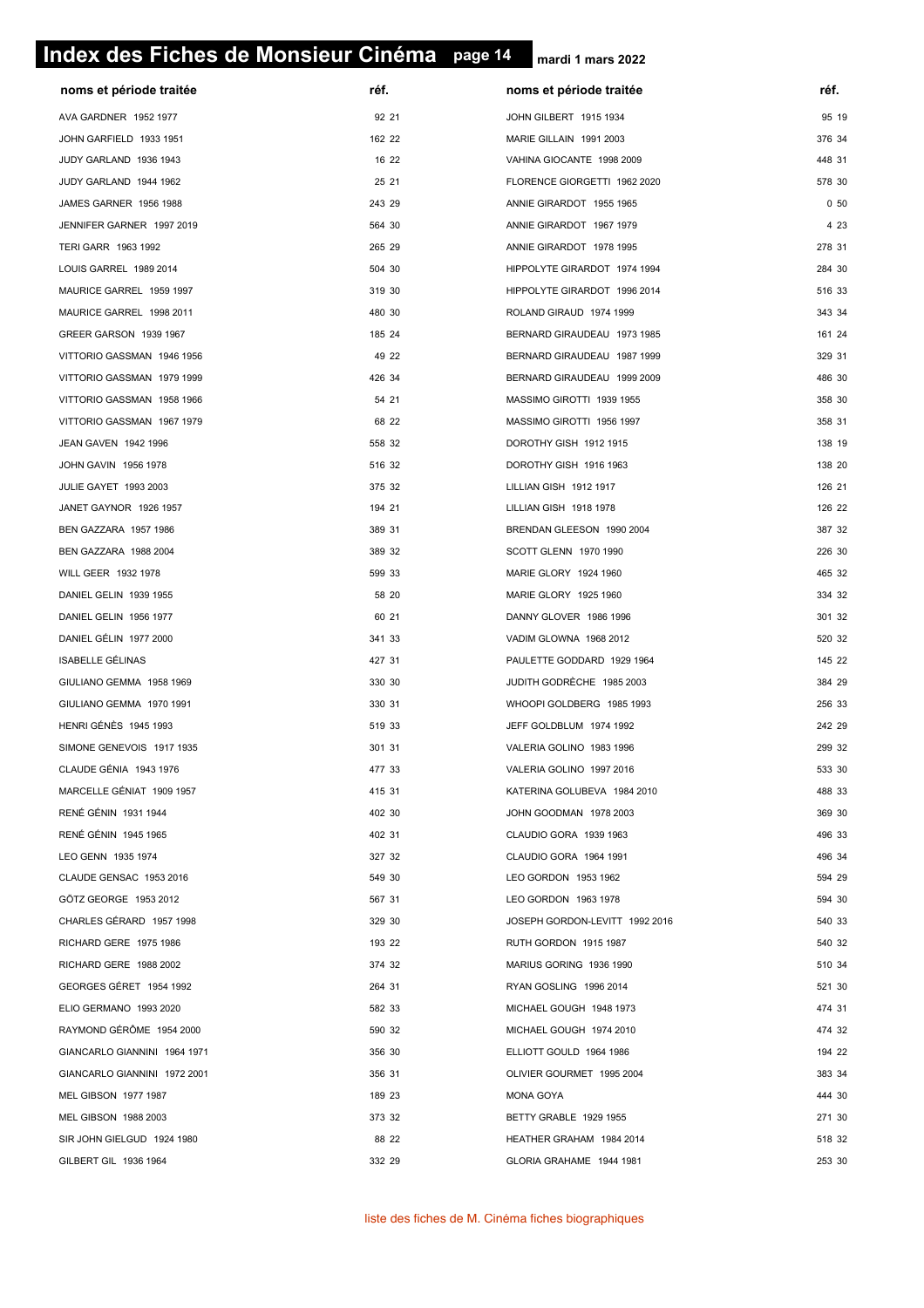# **page 14 Index des Fiches de Monsieur Cinéma page 14**

| noms et période traitée      | réf.   | noms et période traitée        | réf.   |
|------------------------------|--------|--------------------------------|--------|
| AVA GARDNER 1952 1977        | 92 21  | JOHN GILBERT 1915 1934         | 95 19  |
| JOHN GARFIELD 1933 1951      | 162 22 | MARIE GILLAIN 1991 2003        | 376 34 |
| JUDY GARLAND 1936 1943       | 16 22  | VAHINA GIOCANTE 1998 2009      | 448 31 |
| JUDY GARLAND 1944 1962       | 25 21  | FLORENCE GIORGETTI 1962 2020   | 578 30 |
| JAMES GARNER 1956 1988       | 243 29 | ANNIE GIRARDOT 1955 1965       | 050    |
| JENNIFER GARNER 1997 2019    | 564 30 | ANNIE GIRARDOT 1967 1979       | 4 2 3  |
| TERI GARR 1963 1992          | 265 29 | ANNIE GIRARDOT 1978 1995       | 278 31 |
| LOUIS GARREL 1989 2014       | 504 30 | HIPPOLYTE GIRARDOT 1974 1994   | 284 30 |
| MAURICE GARREL 1959 1997     | 319 30 | HIPPOLYTE GIRARDOT 1996 2014   | 516 33 |
| MAURICE GARREL 1998 2011     | 480 30 | ROLAND GIRAUD 1974 1999        | 343 34 |
| GREER GARSON 1939 1967       | 185 24 | BERNARD GIRAUDEAU 1973 1985    | 161 24 |
| VITTORIO GASSMAN 1946 1956   | 49 22  | BERNARD GIRAUDEAU 1987 1999    | 329 31 |
| VITTORIO GASSMAN 1979 1999   | 426 34 | BERNARD GIRAUDEAU 1999 2009    | 486 30 |
| VITTORIO GASSMAN 1958 1966   | 54 21  | MASSIMO GIROTTI 1939 1955      | 358 30 |
| VITTORIO GASSMAN 1967 1979   | 68 22  | MASSIMO GIROTTI 1956 1997      | 358 31 |
| JEAN GAVEN 1942 1996         | 558 32 | DOROTHY GISH 1912 1915         | 138 19 |
| JOHN GAVIN 1956 1978         | 516 32 | DOROTHY GISH 1916 1963         | 138 20 |
| JULIE GAYET 1993 2003        | 375 32 | LILLIAN GISH 1912 1917         | 126 21 |
| JANET GAYNOR 1926 1957       | 194 21 | LILLIAN GISH 1918 1978         | 126 22 |
| BEN GAZZARA 1957 1986        | 389 31 | BRENDAN GLEESON 1990 2004      | 387 32 |
| BEN GAZZARA 1988 2004        | 389 32 | SCOTT GLENN 1970 1990          | 226 30 |
| WILL GEER 1932 1978          | 599 33 | MARIE GLORY 1924 1960          | 465 32 |
| DANIEL GELIN 1939 1955       | 58 20  | MARIE GLORY 1925 1960          | 334 32 |
| DANIEL GELIN 1956 1977       | 60 21  | DANNY GLOVER 1986 1996         | 301 32 |
| DANIEL GÉLIN 1977 2000       | 341 33 | VADIM GLOWNA 1968 2012         | 520 32 |
| <b>ISABELLE GÉLINAS</b>      | 427 31 | PAULETTE GODDARD 1929 1964     | 145 22 |
| GIULIANO GEMMA 1958 1969     | 330 30 | JUDITH GODRÈCHE 1985 2003      | 384 29 |
| GIULIANO GEMMA 1970 1991     | 330 31 | WHOOPI GOLDBERG 1985 1993      | 256 33 |
| <b>HENRI GÉNÈS 1945 1993</b> | 519 33 | JEFF GOLDBLUM 1974 1992        | 242 29 |
| SIMONE GENEVOIS 1917 1935    | 301 31 | VALERIA GOLINO 1983 1996       | 299 32 |
| CLAUDE GÉNIA 1943 1976       | 477 33 | VALERIA GOLINO 1997 2016       | 533 30 |
| MARCELLE GÉNIAT 1909 1957    | 415 31 | KATERINA GOLUBEVA 1984 2010    | 488 33 |
| RENÉ GÉNIN 1931 1944         | 402 30 | JOHN GOODMAN 1978 2003         | 369 30 |
| <b>RENÉ GÉNIN 1945 1965</b>  | 402 31 | CLAUDIO GORA 1939 1963         | 496 33 |
| LEO GENN 1935 1974           | 327 32 | CLAUDIO GORA 1964 1991         | 496 34 |
| CLAUDE GENSAC 1953 2016      | 549 30 | LEO GORDON 1953 1962           | 594 29 |
| GÖTZ GEORGE 1953 2012        | 567 31 | LEO GORDON 1963 1978           | 594 30 |
| CHARLES GÉRARD 1957 1998     | 329 30 | JOSEPH GORDON-LEVITT 1992 2016 | 540 33 |
| RICHARD GERE 1975 1986       | 193 22 | RUTH GORDON 1915 1987          | 540 32 |
| RICHARD GERE 1988 2002       | 374 32 | MARIUS GORING 1936 1990        | 510 34 |
| GEORGES GÉRET 1954 1992      | 264 31 | RYAN GOSLING 1996 2014         | 521 30 |
| ELIO GERMANO 1993 2020       | 582 33 | MICHAEL GOUGH 1948 1973        | 474 31 |
| RAYMOND GÉRÖME 1954 2000     | 590 32 | MICHAEL GOUGH 1974 2010        | 474 32 |
| GIANCARLO GIANNINI 1964 1971 | 356 30 | ELLIOTT GOULD 1964 1986        | 194 22 |
| GIANCARLO GIANNINI 1972 2001 | 356 31 | OLIVIER GOURMET 1995 2004      | 383 34 |
| MEL GIBSON 1977 1987         | 189 23 | MONA GOYA                      | 444 30 |
| MEL GIBSON 1988 2003         | 373 32 | BETTY GRABLE 1929 1955         | 271 30 |
| SIR JOHN GIELGUD 1924 1980   | 88 22  | HEATHER GRAHAM 1984 2014       | 518 32 |
| GILBERT GIL 1936 1964        | 332 29 | GLORIA GRAHAME 1944 1981       | 253 30 |
|                              |        |                                |        |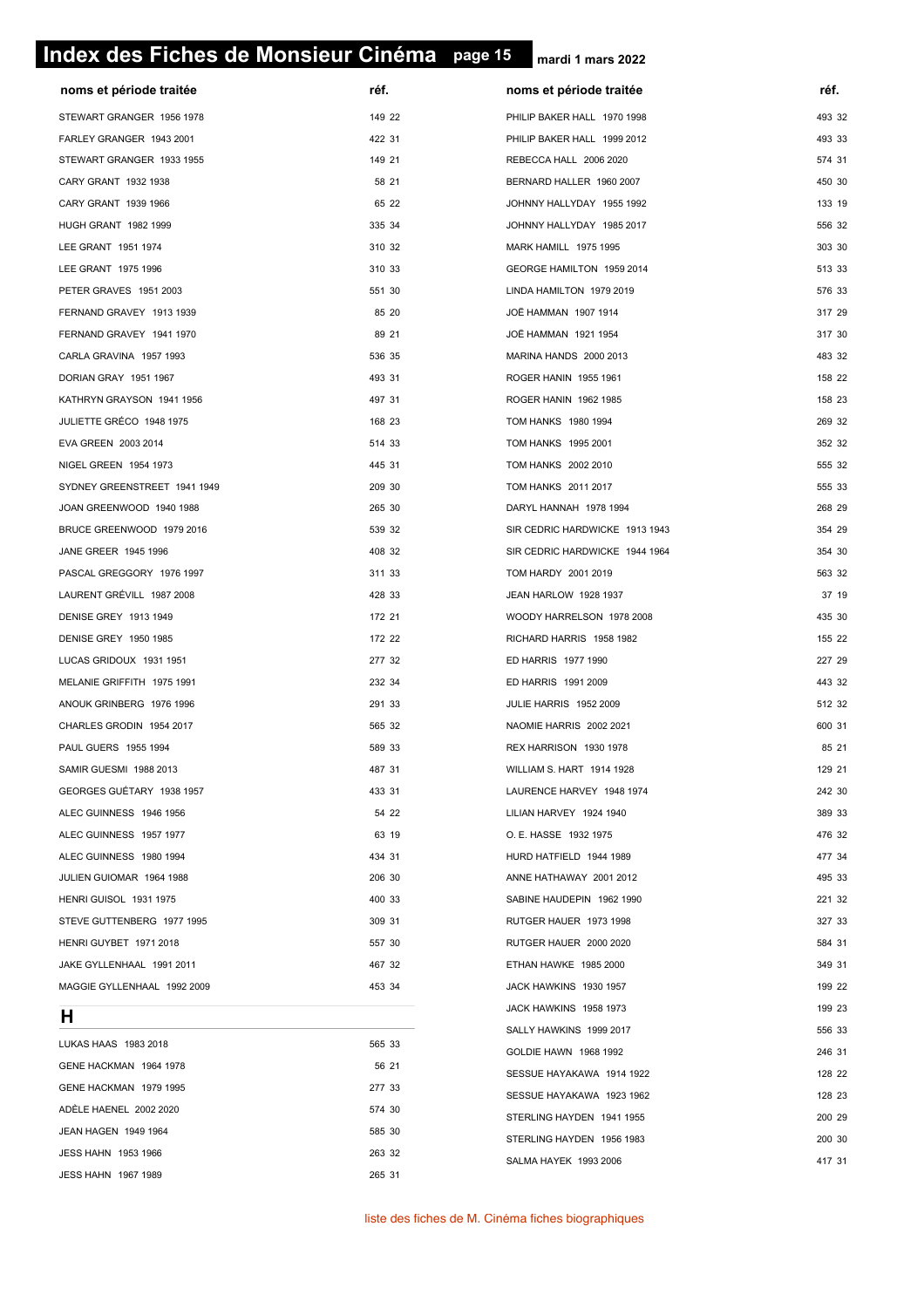# **page 15 Index des Fiches de Monsieur Cinéma page 15**

JEAN HAGEN 1949 1964 585 30 JESS HAHN 1953 1966 263 32 JESS HAHN 1967 1989 265 31 **mardi 1 mars 2022**

| noms et période traitée      | réf.   | noms et période traitée        | réf.   |
|------------------------------|--------|--------------------------------|--------|
| STEWART GRANGER 1956 1978    | 149 22 | PHILIP BAKER HALL 1970 1998    | 493 32 |
| FARLEY GRANGER 1943 2001     | 422 31 | PHILIP BAKER HALL 1999 2012    | 493 33 |
| STEWART GRANGER 1933 1955    | 149 21 | REBECCA HALL 2006 2020         | 574 31 |
| CARY GRANT 1932 1938         | 58 21  | BERNARD HALLER 1960 2007       | 450 30 |
| CARY GRANT 1939 1966         | 65 22  | JOHNNY HALLYDAY 1955 1992      | 133 19 |
| HUGH GRANT 1982 1999         | 335 34 | JOHNNY HALLYDAY 1985 2017      | 556 32 |
| LEE GRANT 1951 1974          | 310 32 | MARK HAMILL 1975 1995          | 303 30 |
| LEE GRANT 1975 1996          | 310 33 | GEORGE HAMILTON 1959 2014      | 513 33 |
| PETER GRAVES 1951 2003       | 551 30 | LINDA HAMILTON 1979 2019       | 576 33 |
| FERNAND GRAVEY 1913 1939     | 85 20  | JOË HAMMAN 1907 1914           | 317 29 |
| FERNAND GRAVEY 1941 1970     | 89 21  | JOË HAMMAN 1921 1954           | 317 30 |
| CARLA GRAVINA 1957 1993      | 536 35 | MARINA HANDS 2000 2013         | 483 32 |
| DORIAN GRAY 1951 1967        | 493 31 | ROGER HANIN 1955 1961          | 158 22 |
| KATHRYN GRAYSON 1941 1956    | 497 31 | ROGER HANIN 1962 1985          | 158 23 |
| JULIETTE GRÉCO 1948 1975     | 168 23 | TOM HANKS 1980 1994            | 269 32 |
| EVA GREEN 2003 2014          | 514 33 | TOM HANKS 1995 2001            | 352 32 |
| NIGEL GREEN 1954 1973        | 445 31 | TOM HANKS 2002 2010            | 555 32 |
| SYDNEY GREENSTREET 1941 1949 | 209 30 | TOM HANKS 2011 2017            | 555 33 |
| JOAN GREENWOOD 1940 1988     | 265 30 | DARYL HANNAH 1978 1994         | 268 29 |
| BRUCE GREENWOOD 1979 2016    | 539 32 | SIR CEDRIC HARDWICKE 1913 1943 | 354 29 |
| JANE GREER 1945 1996         | 408 32 | SIR CEDRIC HARDWICKE 1944 1964 | 354 30 |
| PASCAL GREGGORY 1976 1997    | 311 33 | TOM HARDY 2001 2019            | 563 32 |
| LAURENT GRÉVILL 1987 2008    | 428 33 | JEAN HARLOW 1928 1937          | 37 19  |
| DENISE GREY 1913 1949        | 172 21 | WOODY HARRELSON 1978 2008      | 435 30 |
| DENISE GREY 1950 1985        | 172 22 | RICHARD HARRIS 1958 1982       | 155 22 |
| LUCAS GRIDOUX 1931 1951      | 277 32 | ED HARRIS 1977 1990            | 227 29 |
| MELANIE GRIFFITH 1975 1991   | 232 34 | ED HARRIS 1991 2009            | 443 32 |
| ANOUK GRINBERG 1976 1996     | 291 33 | JULIE HARRIS 1952 2009         | 512 32 |
| CHARLES GRODIN 1954 2017     | 565 32 | NAOMIE HARRIS 2002 2021        | 600 31 |
| PAUL GUERS 1955 1994         | 589 33 | REX HARRISON 1930 1978         | 85 21  |
| SAMIR GUESMI 1988 2013       | 487 31 | WILLIAM S. HART 1914 1928      | 129 21 |
| GEORGES GUETARY 1938 1957    | 433 31 | LAURENCE HARVEY 1948 1974      | 242 30 |
| ALEC GUINNESS 1946 1956      | 54 22  | LILIAN HARVEY 1924 1940        | 389 33 |
| ALEC GUINNESS 1957 1977      | 63 19  | O. E. HASSE 1932 1975          | 476 32 |
| ALEC GUINNESS 1980 1994      | 434 31 | HURD HATFIELD 1944 1989        | 477 34 |
| JULIEN GUIOMAR 1964 1988     | 206 30 | ANNE HATHAWAY 2001 2012        | 495 33 |
| HENRI GUISOL 1931 1975       | 400 33 | SABINE HAUDEPIN 1962 1990      | 221 32 |
| STEVE GUTTENBERG 1977 1995   | 309 31 | RUTGER HAUER 1973 1998         | 327 33 |
| HENRI GUYBET 1971 2018       | 557 30 | RUTGER HAUER 2000 2020         | 584 31 |
| JAKE GYLLENHAAL 1991 2011    | 467 32 | ETHAN HAWKE 1985 2000          | 349 31 |
| MAGGIE GYLLENHAAL 1992 2009  | 453 34 | JACK HAWKINS 1930 1957         | 199 22 |
| H                            |        | JACK HAWKINS 1958 1973         | 199 23 |
|                              |        | SALLY HAWKINS 1999 2017        | 556 33 |
| LUKAS HAAS 1983 2018         | 565 33 | GOLDIE HAWN 1968 1992          | 246 31 |
| GENE HACKMAN 1964 1978       | 56 21  | SESSUE HAYAKAWA 1914 1922      | 128 22 |
| GENE HACKMAN 1979 1995       | 277 33 | SESSUE HAYAKAWA 1923 1962      | 128 23 |
| ADÉLE HAENEL 2002 2020       | 574 30 | STERLING HAYDEN 1941 1955      | 200 29 |

STERLING HAYDEN 1956 1983 200 30 SALMA HAYEK 1993 2006 417 31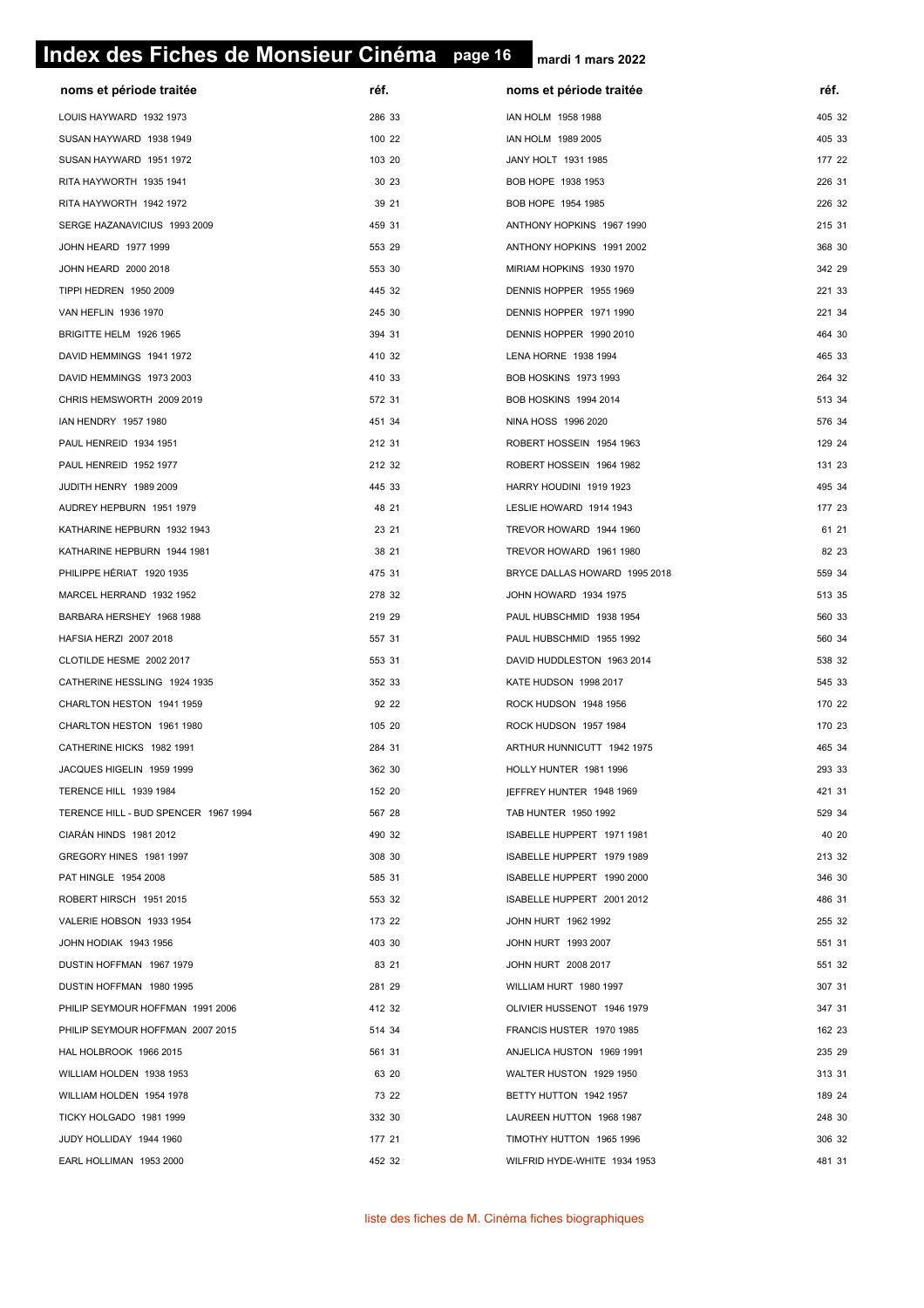# **page 16 Index des Fiches de Monsieur Cinéma page 16**

| noms et période traitée              | réf.   | noms et période traitée       | réf.   |
|--------------------------------------|--------|-------------------------------|--------|
| LOUIS HAYWARD 1932 1973              | 286 33 | IAN HOLM 1958 1988            | 405 32 |
| SUSAN HAYWARD 1938 1949              | 100 22 | IAN HOLM 1989 2005            | 405 33 |
| SUSAN HAYWARD 1951 1972              | 103 20 | JANY HOLT 1931 1985           | 177 22 |
| RITA HAYWORTH 1935 1941              | 30 23  | BOB HOPE 1938 1953            | 226 31 |
| RITA HAYWORTH 1942 1972              | 39 21  | BOB HOPE 1954 1985            | 226 32 |
| SERGE HAZANAVICIUS 1993 2009         | 459 31 | ANTHONY HOPKINS 1967 1990     | 215 31 |
| JOHN HEARD 1977 1999                 | 553 29 | ANTHONY HOPKINS 1991 2002     | 368 30 |
| JOHN HEARD 2000 2018                 | 553 30 | MIRIAM HOPKINS 1930 1970      | 342 29 |
| TIPPI HEDREN 1950 2009               | 445 32 | DENNIS HOPPER 1955 1969       | 221 33 |
| VAN HEFLIN 1936 1970                 | 245 30 | DENNIS HOPPER 1971 1990       | 221 34 |
| BRIGITTE HELM 1926 1965              | 394 31 | DENNIS HOPPER 1990 2010       | 464 30 |
| DAVID HEMMINGS 1941 1972             | 410 32 | LENA HORNE 1938 1994          | 465 33 |
| DAVID HEMMINGS 1973 2003             | 410 33 | <b>BOB HOSKINS 1973 1993</b>  | 264 32 |
| CHRIS HEMSWORTH 2009 2019            | 572 31 | BOB HOSKINS 1994 2014         | 513 34 |
| IAN HENDRY 1957 1980                 | 451 34 | NINA HOSS 1996 2020           | 576 34 |
| PAUL HENREID 1934 1951               | 212 31 | ROBERT HOSSEIN 1954 1963      | 129 24 |
| PAUL HENREID 1952 1977               | 212 32 | ROBERT HOSSEIN 1964 1982      | 131 23 |
| JUDITH HENRY 1989 2009               | 445 33 | HARRY HOUDINI 1919 1923       | 495 34 |
| AUDREY HEPBURN 1951 1979             | 48 21  | LESLIE HOWARD 1914 1943       | 177 23 |
| KATHARINE HEPBURN 1932 1943          | 23 21  | TREVOR HOWARD 1944 1960       | 61 21  |
| KATHARINE HEPBURN 1944 1981          | 38 21  | TREVOR HOWARD 1961 1980       | 82 23  |
| PHILIPPE HÉRIAT 1920 1935            | 475 31 | BRYCE DALLAS HOWARD 1995 2018 | 559 34 |
| MARCEL HERRAND 1932 1952             | 278 32 | JOHN HOWARD 1934 1975         | 513 35 |
| BARBARA HERSHEY 1968 1988            | 219 29 | PAUL HUBSCHMID 1938 1954      | 560 33 |
| HAFSIA HERZI 2007 2018               | 557 31 | PAUL HUBSCHMID 1955 1992      | 560 34 |
| CLOTILDE HESME 2002 2017             | 553 31 | DAVID HUDDLESTON 1963 2014    | 538 32 |
| CATHERINE HESSLING 1924 1935         | 352 33 | KATE HUDSON 1998 2017         | 545 33 |
| CHARLTON HESTON 1941 1959            | 92 22  | ROCK HUDSON 1948 1956         | 170 22 |
| CHARLTON HESTON 1961 1980            | 105 20 | ROCK HUDSON 1957 1984         | 170 23 |
| CATHERINE HICKS 1982 1991            | 284 31 | ARTHUR HUNNICUTT 1942 1975    | 465 34 |
| JACQUES HIGELIN 1959 1999            | 362 30 | HOLLY HUNTER 1981 1996        | 293 33 |
| <b>TERENCE HILL 1939 1984</b>        | 152 20 | JEFFREY HUNTER 1948 1969      | 421 31 |
| TERENCE HILL - BUD SPENCER 1967 1994 | 567 28 | TAB HUNTER 1950 1992          | 529 34 |
| CIARAN HINDS 1981 2012               | 490 32 | ISABELLE HUPPERT 1971 1981    | 40 20  |
| GREGORY HINES 1981 1997              | 308 30 | ISABELLE HUPPERT 1979 1989    | 213 32 |
| PAT HINGLE 1954 2008                 | 585 31 | ISABELLE HUPPERT 1990 2000    | 346 30 |
| ROBERT HIRSCH 1951 2015              | 553 32 | ISABELLE HUPPERT 2001 2012    | 486 31 |
| VALERIE HOBSON 1933 1954             | 173 22 | JOHN HURT 1962 1992           | 255 32 |
| JOHN HODIAK 1943 1956                | 403 30 | JOHN HURT 1993 2007           | 551 31 |
| DUSTIN HOFFMAN 1967 1979             | 83 21  | JOHN HURT 2008 2017           | 551 32 |
| DUSTIN HOFFMAN 1980 1995             | 281 29 | WILLIAM HURT 1980 1997        | 307 31 |
| PHILIP SEYMOUR HOFFMAN 1991 2006     | 412 32 | OLIVIER HUSSENOT 1946 1979    | 347 31 |
| PHILIP SEYMOUR HOFFMAN 2007 2015     | 514 34 | FRANCIS HUSTER 1970 1985      | 162 23 |
| HAL HOLBROOK 1966 2015               | 561 31 | ANJELICA HUSTON 1969 1991     | 235 29 |
| WILLIAM HOLDEN 1938 1953             | 63 20  | WALTER HUSTON 1929 1950       | 313 31 |
| WILLIAM HOLDEN 1954 1978             | 73 22  | BETTY HUTTON 1942 1957        | 189 24 |
| TICKY HOLGADO 1981 1999              | 332 30 | LAUREEN HUTTON 1968 1987      | 248 30 |
| JUDY HOLLIDAY 1944 1960              | 177 21 | TIMOTHY HUTTON 1965 1996      | 306 32 |
| EARL HOLLIMAN 1953 2000              | 452 32 | WILFRID HYDE-WHITE 1934 1953  | 481 31 |
|                                      |        |                               |        |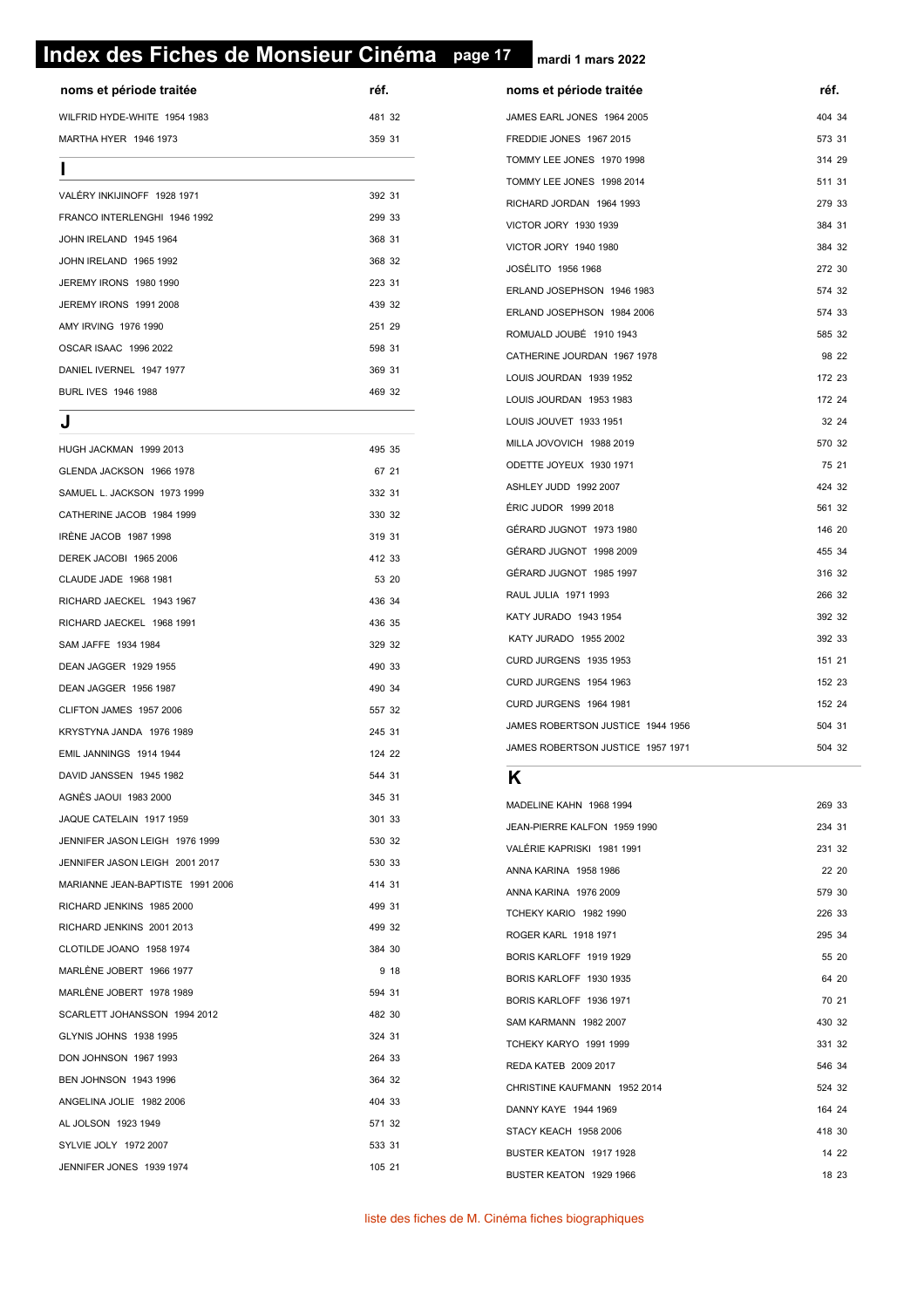# **page 17 Index des Fiches de Monsieur Cinéma page 17**

**noms et période traitée réf. réf.** WILFRID HYDE-WHITE 1954 1983 481 32 MARTHA HYER 1946 1973 359 31 **I**

| 392 31 |  |
|--------|--|
| 299 33 |  |
| 368 31 |  |
| 368 32 |  |
| 223 31 |  |
| 439 32 |  |
| 251 29 |  |
| 598 31 |  |
| 369 31 |  |
| 469 32 |  |
|        |  |

#### **J**

| HUGH JACKMAN 1999 2013           | 495 35 |      |
|----------------------------------|--------|------|
| GLENDA JACKSON 1966 1978         | 67 21  |      |
| SAMUEL L. JACKSON 1973 1999      | 332 31 |      |
| CATHERINE JACOB 1984 1999        | 330 32 |      |
| IRÈNE JACOB 1987 1998            | 319 31 |      |
| DEREK JACOBI 1965 2006           | 412 33 |      |
| CLAUDE JADE 1968 1981            | 53 20  |      |
| RICHARD JAECKEL 1943 1967        | 436 34 |      |
| RICHARD JAECKEL 1968 1991        | 436 35 |      |
| SAM JAFFE 1934 1984              | 329 32 |      |
| DEAN JAGGER 1929 1955            | 490 33 |      |
| DEAN JAGGER 1956 1987            | 490 34 |      |
| CLIFTON JAMES 1957 2006          | 557 32 |      |
| KRYSTYNA JANDA 1976 1989         | 245 31 |      |
| EMIL JANNINGS 1914 1944          | 124 22 |      |
| DAVID JANSSEN 1945 1982          | 544 31 |      |
| AGNÈS JAOUI 1983 2000            | 345 31 |      |
| JAQUE CATELAIN 1917 1959         | 301 33 |      |
| JENNIFER JASON LEIGH 1976 1999   | 530 32 |      |
| JENNIFER JASON LEIGH 2001 2017   | 530 33 |      |
| MARIANNE JEAN-BAPTISTE 1991 2006 | 414 31 |      |
| RICHARD JENKINS 1985 2000        | 499 31 |      |
| RICHARD JENKINS 2001 2013        | 499 32 |      |
| CLOTILDE JOANO 1958 1974         | 384 30 |      |
| MARLÈNE JOBERT 1966 1977         |        | 9 18 |
| MARLÈNE JOBERT 1978 1989         | 594 31 |      |
| SCARLETT JOHANSSON 1994 2012     | 482 30 |      |
| GLYNIS JOHNS 1938 1995           | 324 31 |      |
| DON JOHNSON 1967 1993            | 264 33 |      |
| BEN JOHNSON 1943 1996            | 364 32 |      |
| ANGELINA JOLIE 1982 2006         | 404 33 |      |
| AL JOLSON 1923 1949              | 571 32 |      |
| SYLVIE JOLY 1972 2007            | 533 31 |      |
| JENNIFER JONES 1939 1974         | 105 21 |      |

| noms et période traitée           | réf.   |
|-----------------------------------|--------|
| JAMES EARL JONES 1964 2005        | 404 34 |
| FREDDIE JONES 1967 2015           | 573 31 |
| TOMMY LEE JONES 1970 1998         | 314 29 |
| TOMMY LEE JONES 1998 2014         | 511 31 |
| RICHARD JORDAN 1964 1993          | 279 33 |
| VICTOR JORY 1930 1939             | 384 31 |
| VICTOR JORY 1940 1980             | 384 32 |
| JOSÉLITO 1956 1968                | 272 30 |
| ERLAND JOSEPHSON 1946 1983        | 574 32 |
| ERLAND JOSEPHSON 1984 2006        | 574 33 |
| ROMUALD JOUBÉ 1910 1943           | 585 32 |
| CATHERINE JOURDAN 1967 1978       | 98 22  |
| LOUIS JOURDAN 1939 1952           | 172 23 |
| LOUIS JOURDAN 1953 1983           | 172 24 |
| LOUIS JOUVET 1933 1951            | 32 24  |
| MILLA JOVOVICH 1988 2019          | 570 32 |
| ODETTE JOYEUX 1930 1971           | 75 21  |
| ASHLEY JUDD 1992 2007             | 424 32 |
| ÉRIC JUDOR 1999 2018              | 561 32 |
| GÉRARD JUGNOT 1973 1980           | 146 20 |
| GÉRARD JUGNOT 1998 2009           | 455 34 |
| GÉRARD JUGNOT 1985 1997           | 316 32 |
| RAUL JULIA 1971 1993              | 266 32 |
| KATY JURADO 1943 1954             | 392 32 |
| KATY JURADO 1955 2002             | 392 33 |
| <b>CURD JURGENS 1935 1953</b>     | 151 21 |
| CURD JURGENS 1954 1963            | 152 23 |
| CURD JURGENS 1964 1981            | 152 24 |
| JAMES ROBERTSON JUSTICE 1944 1956 | 504 31 |
| JAMES ROBERTSON JUSTICE 1957 1971 | 504 32 |

| MADELINE KAHN 1968 1994       | 269 33 |  |
|-------------------------------|--------|--|
| JEAN-PIERRE KALFON 1959 1990  | 234 31 |  |
| VALÉRIE KAPRISKI 1981 1991    | 231 32 |  |
| ANNA KARINA 1958 1986         | 22 20  |  |
| ANNA KARINA 1976 2009         | 579 30 |  |
| <b>TCHEKY KARIO 1982 1990</b> | 226 33 |  |
| ROGER KARL 1918 1971          | 295 34 |  |
| BORIS KARLOFF 1919 1929       | 55 20  |  |
| BORIS KARLOFF 1930 1935       | 64 20  |  |
| BORIS KARLOFF 1936 1971       | 70 21  |  |
| SAM KARMANN 1982 2007         | 430 32 |  |
| <b>TCHEKY KARYO 1991 1999</b> | 331 32 |  |
| REDA KATEB 2009 2017          | 546 34 |  |
| CHRISTINE KAUFMANN 1952 2014  | 524 32 |  |
| DANNY KAYE 1944 1969          | 164 24 |  |
| STACY KEACH 1958 2006         | 418 30 |  |
| BUSTER KEATON 1917 1928       | 14 22  |  |
| BUSTER KEATON 1929 1966       | 18 23  |  |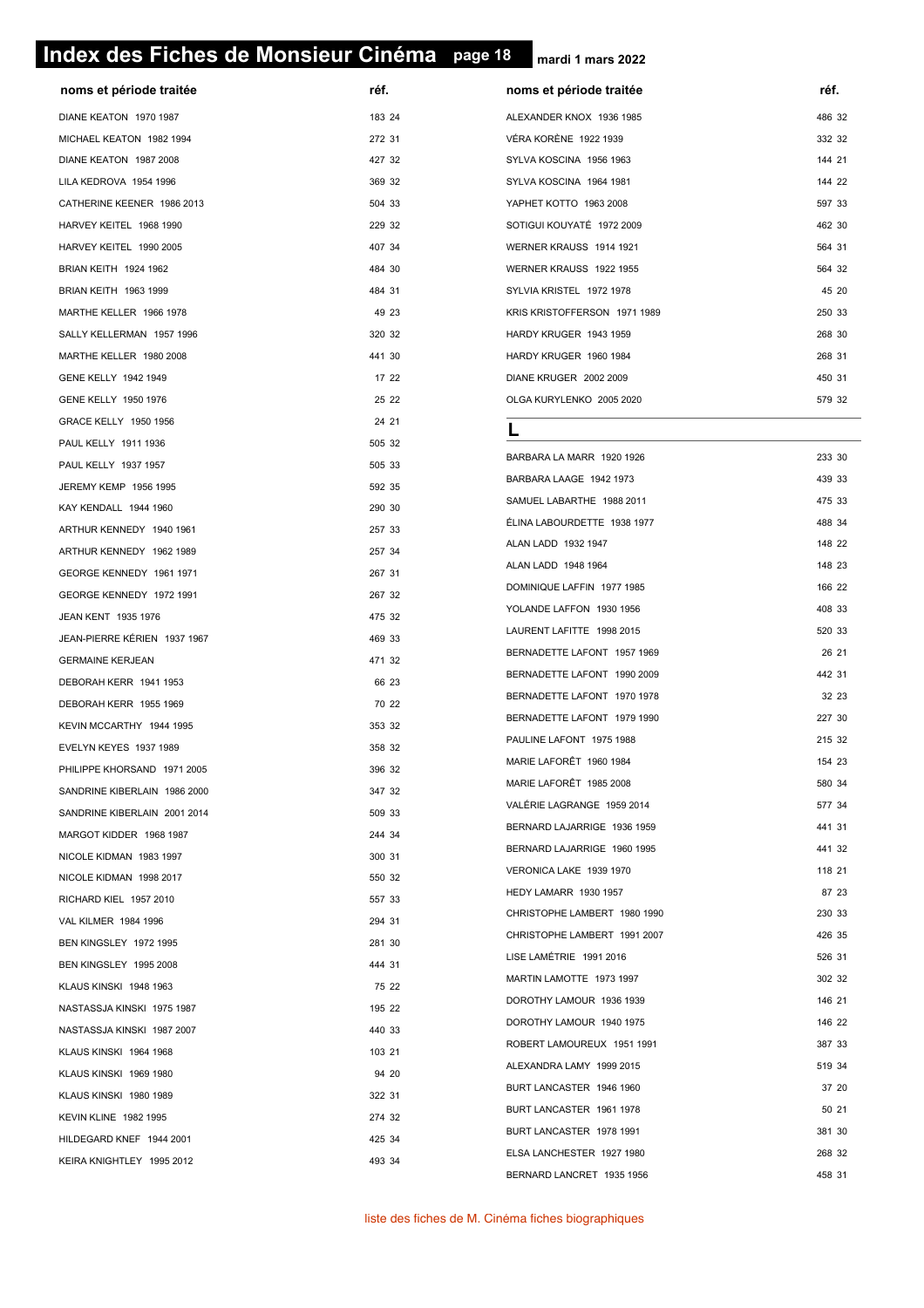#### **page 18 Index des Fiches de Monsieur Cinéma page 18**

**mardi 1 mars 2022**

| réf.<br>noms et période traitée<br>noms et période traitée                                             | réf.   |
|--------------------------------------------------------------------------------------------------------|--------|
| DIANE KEATON 1970 1987<br>183 24<br>ALEXANDER KNOX 1936 1985                                           | 486 32 |
| 272 31<br>VÉRA KORÈNE 1922 1939<br>MICHAEL KEATON 1982 1994                                            | 332 32 |
| 427 32<br>DIANE KEATON 1987 2008<br>SYLVA KOSCINA 1956 1963                                            | 144 21 |
| LILA KEDROVA 1954 1996<br>369 32<br>SYLVA KOSCINA 1964 1981                                            | 144 22 |
| CATHERINE KEENER 1986 2013<br>504 33<br>YAPHET KOTTO 1963 2008                                         | 597 33 |
| 229 32<br>SOTIGUI KOUYATÉ 1972 2009<br>HARVEY KEITEL 1968 1990                                         | 462 30 |
| HARVEY KEITEL 1990 2005<br>407 34<br>WERNER KRAUSS 1914 1921                                           | 564 31 |
| BRIAN KEITH 1924 1962<br>484 30<br>WERNER KRAUSS 1922 1955                                             | 564 32 |
| BRIAN KEITH 1963 1999<br>484 31<br>SYLVIA KRISTEL 1972 1978                                            | 45 20  |
| MARTHE KELLER 1966 1978<br>49 23<br>KRIS KRISTOFFERSON 1971 1989                                       | 250 33 |
| 320 32<br>SALLY KELLERMAN 1957 1996<br>HARDY KRUGER 1943 1959                                          | 268 30 |
| 441 30<br>MARTHE KELLER 1980 2008<br>HARDY KRUGER 1960 1984                                            | 268 31 |
| 17 22<br>GENE KELLY 1942 1949<br>DIANE KRUGER 2002 2009                                                | 450 31 |
| 25 22<br>GENE KELLY 1950 1976<br>OLGA KURYLENKO 2005 2020                                              | 579 32 |
| 24 21<br>GRACE KELLY 1950 1956                                                                         |        |
| 505 32<br>PAUL KELLY 1911 1936                                                                         |        |
| BARBARA LA MARR 1920 1926<br>505 33<br>PAUL KELLY 1937 1957                                            | 233 30 |
| BARBARA LAAGE 1942 1973<br>592 35<br>JEREMY KEMP 1956 1995                                             | 439 33 |
| SAMUEL LABARTHE 1988 2011<br>290 30<br>KAY KENDALL 1944 1960                                           | 475 33 |
| ÉLINA LABOURDETTE 1938 1977<br>257 33<br>ARTHUR KENNEDY 1940 1961                                      | 488 34 |
| ALAN LADD 1932 1947<br>257 34<br>ARTHUR KENNEDY 1962 1989                                              | 148 22 |
| ALAN LADD 1948 1964<br>267 31<br>GEORGE KENNEDY 1961 1971                                              | 148 23 |
| DOMINIQUE LAFFIN 1977 1985<br>267 32<br>GEORGE KENNEDY 1972 1991                                       | 166 22 |
| YOLANDE LAFFON 1930 1956<br>475 32<br>JEAN KENT 1935 1976                                              | 408 33 |
| LAURENT LAFITTE 1998 2015<br>JEAN-PIERRE KÉRIEN 1937 1967<br>469 33                                    | 520 33 |
| BERNADETTE LAFONT 1957 1969<br>471 32<br><b>GERMAINE KERJEAN</b>                                       | 26 21  |
| BERNADETTE LAFONT 1990 2009<br>66 23<br>DEBORAH KERR 1941 1953                                         | 442 31 |
| BERNADETTE LAFONT 1970 1978<br>70 22<br>DEBORAH KERR 1955 1969                                         | 32 23  |
| BERNADETTE LAFONT 1979 1990<br>353 32<br>KEVIN MCCARTHY 1944 1995                                      | 227 30 |
| PAULINE LAFONT 1975 1988<br>358 32<br>EVELYN KEYES 1937 1989                                           | 215 32 |
| MARIE LAFORÊT 1960 1984<br>396 32<br>PHILIPPE KHORSAND 1971 2005                                       | 154 23 |
| MARIE LAFORÊT 1985 2008<br>347 32<br>SANDRINE KIBERLAIN 1986 2000                                      | 580 34 |
| VALÉRIE LAGRANGE 1959 2014<br>509 33<br>SANDRINE KIBERLAIN 2001 2014                                   | 577 34 |
| BERNARD LAJARRIGE 1936 1959<br>244 34<br>MARGOT KIDDER 1968 1987                                       | 441 31 |
| BERNARD LAJARRIGE 1960 1995<br>300 31<br>NICOLE KIDMAN 1983 1997                                       | 441 32 |
| VERONICA LAKE 1939 1970<br>NICOLE KIDMAN 1998 2017<br>550 32                                           | 118 21 |
| HEDY LAMARR 1930 1957<br>557 33                                                                        | 87 23  |
| RICHARD KIEL 1957 2010<br>CHRISTOPHE LAMBERT 1980 1990<br>294 31                                       | 230 33 |
| <b>VAL KILMER 1984 1996</b><br>CHRISTOPHE LAMBERT 1991 2007                                            | 426 35 |
| 281 30<br>BEN KINGSLEY 1972 1995<br>LISE LAMÉTRIE 1991 2016                                            | 526 31 |
| 444 31<br>BEN KINGSLEY 1995 2008<br>MARTIN LAMOTTE 1973 1997                                           | 302 32 |
|                                                                                                        | 146 21 |
| KLAUS KINSKI 1948 1963<br>75 22<br>DOROTHY LAMOUR 1936 1939                                            |        |
| 195 22<br>NASTASSJA KINSKI 1975 1987<br>DOROTHY LAMOUR 1940 1975                                       | 146 22 |
| 440 33<br>NASTASSJA KINSKI 1987 2007<br>ROBERT LAMOUREUX 1951 1991                                     | 387 33 |
| 103 21<br>KLAUS KINSKI 1964 1968<br>ALEXANDRA LAMY 1999 2015                                           | 519 34 |
| 94 20<br>KLAUS KINSKI 1969 1980<br>BURT LANCASTER 1946 1960                                            | 37 20  |
| 322 31<br>KLAUS KINSKI 1980 1989<br>BURT LANCASTER 1961 1978                                           | 50 21  |
| 274 32<br><b>KEVIN KLINE 1982 1995</b><br>BURT LANCASTER 1978 1991                                     | 381 30 |
| HILDEGARD KNEF 1944 2001<br>425 34<br>ELSA LANCHESTER 1927 1980<br>493 34<br>KEIRA KNIGHTLEY 1995 2012 | 268 32 |

liste des fiches de M. Cinéma fiches biographiques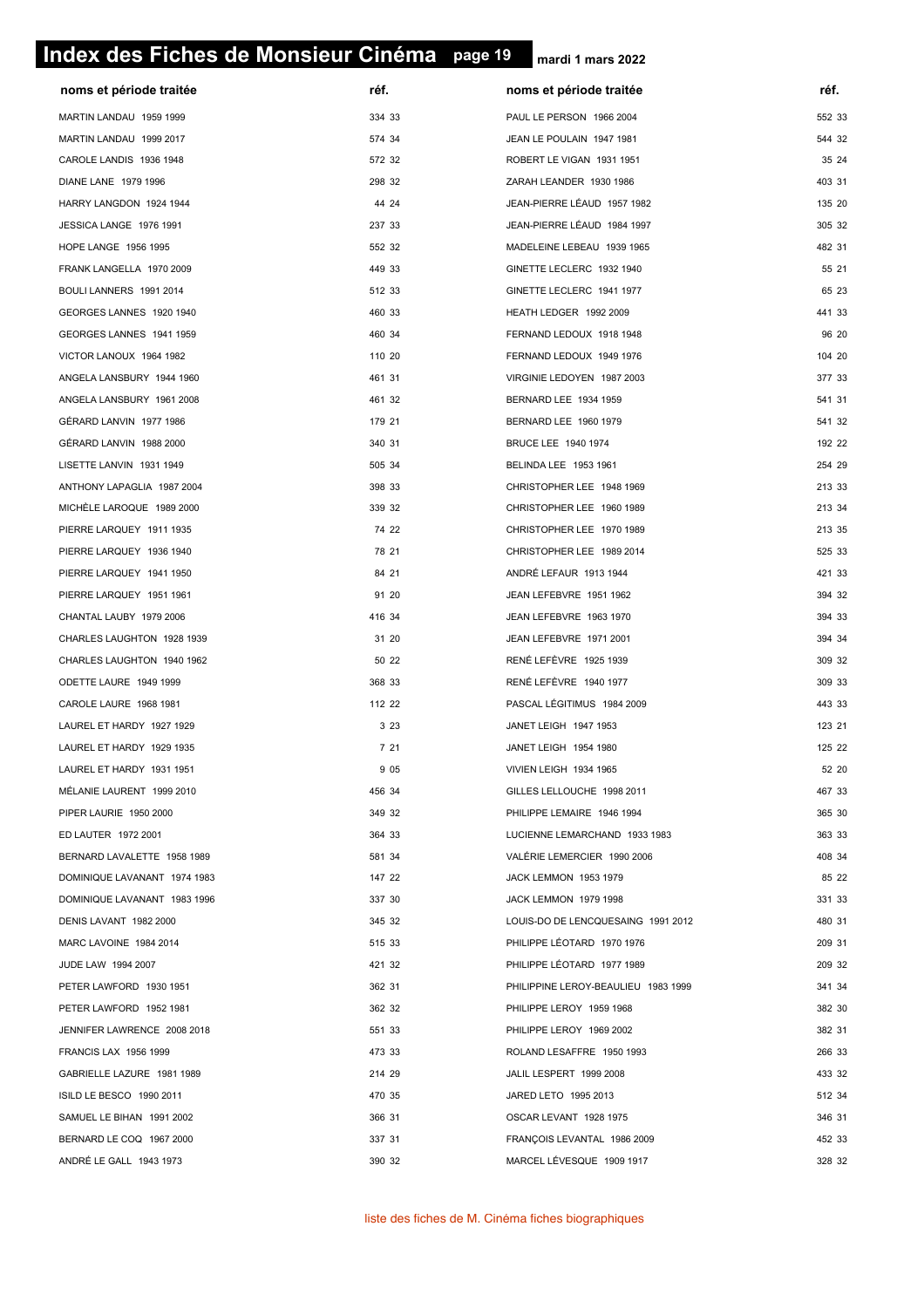# **page 19 Index des Fiches de Monsieur Cinéma page 19**

| noms et période traitée      | réf.   | noms et période traitée             | réf.   |
|------------------------------|--------|-------------------------------------|--------|
| MARTIN LANDAU 1959 1999      | 334 33 | PAUL LE PERSON 1966 2004            | 552 33 |
| MARTIN LANDAU 1999 2017      | 574 34 | JEAN LE POULAIN 1947 1981           | 544 32 |
| CAROLE LANDIS 1936 1948      | 572 32 | ROBERT LE VIGAN 1931 1951           | 35 24  |
| DIANE LANE 1979 1996         | 298 32 | ZARAH LEANDER 1930 1986             | 403 31 |
| HARRY LANGDON 1924 1944      | 44 24  | JEAN-PIERRE LÉAUD 1957 1982         | 135 20 |
| JESSICA LANGE 1976 1991      | 237 33 | JEAN-PIERRE LÉAUD 1984 1997         | 305 32 |
| HOPE LANGE 1956 1995         | 552 32 | MADELEINE LEBEAU 1939 1965          | 482 31 |
| FRANK LANGELLA 1970 2009     | 449 33 | GINETTE LECLERC 1932 1940           | 55 21  |
| BOULI LANNERS 1991 2014      | 512 33 | GINETTE LECLERC 1941 1977           | 65 23  |
| GEORGES LANNES 1920 1940     | 460 33 | HEATH LEDGER 1992 2009              | 441 33 |
| GEORGES LANNES 1941 1959     | 460 34 | FERNAND LEDOUX 1918 1948            | 96 20  |
| VICTOR LANOUX 1964 1982      | 110 20 | FERNAND LEDOUX 1949 1976            | 104 20 |
| ANGELA LANSBURY 1944 1960    | 461 31 | VIRGINIE LEDOYEN 1987 2003          | 377 33 |
| ANGELA LANSBURY 1961 2008    | 461 32 | BERNARD LEE 1934 1959               | 541 31 |
| GÉRARD LANVIN 1977 1986      | 179 21 | BERNARD LEE 1960 1979               | 541 32 |
| GÉRARD LANVIN 1988 2000      | 340 31 | BRUCE LEE 1940 1974                 | 192 22 |
| LISETTE LANVIN 1931 1949     | 505 34 | BELINDA LEE 1953 1961               | 254 29 |
| ANTHONY LAPAGLIA 1987 2004   | 398 33 | CHRISTOPHER LEE 1948 1969           | 213 33 |
| MICHELE LAROQUE 1989 2000    | 339 32 | CHRISTOPHER LEE 1960 1989           | 213 34 |
| PIERRE LARQUEY 1911 1935     | 74 22  | CHRISTOPHER LEE 1970 1989           | 213 35 |
| PIERRE LARQUEY 1936 1940     | 78 21  | CHRISTOPHER LEE 1989 2014           | 525 33 |
| PIERRE LARQUEY 1941 1950     | 84 21  | ANDRÉ LEFAUR 1913 1944              | 421 33 |
| PIERRE LARQUEY 1951 1961     | 91 20  | JEAN LEFEBVRE 1951 1962             | 394 32 |
| CHANTAL LAUBY 1979 2006      | 416 34 | JEAN LEFEBVRE 1963 1970             | 394 33 |
| CHARLES LAUGHTON 1928 1939   | 31 20  | JEAN LEFEBVRE 1971 2001             | 394 34 |
| CHARLES LAUGHTON 1940 1962   | 50 22  | RENÉ LEFÈVRE 1925 1939              | 309 32 |
| ODETTE LAURE 1949 1999       | 368 33 | RENÉ LEFÈVRE 1940 1977              | 309 33 |
| CAROLE LAURE 1968 1981       | 112 22 | PASCAL LÉGITIMUS 1984 2009          | 443 33 |
| LAUREL ET HARDY 1927 1929    | 3 2 3  | JANET LEIGH 1947 1953               | 123 21 |
| LAUREL ET HARDY 1929 1935    | 7 21   | JANET LEIGH 1954 1980               | 125 22 |
| LAUREL ET HARDY 1931 1951    | 9 0 5  | VIVIEN LEIGH 1934 1965              | 52 20  |
| MÉLANIE LAURENT 1999 2010    | 456 34 | GILLES LELLOUCHE 1998 2011          | 467 33 |
| PIPER LAURIE 1950 2000       | 349 32 | PHILIPPE LEMAIRE 1946 1994          | 365 30 |
| ED LAUTER 1972 2001          | 364 33 | LUCIENNE LEMARCHAND 1933 1983       | 363 33 |
| BERNARD LAVALETTE 1958 1989  | 581 34 | VALÉRIE LEMERCIER 1990 2006         | 408 34 |
| DOMINIQUE LAVANANT 1974 1983 | 147 22 | JACK LEMMON 1953 1979               | 85 22  |
| DOMINIQUE LAVANANT 1983 1996 | 337 30 | JACK LEMMON 1979 1998               | 331 33 |
| DENIS LAVANT 1982 2000       | 345 32 | LOUIS-DO DE LENCQUESAING 1991 2012  | 480 31 |
| MARC LAVOINE 1984 2014       | 515 33 | PHILIPPE LÉOTARD 1970 1976          | 209 31 |
| JUDE LAW 1994 2007           | 421 32 | PHILIPPE LÉOTARD 1977 1989          | 209 32 |
| PETER LAWFORD 1930 1951      | 362 31 | PHILIPPINE LEROY-BEAULIEU 1983 1999 | 341 34 |
| PETER LAWFORD 1952 1981      | 362 32 | PHILIPPE LEROY 1959 1968            | 382 30 |
| JENNIFER LAWRENCE 2008 2018  | 551 33 | PHILIPPE LEROY 1969 2002            | 382 31 |
| <b>FRANCIS LAX 1956 1999</b> | 473 33 | ROLAND LESAFFRE 1950 1993           | 266 33 |
| GABRIELLE LAZURE 1981 1989   | 214 29 | JALIL LESPERT 1999 2008             | 433 32 |
| ISILD LE BESCO 1990 2011     | 470 35 | JARED LETO 1995 2013                | 512 34 |
| SAMUEL LE BIHAN 1991 2002    | 366 31 | OSCAR LEVANT 1928 1975              | 346 31 |
| BERNARD LE COQ 1967 2000     | 337 31 | FRANÇOIS LEVANTAL 1986 2009         | 452 33 |
| ANDRÉ LE GALL 1943 1973      | 390 32 | MARCEL LÉVESQUE 1909 1917           | 328 32 |
|                              |        |                                     |        |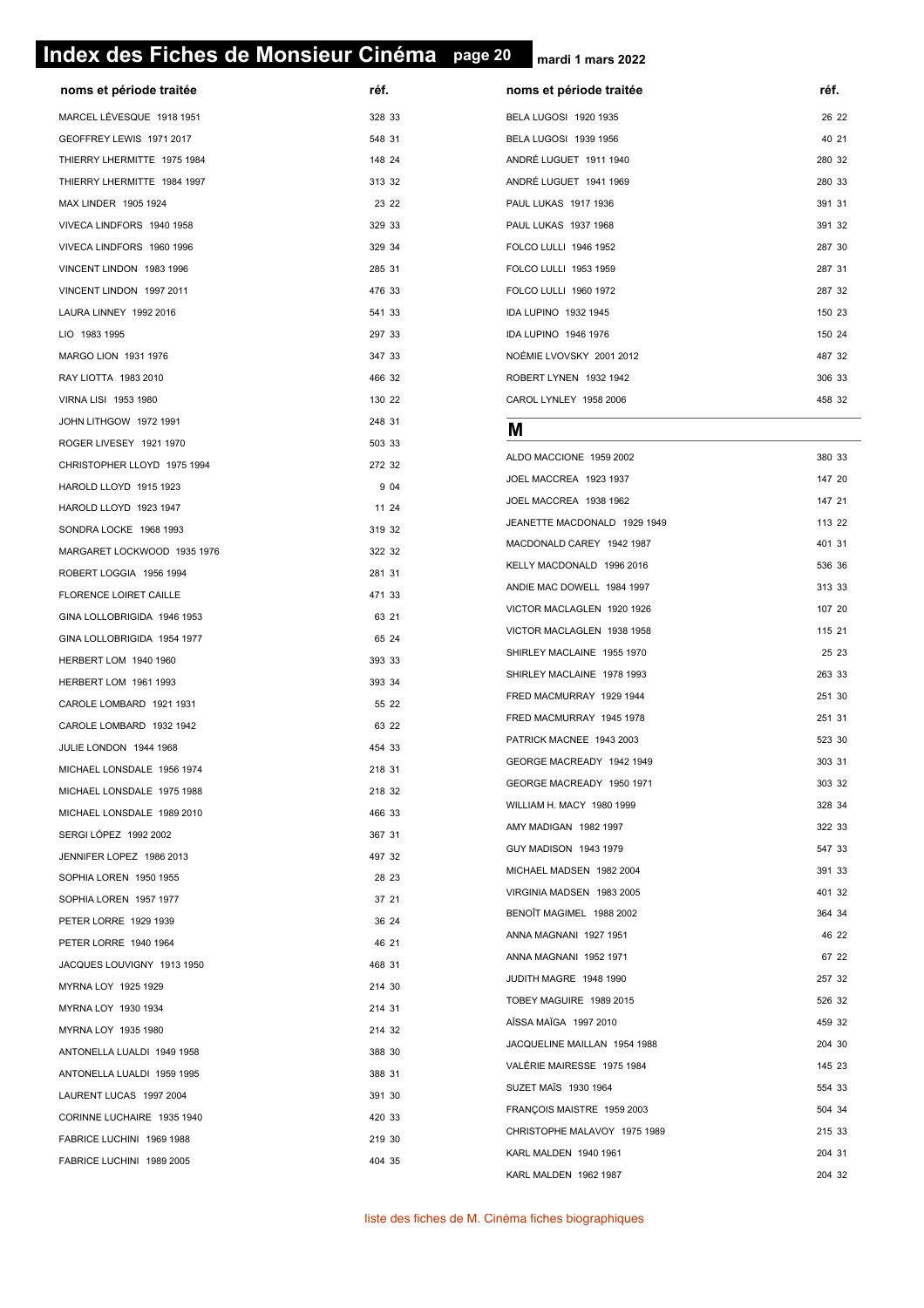#### **page 20 Index des Fiches de Monsieur Cinéma page 20**

**mardi 1 mars 2022**

| noms et période traitée     | réf.   | noms et période traitée      | réf.   |
|-----------------------------|--------|------------------------------|--------|
| MARCEL LÉVESQUE 1918 1951   | 328 33 | BELA LUGOSI 1920 1935        | 26 22  |
| GEOFFREY LEWIS 1971 2017    | 548 31 | BELA LUGOSI 1939 1956        | 40 21  |
| THIERRY LHERMITTE 1975 1984 | 148 24 | ANDRÉ LUGUET 1911 1940       | 280 32 |
| THIERRY LHERMITTE 1984 1997 | 313 32 | ANDRÉ LUGUET 1941 1969       | 280 33 |
| MAX LINDER 1905 1924        | 23 22  | PAUL LUKAS 1917 1936         | 391 31 |
| VIVECA LINDFORS 1940 1958   | 329 33 | PAUL LUKAS 1937 1968         | 391 32 |
| VIVECA LINDFORS 1960 1996   | 329 34 | FOLCO LULLI 1946 1952        | 287 30 |
| VINCENT LINDON 1983 1996    | 285 31 | FOLCO LULLI 1953 1959        | 287 31 |
| VINCENT LINDON 1997 2011    | 476 33 | FOLCO LULLI 1960 1972        | 287 32 |
| LAURA LINNEY 1992 2016      | 541 33 | IDA LUPINO 1932 1945         | 150 23 |
| LIO 1983 1995               | 297 33 | IDA LUPINO 1946 1976         | 150 24 |
| MARGO LION 1931 1976        | 347 33 | NOÉMIE LVOVSKY 2001 2012     | 487 32 |
| RAY LIOTTA 1983 2010        | 466 32 | ROBERT LYNEN 1932 1942       | 306 33 |
| VIRNA LISI 1953 1980        | 130 22 | CAROL LYNLEY 1958 2006       | 458 32 |
| JOHN LITHGOW 1972 1991      | 248 31 |                              |        |
| ROGER LIVESEY 1921 1970     | 503 33 | м                            |        |
| CHRISTOPHER LLOYD 1975 1994 | 272 32 | ALDO MACCIONE 1959 2002      | 380 33 |
| HAROLD LLOYD 1915 1923      | 9 0 4  | JOEL MACCREA 1923 1937       | 147 20 |
| HAROLD LLOYD 1923 1947      | 11 24  | JOEL MACCREA 1938 1962       | 147 21 |
| SONDRA LOCKE 1968 1993      | 319 32 | JEANETTE MACDONALD 1929 1949 | 113 22 |
| MARGARET LOCKWOOD 1935 1976 | 322 32 | MACDONALD CAREY 1942 1987    | 401 31 |
| ROBERT LOGGIA 1956 1994     | 281 31 | KELLY MACDONALD 1996 2016    | 536 36 |
| FLORENCE LOIRET CAILLE      | 471 33 | ANDIE MAC DOWELL 1984 1997   | 313 33 |
| GINA LOLLOBRIGIDA 1946 1953 | 63 21  | VICTOR MACLAGLEN 1920 1926   | 107 20 |
| GINA LOLLOBRIGIDA 1954 1977 | 65 24  | VICTOR MACLAGLEN 1938 1958   | 115 21 |
| HERBERT LOM 1940 1960       | 393 33 | SHIRLEY MACLAINE 1955 1970   | 25 23  |
| HERBERT LOM 1961 1993       | 393 34 | SHIRLEY MACLAINE 1978 1993   | 263 33 |
| CAROLE LOMBARD 1921 1931    | 55 22  | FRED MACMURRAY 1929 1944     | 251 30 |
| CAROLE LOMBARD 1932 1942    | 63 22  | FRED MACMURRAY 1945 1978     | 251 31 |
| JULIE LONDON 1944 1968      | 454 33 | PATRICK MACNEE 1943 2003     | 523 30 |
| MICHAEL LONSDALE 1956 1974  | 218 31 | GEORGE MACREADY 1942 1949    | 303 31 |
| MICHAEL LONSDALE 1975 1988  | 218 32 | GEORGE MACREADY 1950 1971    | 303 32 |
| MICHAEL LONSDALE 1989 2010  | 466 33 | WILLIAM H. MACY 1980 1999    | 328 34 |
| SERGI LÓPEZ 1992 2002       | 367 31 | AMY MADIGAN 1982 1997        | 322 33 |
| JENNIFER LOPEZ 1986 2013    | 497 32 | GUY MADISON 1943 1979        | 547 33 |
| SOPHIA LOREN 1950 1955      | 28 23  | MICHAEL MADSEN 1982 2004     | 391 33 |
| SOPHIA LOREN 1957 1977      | 37 21  | VIRGINIA MADSEN 1983 2005    | 401 32 |
| PETER LORRE 1929 1939       | 36 24  | BENOÏT MAGIMEL 1988 2002     | 364 34 |
| PETER LORRE 1940 1964       | 46 21  | ANNA MAGNANI 1927 1951       | 46 22  |
| JACQUES LOUVIGNY 1913 1950  | 468 31 | ANNA MAGNANI 1952 1971       | 67 22  |
| MYRNA LOY 1925 1929         | 214 30 | JUDITH MAGRE 1948 1990       | 257 32 |
| MYRNA LOY 1930 1934         | 214 31 | TOBEY MAGUIRE 1989 2015      | 526 32 |
| MYRNA LOY 1935 1980         | 214 32 | AÏSSA MAÏGA 1997 2010        | 459 32 |
| ANTONELLA LUALDI 1949 1958  | 388 30 | JACQUELINE MAILLAN 1954 1988 | 204 30 |
| ANTONELLA LUALDI 1959 1995  | 388 31 | VALÉRIE MAIRESSE 1975 1984   | 145 23 |
| LAURENT LUCAS 1997 2004     | 391 30 | SUZET MAIS 1930 1964         | 554 33 |
| CORINNE LUCHAIRE 1935 1940  | 420 33 | FRANÇOIS MAISTRE 1959 2003   | 504 34 |
| FABRICE LUCHINI 1969 1988   | 219 30 | CHRISTOPHE MALAVOY 1975 1989 | 215 33 |
| FABRICE LUCHINI 1989 2005   | 404 35 | KARL MALDEN 1940 1961        | 204 31 |
|                             |        | KARL MALDEN 1962 1987        | 204 32 |

liste des fiches de M. Cinéma fiches biographiques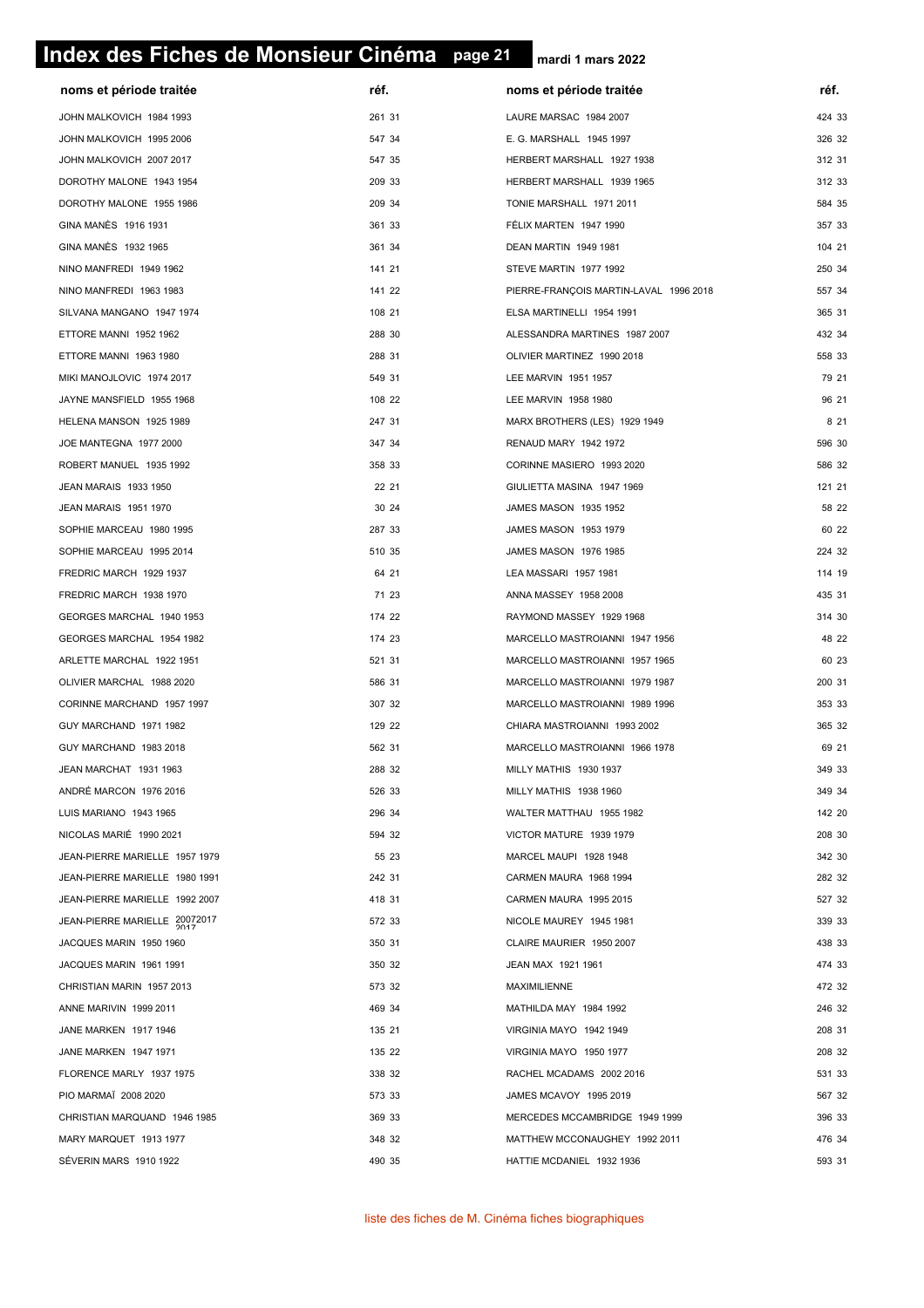# **page 21 Index des Fiches de Monsieur Cinéma page 21**

| noms et période traitée        | réf.   | noms et période traitée                | réf.   |
|--------------------------------|--------|----------------------------------------|--------|
| JOHN MALKOVICH 1984 1993       | 261 31 | LAURE MARSAC 1984 2007                 | 424 33 |
| JOHN MALKOVICH 1995 2006       | 547 34 | E. G. MARSHALL 1945 1997               | 326 32 |
| JOHN MALKOVICH 2007 2017       | 547 35 | HERBERT MARSHALL 1927 1938             | 312 31 |
| DOROTHY MALONE 1943 1954       | 209 33 | HERBERT MARSHALL 1939 1965             | 312 33 |
| DOROTHY MALONE 1955 1986       | 209 34 | TONIE MARSHALL 1971 2011               | 584 35 |
| GINA MANÈS 1916 1931           | 361 33 | FÉLIX MARTEN 1947 1990                 | 357 33 |
| GINA MANÈS 1932 1965           | 361 34 | DEAN MARTIN 1949 1981                  | 104 21 |
| NINO MANFREDI 1949 1962        | 141 21 | STEVE MARTIN 1977 1992                 | 250 34 |
| NINO MANFREDI 1963 1983        | 141 22 | PIERRE-FRANÇOIS MARTIN-LAVAL 1996 2018 | 557 34 |
| SILVANA MANGANO 1947 1974      | 108 21 | ELSA MARTINELLI 1954 1991              | 365 31 |
| ETTORE MANNI 1952 1962         | 288 30 | ALESSANDRA MARTINES 1987 2007          | 432 34 |
| ETTORE MANNI 1963 1980         | 288 31 | OLIVIER MARTINEZ 1990 2018             | 558 33 |
| MIKI MANOJLOVIC 1974 2017      | 549 31 | LEE MARVIN 1951 1957                   | 79 21  |
| JAYNE MANSFIELD 1955 1968      | 108 22 | LEE MARVIN 1958 1980                   | 96 21  |
| HELENA MANSON 1925 1989        | 247 31 | MARX BROTHERS (LES) 1929 1949          | 8 2 1  |
| JOE MANTEGNA 1977 2000         | 347 34 | RENAUD MARY 1942 1972                  | 596 30 |
| ROBERT MANUEL 1935 1992        | 358 33 | CORINNE MASIERO 1993 2020              | 586 32 |
| JEAN MARAIS 1933 1950          | 22 21  | GIULIETTA MASINA 1947 1969             | 121 21 |
| JEAN MARAIS 1951 1970          | 30 24  | JAMES MASON 1935 1952                  | 58 22  |
| SOPHIE MARCEAU 1980 1995       | 287 33 | JAMES MASON 1953 1979                  | 60 22  |
| SOPHIE MARCEAU 1995 2014       | 510 35 | JAMES MASON 1976 1985                  | 224 32 |
| FREDRIC MARCH 1929 1937        | 64 21  | LEA MASSARI 1957 1981                  | 114 19 |
| FREDRIC MARCH 1938 1970        | 71 23  | ANNA MASSEY 1958 2008                  | 435 31 |
| GEORGES MARCHAL 1940 1953      | 174 22 | RAYMOND MASSEY 1929 1968               | 314 30 |
| GEORGES MARCHAL 1954 1982      | 174 23 | MARCELLO MASTROIANNI 1947 1956         | 48 22  |
| ARLETTE MARCHAL 1922 1951      | 521 31 | MARCELLO MASTROIANNI 1957 1965         | 60 23  |
| OLIVIER MARCHAL 1988 2020      | 586 31 | MARCELLO MASTROIANNI 1979 1987         | 200 31 |
| CORINNE MARCHAND 1957 1997     | 307 32 | MARCELLO MASTROIANNI 1989 1996         | 353 33 |
| GUY MARCHAND 1971 1982         | 129 22 | CHIARA MASTROIANNI 1993 2002           | 365 32 |
| GUY MARCHAND 1983 2018         | 562 31 | MARCELLO MASTROIANNI 1966 1978         | 69 21  |
| JEAN MARCHAT 1931 1963         | 288 32 | MILLY MATHIS 1930 1937                 | 349 33 |
| ANDRÉ MARCON 1976 2016         | 526 33 | MILLY MATHIS 1938 1960                 | 349 34 |
| LUIS MARIANO 1943 1965         | 296 34 | WALTER MATTHAU 1955 1982               | 142 20 |
| NICOLAS MARIÉ 1990 2021        | 594 32 | VICTOR MATURE 1939 1979                | 208 30 |
| JEAN-PIERRE MARIELLE 1957 1979 | 55 23  | MARCEL MAUPI 1928 1948                 | 342 30 |
| JEAN-PIERRE MARIELLE 1980 1991 | 242 31 | CARMEN MAURA 1968 1994                 | 282 32 |
| JEAN-PIERRE MARIELLE 1992 2007 | 418 31 | CARMEN MAURA 1995 2015                 | 527 32 |
| JEAN-PIERRE MARIELLE 20072017  | 572 33 | NICOLE MAUREY 1945 1981                | 339 33 |
| JACQUES MARIN 1950 1960        | 350 31 | CLAIRE MAURIER 1950 2007               | 438 33 |
| JACQUES MARIN 1961 1991        | 350 32 | JEAN MAX 1921 1961                     | 474 33 |
| CHRISTIAN MARIN 1957 2013      | 573 32 | MAXIMILIENNE                           | 472 32 |
| ANNE MARIVIN 1999 2011         | 469 34 | MATHILDA MAY 1984 1992                 | 246 32 |
| <b>JANE MARKEN 1917 1946</b>   | 135 21 | VIRGINIA MAYO 1942 1949                | 208 31 |
| <b>JANE MARKEN 1947 1971</b>   | 135 22 | VIRGINIA MAYO 1950 1977                | 208 32 |
| FLORENCE MARLY 1937 1975       | 338 32 | RACHEL MCADAMS 2002 2016               | 531 33 |
| PIO MARMAÏ 2008 2020           | 573 33 | JAMES MCAVOY 1995 2019                 | 567 32 |
| CHRISTIAN MARQUAND 1946 1985   | 369 33 | MERCEDES MCCAMBRIDGE 1949 1999         | 396 33 |
| MARY MARQUET 1913 1977         | 348 32 | MATTHEW MCCONAUGHEY 1992 2011          | 476 34 |
| SÉVERIN MARS 1910 1922         | 490 35 | HATTIE MCDANIEL 1932 1936              | 593 31 |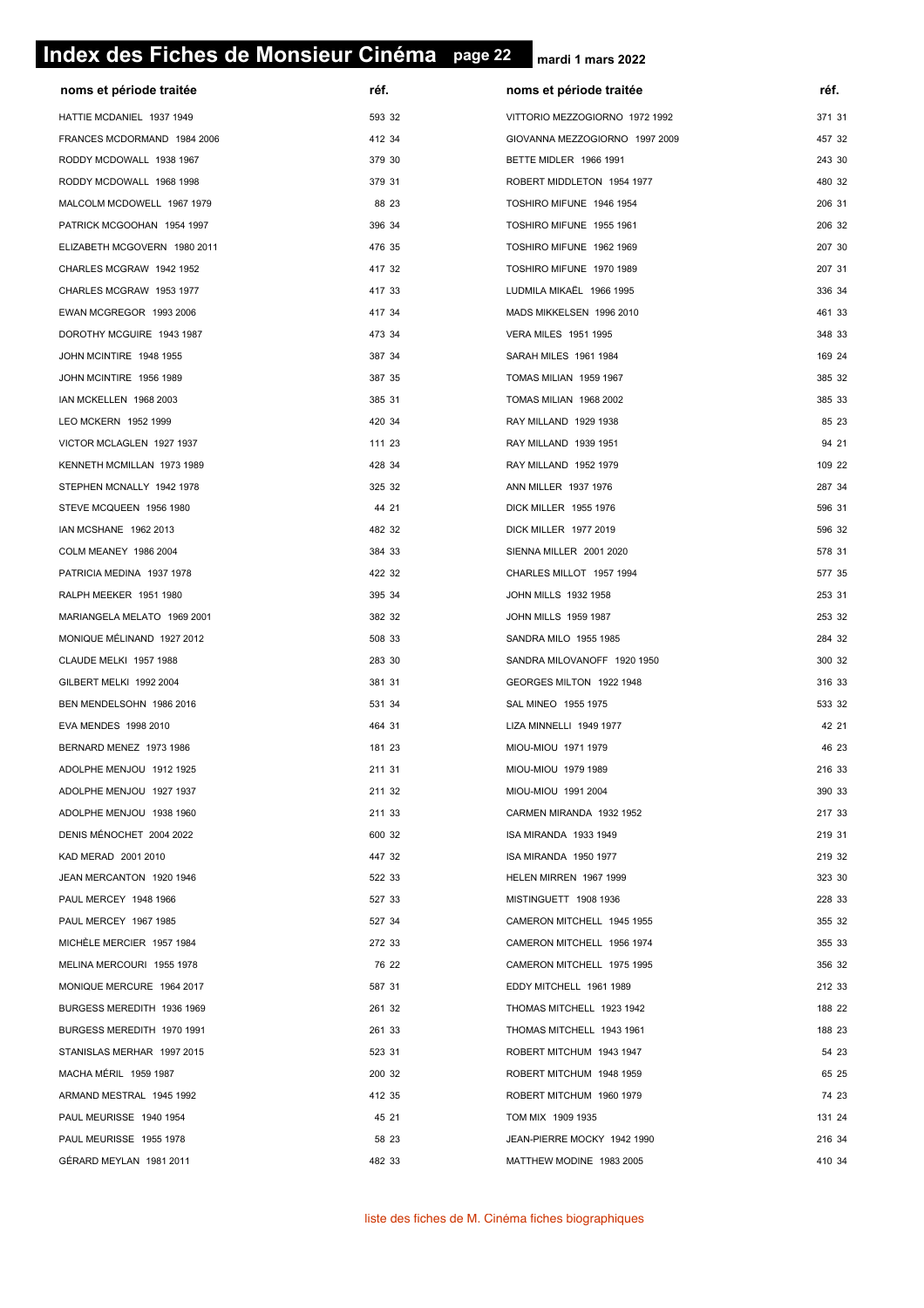# **page 22 Index des Fiches de Monsieur Cinéma page 22**

| noms et période traitée      | réf.   | noms et période traitée        | réf.   |
|------------------------------|--------|--------------------------------|--------|
| HATTIE MCDANIEL 1937 1949    | 593 32 | VITTORIO MEZZOGIORNO 1972 1992 | 371 31 |
| FRANCES MCDORMAND 1984 2006  | 412 34 | GIOVANNA MEZZOGIORNO 1997 2009 | 457 32 |
| RODDY MCDOWALL 1938 1967     | 379 30 | BETTE MIDLER 1966 1991         | 243 30 |
| RODDY MCDOWALL 1968 1998     | 379 31 | ROBERT MIDDLETON 1954 1977     | 480 32 |
| MALCOLM MCDOWELL 1967 1979   | 88 23  | TOSHIRO MIFUNE 1946 1954       | 206 31 |
| PATRICK MCGOOHAN 1954 1997   | 396 34 | TOSHIRO MIFUNE 1955 1961       | 206 32 |
| ELIZABETH MCGOVERN 1980 2011 | 476 35 | TOSHIRO MIFUNE 1962 1969       | 207 30 |
| CHARLES MCGRAW 1942 1952     | 417 32 | TOSHIRO MIFUNE 1970 1989       | 207 31 |
| CHARLES MCGRAW 1953 1977     | 417 33 | LUDMILA MIKAËL 1966 1995       | 336 34 |
| EWAN MCGREGOR 1993 2006      | 417 34 | MADS MIKKELSEN 1996 2010       | 461 33 |
| DOROTHY MCGUIRE 1943 1987    | 473 34 | <b>VERA MILES 1951 1995</b>    | 348 33 |
| JOHN MCINTIRE 1948 1955      | 387 34 | SARAH MILES 1961 1984          | 169 24 |
| JOHN MCINTIRE 1956 1989      | 387 35 | TOMAS MILIAN 1959 1967         | 385 32 |
| IAN MCKELLEN 1968 2003       | 385 31 | TOMAS MILIAN 1968 2002         | 385 33 |
| LEO MCKERN 1952 1999         | 420 34 | RAY MILLAND 1929 1938          | 85 23  |
| VICTOR MCLAGLEN 1927 1937    | 111 23 | RAY MILLAND 1939 1951          | 94 21  |
| KENNETH MCMILLAN 1973 1989   | 428 34 | RAY MILLAND 1952 1979          | 109 22 |
| STEPHEN MCNALLY 1942 1978    | 325 32 | ANN MILLER 1937 1976           | 287 34 |
| STEVE MCQUEEN 1956 1980      | 44 21  | DICK MILLER 1955 1976          | 596 31 |
| IAN MCSHANE 1962 2013        | 482 32 | DICK MILLER 1977 2019          | 596 32 |
| COLM MEANEY 1986 2004        | 384 33 | SIENNA MILLER 2001 2020        | 578 31 |
| PATRICIA MEDINA 1937 1978    | 422 32 | CHARLES MILLOT 1957 1994       | 577 35 |
| RALPH MEEKER 1951 1980       | 395 34 | JOHN MILLS 1932 1958           | 253 31 |
| MARIANGELA MELATO 1969 2001  | 382 32 | JOHN MILLS 1959 1987           | 253 32 |
| MONIQUE MÉLINAND 1927 2012   | 508 33 | SANDRA MILO 1955 1985          | 284 32 |
| CLAUDE MELKI 1957 1988       | 283 30 | SANDRA MILOVANOFF 1920 1950    | 300 32 |
| GILBERT MELKI 1992 2004      | 381 31 | GEORGES MILTON 1922 1948       | 316 33 |
| BEN MENDELSOHN 1986 2016     | 531 34 | SAL MINEO 1955 1975            | 533 32 |
| EVA MENDES 1998 2010         | 464 31 | LIZA MINNELLI 1949 1977        | 42 21  |
| BERNARD MENEZ 1973 1986      | 181 23 | MIOU-MIOU 1971 1979            | 46 23  |
| ADOLPHE MENJOU 1912 1925     | 211 31 | MIOU-MIOU 1979 1989            | 216 33 |
| ADOLPHE MENJOU 1927 1937     | 211 32 | MIOU-MIOU 1991 2004            | 390 33 |
| ADOLPHE MENJOU 1938 1960     | 211 33 | CARMEN MIRANDA 1932 1952       | 217 33 |
| DENIS MÉNOCHET 2004 2022     | 600 32 | ISA MIRANDA 1933 1949          | 219 31 |
| KAD MERAD 2001 2010          | 447 32 | ISA MIRANDA 1950 1977          | 219 32 |
| JEAN MERCANTON 1920 1946     | 522 33 | HELEN MIRREN 1967 1999         | 323 30 |
| PAUL MERCEY 1948 1966        | 527 33 | MISTINGUETT 1908 1936          | 228 33 |
| PAUL MERCEY 1967 1985        | 527 34 | CAMERON MITCHELL 1945 1955     | 355 32 |
| MICHELE MERCIER 1957 1984    | 272 33 | CAMERON MITCHELL 1956 1974     | 355 33 |
| MELINA MERCOURI 1955 1978    | 76 22  | CAMERON MITCHELL 1975 1995     | 356 32 |
| MONIQUE MERCURE 1964 2017    | 587 31 | EDDY MITCHELL 1961 1989        | 212 33 |
| BURGESS MEREDITH 1936 1969   | 261 32 | THOMAS MITCHELL 1923 1942      | 188 22 |
| BURGESS MEREDITH 1970 1991   | 261 33 | THOMAS MITCHELL 1943 1961      | 188 23 |
| STANISLAS MERHAR 1997 2015   | 523 31 | ROBERT MITCHUM 1943 1947       | 54 23  |
| MACHA MÉRIL 1959 1987        | 200 32 | ROBERT MITCHUM 1948 1959       | 65 25  |
| ARMAND MESTRAL 1945 1992     | 412 35 | ROBERT MITCHUM 1960 1979       | 74 23  |
| PAUL MEURISSE 1940 1954      | 45 21  | TOM MIX 1909 1935              | 131 24 |
| PAUL MEURISSE 1955 1978      | 58 23  | JEAN-PIERRE MOCKY 1942 1990    | 216 34 |
| GÉRARD MEYLAN 1981 2011      | 482 33 | MATTHEW MODINE 1983 2005       | 410 34 |
|                              |        |                                |        |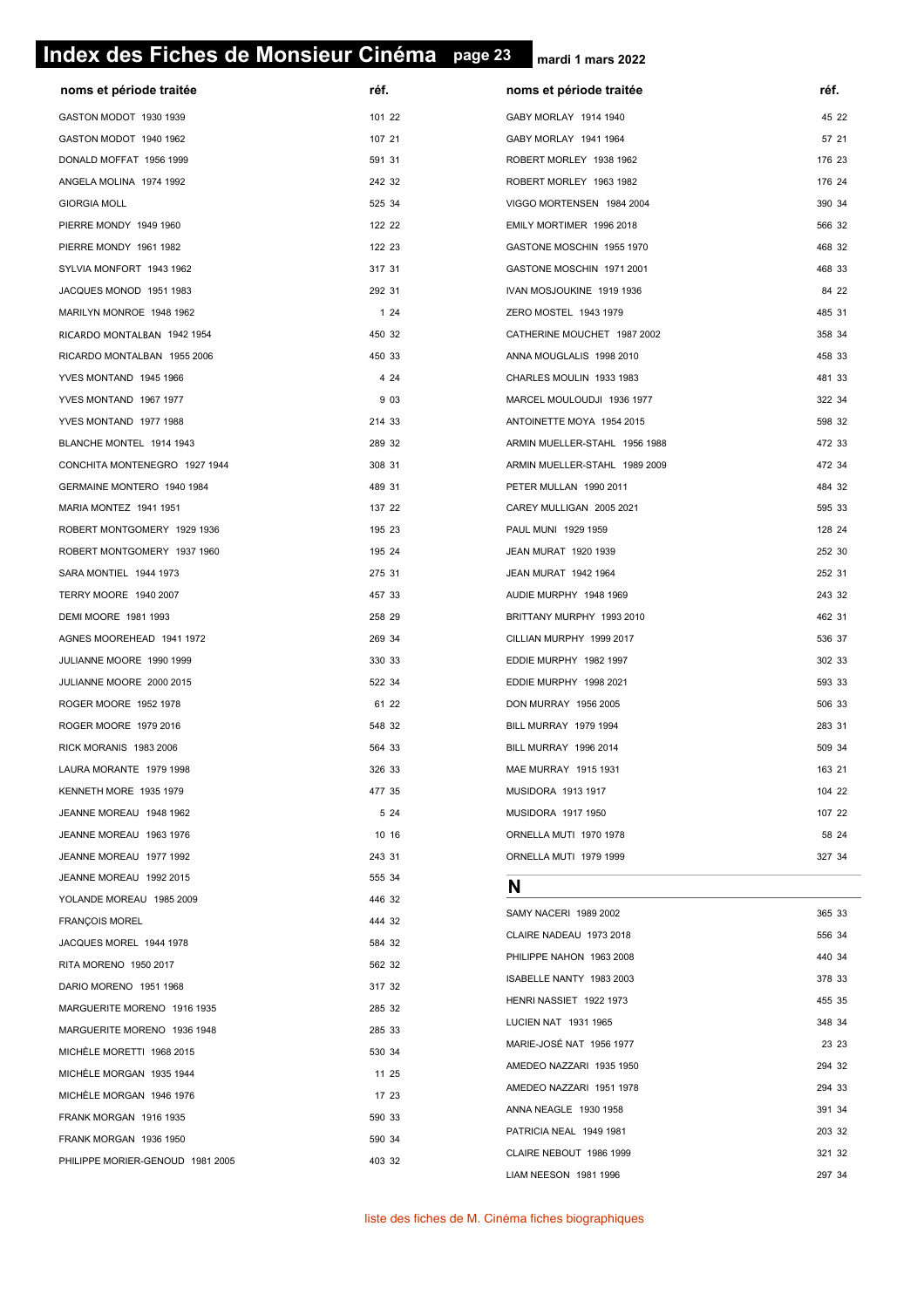# **page 23 Index des Fiches de Monsieur Cinéma page 23**

| noms et période traitée          | réf.   | noms et période traitée       | réf.   |
|----------------------------------|--------|-------------------------------|--------|
| GASTON MODOT 1930 1939           | 101 22 | GABY MORLAY 1914 1940         | 45 22  |
| GASTON MODOT 1940 1962           | 107 21 | GABY MORLAY 1941 1964         | 57 21  |
| DONALD MOFFAT 1956 1999          | 591 31 | ROBERT MORLEY 1938 1962       | 176 23 |
| ANGELA MOLINA 1974 1992          | 242 32 | ROBERT MORLEY 1963 1982       | 176 24 |
| <b>GIORGIA MOLL</b>              | 525 34 | VIGGO MORTENSEN 1984 2004     | 390 34 |
| PIERRE MONDY 1949 1960           | 122 22 | EMILY MORTIMER 1996 2018      | 566 32 |
| PIERRE MONDY 1961 1982           | 122 23 | GASTONE MOSCHIN 1955 1970     | 468 32 |
| SYLVIA MONFORT 1943 1962         | 317 31 | GASTONE MOSCHIN 1971 2001     | 468 33 |
| JACQUES MONOD 1951 1983          | 292 31 | IVAN MOSJOUKINE 1919 1936     | 84 22  |
| MARILYN MONROE 1948 1962         | 124    | ZERO MOSTEL 1943 1979         | 485 31 |
| RICARDO MONTALBAN 1942 1954      | 450 32 | CATHERINE MOUCHET 1987 2002   | 358 34 |
| RICARDO MONTALBAN 1955 2006      | 450 33 | ANNA MOUGLALIS 1998 2010      | 458 33 |
| YVES MONTAND 1945 1966           | 4 2 4  | CHARLES MOULIN 1933 1983      | 481 33 |
| YVES MONTAND 1967 1977           | 9 0 3  | MARCEL MOULOUDJI 1936 1977    | 322 34 |
| YVES MONTAND 1977 1988           | 214 33 | ANTOINETTE MOYA 1954 2015     | 598 32 |
| BLANCHE MONTEL 1914 1943         | 289 32 | ARMIN MUELLER-STAHL 1956 1988 | 472 33 |
| CONCHITA MONTENEGRO 1927 1944    | 308 31 | ARMIN MUELLER-STAHL 1989 2009 | 472 34 |
| GERMAINE MONTERO 1940 1984       | 489 31 | PETER MULLAN 1990 2011        | 484 32 |
| MARIA MONTEZ 1941 1951           | 137 22 | CAREY MULLIGAN 2005 2021      | 595 33 |
| ROBERT MONTGOMERY 1929 1936      | 195 23 | PAUL MUNI 1929 1959           | 128 24 |
| ROBERT MONTGOMERY 1937 1960      | 195 24 | JEAN MURAT 1920 1939          | 252 30 |
| SARA MONTIEL 1944 1973           | 275 31 | JEAN MURAT 1942 1964          | 252 31 |
| TERRY MOORE 1940 2007            | 457 33 | AUDIE MURPHY 1948 1969        | 243 32 |
| DEMI MOORE 1981 1993             | 258 29 | BRITTANY MURPHY 1993 2010     | 462 31 |
| AGNES MOOREHEAD 1941 1972        | 269 34 | CILLIAN MURPHY 1999 2017      | 536 37 |
| JULIANNE MOORE 1990 1999         | 330 33 | EDDIE MURPHY 1982 1997        | 302 33 |
| JULIANNE MOORE 2000 2015         | 522 34 | EDDIE MURPHY 1998 2021        | 593 33 |
| ROGER MOORE 1952 1978            | 61 22  | DON MURRAY 1956 2005          | 506 33 |
| ROGER MOORE 1979 2016            | 548 32 | BILL MURRAY 1979 1994         | 283 31 |
| RICK MORANIS 1983 2006           | 564 33 | BILL MURRAY 1996 2014         | 509 34 |
| LAURA MORANTE 1979 1998          | 326 33 | MAE MURRAY 1915 1931          | 163 21 |
| KENNETH MORE 1935 1979           | 477 35 | MUSIDORA 1913 1917            | 104 22 |
| JEANNE MOREAU 1948 1962          | 5 24   | MUSIDORA 1917 1950            | 107 22 |
| JEANNE MOREAU 1963 1976          | 10 16  | ORNELLA MUTI 1970 1978        | 58 24  |
| JEANNE MOREAU 1977 1992          | 243 31 | ORNELLA MUTI 1979 1999        | 327 34 |
| JEANNE MOREAU 1992 2015          | 555 34 | N                             |        |
| YOLANDE MOREAU 1985 2009         | 446 32 |                               |        |
| <b>FRANÇOIS MOREL</b>            | 444 32 | SAMY NACERI 1989 2002         | 365 33 |
| JACQUES MOREL 1944 1978          | 584 32 | CLAIRE NADEAU 1973 2018       | 556 34 |
| RITA MORENO 1950 2017            | 562 32 | PHILIPPE NAHON 1963 2008      | 440 34 |
| DARIO MORENO 1951 1968           | 317 32 | ISABELLE NANTY 1983 2003      | 378 33 |
| MARGUERITE MORENO 1916 1935      | 285 32 | HENRI NASSIET 1922 1973       | 455 35 |
| MARGUERITE MORENO 1936 1948      | 285 33 | LUCIEN NAT 1931 1965          | 348 34 |
| MICHELE MORETTI 1968 2015        | 530 34 | MARIE-JOSÉ NAT 1956 1977      | 23 23  |
| MICHELE MORGAN 1935 1944         | 11 25  | AMEDEO NAZZARI 1935 1950      | 294 32 |
| MICHELE MORGAN 1946 1976         | 17 23  | AMEDEO NAZZARI 1951 1978      | 294 33 |
| FRANK MORGAN 1916 1935           | 590 33 | ANNA NEAGLE 1930 1958         | 391 34 |
| FRANK MORGAN 1936 1950           | 590 34 | PATRICIA NEAL 1949 1981       | 203 32 |
| PHILIPPE MORIER-GENOUD 1981 2005 | 403 32 | CLAIRE NEBOUT 1986 1999       | 321 32 |
|                                  |        | LIAM NEESON 1981 1996         | 297 34 |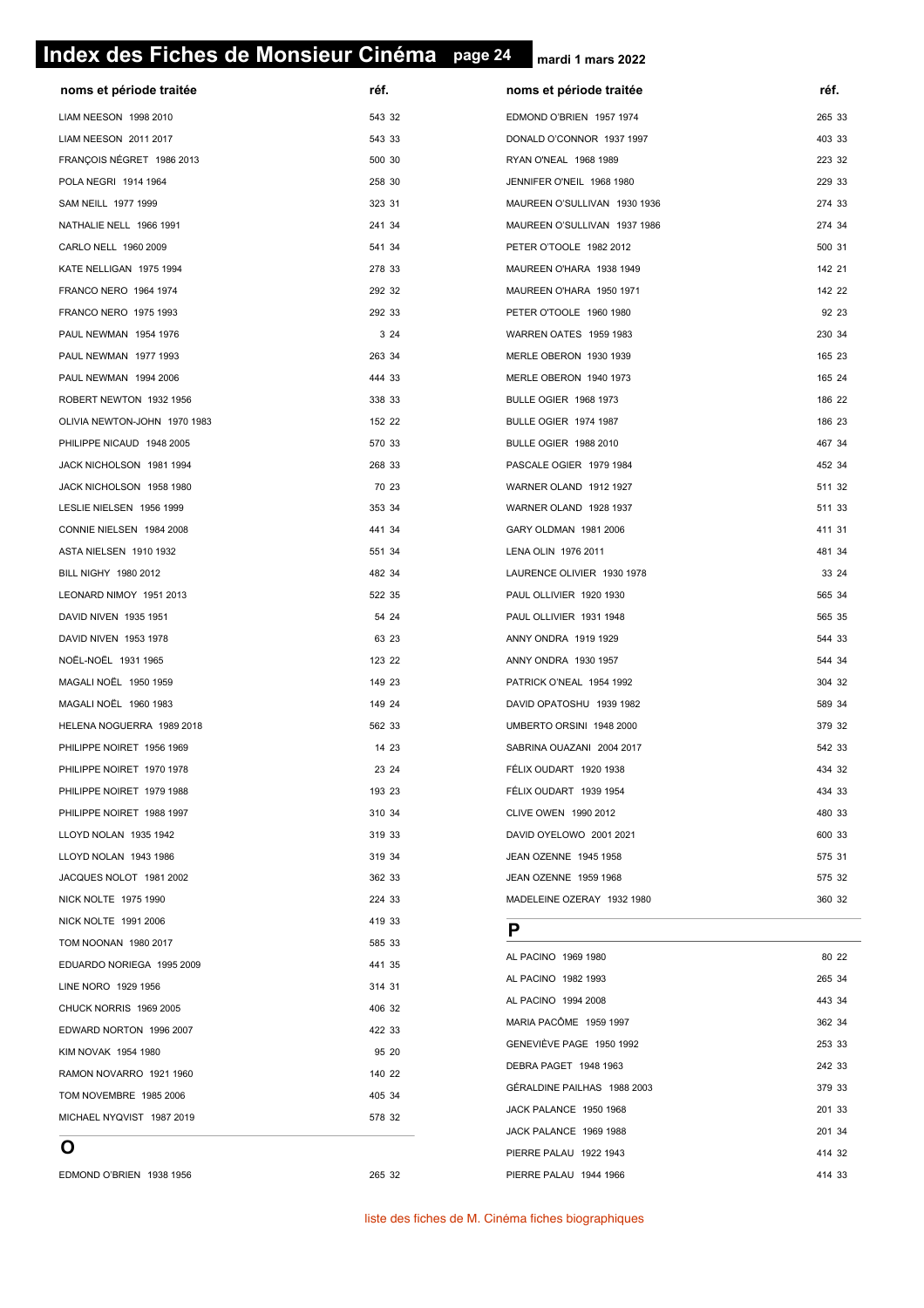# **page 24 Index des Fiches de Monsieur Cinéma page 24**

**mardi 1 mars 2022**

| noms et période traitée      | réf.   | noms et période traitée      | réf.   |
|------------------------------|--------|------------------------------|--------|
| LIAM NEESON 1998 2010        | 543 32 | EDMOND O'BRIEN 1957 1974     | 265 33 |
| LIAM NEESON 2011 2017        | 543 33 | DONALD O'CONNOR 1937 1997    | 403 33 |
| FRANÇOIS NÉGRET 1986 2013    | 500 30 | RYAN O'NEAL 1968 1989        | 223 32 |
| POLA NEGRI 1914 1964         | 258 30 | JENNIFER O'NEIL 1968 1980    | 229 33 |
| SAM NEILL 1977 1999          | 323 31 | MAUREEN O'SULLIVAN 1930 1936 | 274 33 |
| NATHALIE NELL 1966 1991      | 241 34 | MAUREEN O'SULLIVAN 1937 1986 | 274 34 |
| CARLO NELL 1960 2009         | 541 34 | PETER O'TOOLE 1982 2012      | 500 31 |
| KATE NELLIGAN 1975 1994      | 278 33 | MAUREEN O'HARA 1938 1949     | 142 21 |
| FRANCO NERO 1964 1974        | 292 32 | MAUREEN O'HARA 1950 1971     | 142 22 |
| FRANCO NERO 1975 1993        | 292 33 | PETER O'TOOLE 1960 1980      | 92 23  |
| PAUL NEWMAN 1954 1976        | 3 2 4  | WARREN OATES 1959 1983       | 230 34 |
| PAUL NEWMAN 1977 1993        | 263 34 | MERLE OBERON 1930 1939       | 165 23 |
| PAUL NEWMAN 1994 2006        | 444 33 | MERLE OBERON 1940 1973       | 165 24 |
| ROBERT NEWTON 1932 1956      | 338 33 | <b>BULLE OGIER 1968 1973</b> | 186 22 |
| OLIVIA NEWTON-JOHN 1970 1983 | 152 22 | BULLE OGIER 1974 1987        | 186 23 |
| PHILIPPE NICAUD 1948 2005    | 570 33 | <b>BULLE OGIER 1988 2010</b> | 467 34 |
| JACK NICHOLSON 1981 1994     | 268 33 | PASCALE OGIER 1979 1984      | 452 34 |
| JACK NICHOLSON 1958 1980     | 70 23  | WARNER OLAND 1912 1927       | 511 32 |
| LESLIE NIELSEN 1956 1999     | 353 34 | WARNER OLAND 1928 1937       | 511 33 |
| CONNIE NIELSEN 1984 2008     | 441 34 | GARY OLDMAN 1981 2006        | 411 31 |
| ASTA NIELSEN 1910 1932       | 551 34 | LENA OLIN 1976 2011          | 481 34 |
| BILL NIGHY 1980 2012         | 482 34 | LAURENCE OLIVIER 1930 1978   | 33 24  |
| LEONARD NIMOY 1951 2013      | 522 35 | PAUL OLLIVIER 1920 1930      | 565 34 |
| DAVID NIVEN 1935 1951        | 54 24  | PAUL OLLIVIER 1931 1948      | 565 35 |
| DAVID NIVEN 1953 1978        | 63 23  | ANNY ONDRA 1919 1929         | 544 33 |
| NOËL-NOËL 1931 1965          | 123 22 | ANNY ONDRA 1930 1957         | 544 34 |
| MAGALI NOËL 1950 1959        | 149 23 | PATRICK O'NEAL 1954 1992     | 304 32 |
| MAGALI NOËL 1960 1983        | 149 24 | DAVID OPATOSHU 1939 1982     | 589 34 |
| HELENA NOGUERRA 1989 2018    | 562 33 | UMBERTO ORSINI 1948 2000     | 379 32 |
| PHILIPPE NOIRET 1956 1969    | 14 23  | SABRINA OUAZANI 2004 2017    | 542 33 |
| PHILIPPE NOIRET 1970 1978    | 23 24  | FÉLIX OUDART 1920 1938       | 434 32 |
| PHILIPPE NOIRET 1979 1988    | 193 23 | FÉLIX OUDART 1939 1954       | 434 33 |
| PHILIPPE NOIRET 1988 1997    | 310 34 | CLIVE OWEN 1990 2012         | 480 33 |
| LLOYD NOLAN 1935 1942        | 319 33 | DAVID OYELOWO 2001 2021      | 600 33 |
| LLOYD NOLAN 1943 1986        | 319 34 | JEAN OZENNE 1945 1958        | 575 31 |
| JACQUES NOLOT 1981 2002      | 362 33 | JEAN OZENNE 1959 1968        | 575 32 |
| NICK NOLTE 1975 1990         | 224 33 | MADELEINE OZERAY 1932 1980   | 360 32 |
| NICK NOLTE 1991 2006         | 419 33 |                              |        |
| TOM NOONAN 1980 2017         | 585 33 | P                            |        |
| EDUARDO NORIEGA 1995 2009    | 441 35 | AL PACINO 1969 1980          | 80 22  |
| LINE NORO 1929 1956          | 314 31 | AL PACINO 1982 1993          | 265 34 |
| CHUCK NORRIS 1969 2005       | 406 32 | AL PACINO 1994 2008          | 443 34 |
| EDWARD NORTON 1996 2007      | 422 33 | MARIA PACÔME 1959 1997       | 362 34 |
| KIM NOVAK 1954 1980          | 95 20  | GENEVIËVE PAGE 1950 1992     | 253 33 |
| RAMON NOVARRO 1921 1960      | 140 22 | DEBRA PAGET 1948 1963        | 242 33 |
| TOM NOVEMBRE 1985 2006       | 405 34 | GÉRALDINE PAILHAS 1988 2003  | 379 33 |
| MICHAEL NYQVIST 1987 2019    | 578 32 | JACK PALANCE 1950 1968       | 201 33 |
|                              |        | JACK PALANCE 1969 1988       | 201 34 |
| O                            |        | PIERRE PALAU 1922 1943       | 414 32 |

EDMOND O'BRIEN 1938 1956 265 32

PIERRE PALAU 1944 1966 **414 33**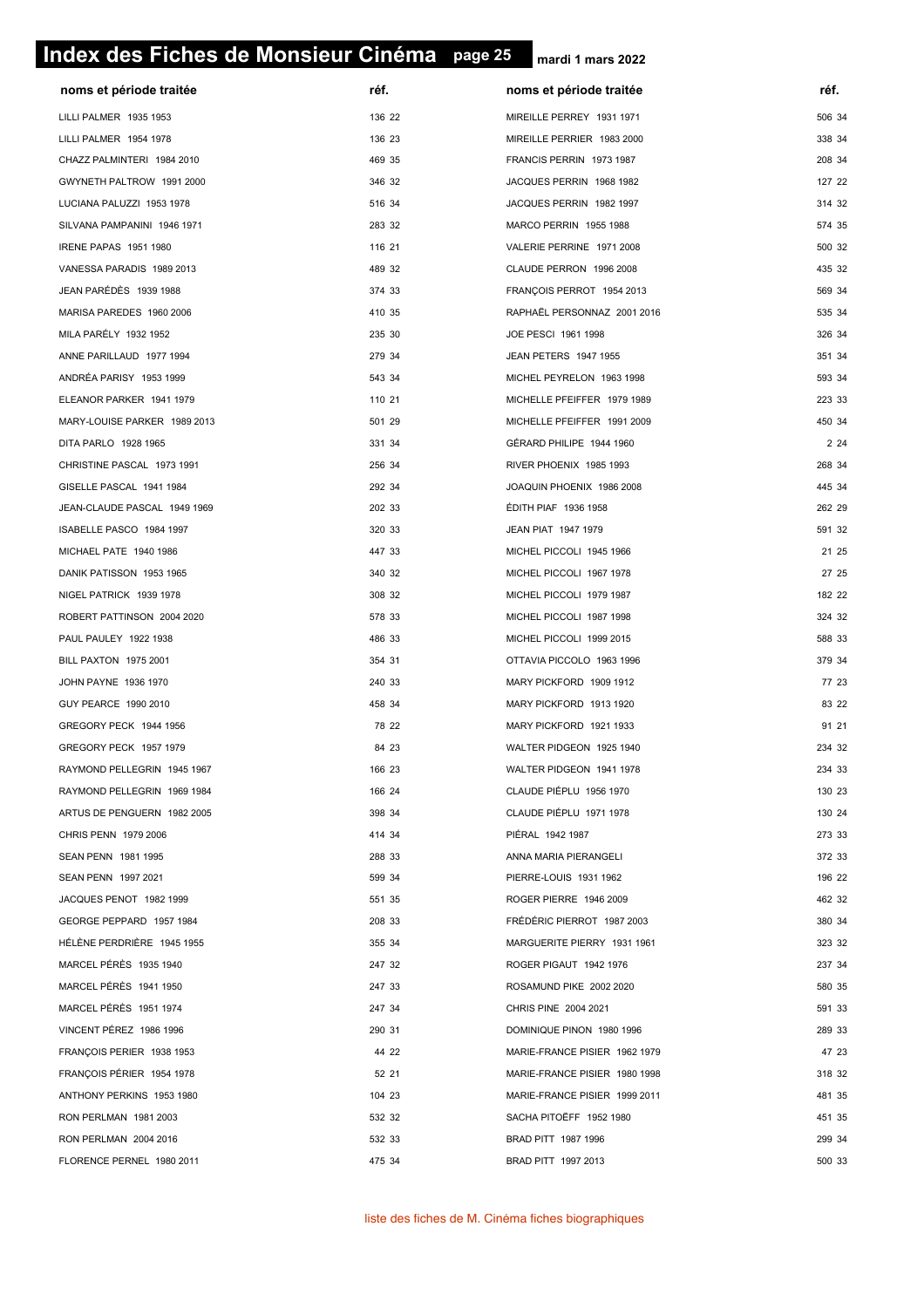# **page 25 Index des Fiches de Monsieur Cinéma page 25**

| noms et période traitée      | réf.   | noms et période traitée       | réf.   |
|------------------------------|--------|-------------------------------|--------|
| LILLI PALMER 1935 1953       | 136 22 | MIREILLE PERREY 1931 1971     | 506 34 |
| LILLI PALMER 1954 1978       | 136 23 | MIREILLE PERRIER 1983 2000    | 338 34 |
| CHAZZ PALMINTERI 1984 2010   | 469 35 | FRANCIS PERRIN 1973 1987      | 208 34 |
| GWYNETH PALTROW 1991 2000    | 346 32 | JACQUES PERRIN 1968 1982      | 127 22 |
| LUCIANA PALUZZI 1953 1978    | 516 34 | JACQUES PERRIN 1982 1997      | 314 32 |
| SILVANA PAMPANINI 1946 1971  | 283 32 | MARCO PERRIN 1955 1988        | 574 35 |
| IRENE PAPAS 1951 1980        | 116 21 | VALERIE PERRINE 1971 2008     | 500 32 |
| VANESSA PARADIS 1989 2013    | 489 32 | CLAUDE PERRON 1996 2008       | 435 32 |
| JEAN PARÉDÈS 1939 1988       | 374 33 | FRANÇOIS PERROT 1954 2013     | 569 34 |
| MARISA PAREDES 1960 2006     | 410 35 | RAPHAËL PERSONNAZ 2001 2016   | 535 34 |
| MILA PARÉLY 1932 1952        | 235 30 | JOE PESCI 1961 1998           | 326 34 |
| ANNE PARILLAUD 1977 1994     | 279 34 | <b>JEAN PETERS 1947 1955</b>  | 351 34 |
| ANDRÉA PARISY 1953 1999      | 543 34 | MICHEL PEYRELON 1963 1998     | 593 34 |
| ELEANOR PARKER 1941 1979     | 110 21 | MICHELLE PFEIFFER 1979 1989   | 223 33 |
| MARY-LOUISE PARKER 1989 2013 | 501 29 | MICHELLE PFEIFFER 1991 2009   | 450 34 |
| DITA PARLO 1928 1965         | 331 34 | GÉRARD PHILIPE 1944 1960      | 2 2 4  |
| CHRISTINE PASCAL 1973 1991   | 256 34 | RIVER PHOENIX 1985 1993       | 268 34 |
| GISELLE PASCAL 1941 1984     | 292 34 | JOAQUIN PHOENIX 1986 2008     | 445 34 |
| JEAN-CLAUDE PASCAL 1949 1969 | 202 33 | ÉDITH PIAF 1936 1958          | 262 29 |
| ISABELLE PASCO 1984 1997     | 320 33 | JEAN PIAT 1947 1979           | 591 32 |
| MICHAEL PATE 1940 1986       | 447 33 | MICHEL PICCOLI 1945 1966      | 21 25  |
| DANIK PATISSON 1953 1965     | 340 32 | MICHEL PICCOLI 1967 1978      | 27 25  |
| NIGEL PATRICK 1939 1978      | 308 32 | MICHEL PICCOLI 1979 1987      | 182 22 |
| ROBERT PATTINSON 2004 2020   | 578 33 | MICHEL PICCOLI 1987 1998      | 324 32 |
| PAUL PAULEY 1922 1938        | 486 33 | MICHEL PICCOLI 1999 2015      | 588 33 |
| BILL PAXTON 1975 2001        | 354 31 | OTTAVIA PICCOLO 1963 1996     | 379 34 |
| JOHN PAYNE 1936 1970         | 240 33 | MARY PICKFORD 1909 1912       | 77 23  |
| GUY PEARCE 1990 2010         | 458 34 | MARY PICKFORD 1913 1920       | 83 22  |
| GREGORY PECK 1944 1956       | 78 22  | MARY PICKFORD 1921 1933       | 91 21  |
| GREGORY PECK 1957 1979       | 84 23  | WALTER PIDGEON 1925 1940      | 234 32 |
| RAYMOND PELLEGRIN 1945 1967  | 166 23 | WALTER PIDGEON 1941 1978      | 234 33 |
| RAYMOND PELLEGRIN 1969 1984  | 166 24 | CLAUDE PIÉPLU 1956 1970       | 130 23 |
| ARTUS DE PENGUERN 1982 2005  | 398 34 | CLAUDE PIÉPLU 1971 1978       | 130 24 |
| CHRIS PENN 1979 2006         | 414 34 | PIÉRAL 1942 1987              | 273 33 |
| SEAN PENN 1981 1995          | 288 33 | ANNA MARIA PIERANGELI         | 372 33 |
| SEAN PENN 1997 2021          | 599 34 | PIERRE-LOUIS 1931 1962        | 196 22 |
| JACQUES PENOT 1982 1999      | 551 35 | ROGER PIERRE 1946 2009        | 462 32 |
| GEORGE PEPPARD 1957 1984     | 208 33 | FRÉDÉRIC PIERROT 1987 2003    | 380 34 |
| HÉLÈNE PERDRIÈRE 1945 1955   | 355 34 | MARGUERITE PIERRY 1931 1961   | 323 32 |
| MARCEL PÉRÈS 1935 1940       | 247 32 | ROGER PIGAUT 1942 1976        | 237 34 |
| MARCEL PÉRÈS 1941 1950       | 247 33 | ROSAMUND PIKE 2002 2020       | 580 35 |
| MARCEL PÉRÈS 1951 1974       | 247 34 | CHRIS PINE 2004 2021          | 591 33 |
| VINCENT PÉREZ 1986 1996      | 290 31 | DOMINIQUE PINON 1980 1996     | 289 33 |
| FRANÇOIS PERIER 1938 1953    | 44 22  | MARIE-FRANCE PISIER 1962 1979 | 47 23  |
| FRANÇOIS PÉRIER 1954 1978    | 52 21  | MARIE-FRANCE PISIER 1980 1998 | 318 32 |
| ANTHONY PERKINS 1953 1980    | 104 23 | MARIE-FRANCE PISIER 1999 2011 | 481 35 |
| RON PERLMAN 1981 2003        | 532 32 | SACHA PITOËFF 1952 1980       | 451 35 |
| RON PERLMAN 2004 2016        | 532 33 | BRAD PITT 1987 1996           | 299 34 |
| FLORENCE PERNEL 1980 2011    | 475 34 | BRAD PITT 1997 2013           | 500 33 |
|                              |        |                               |        |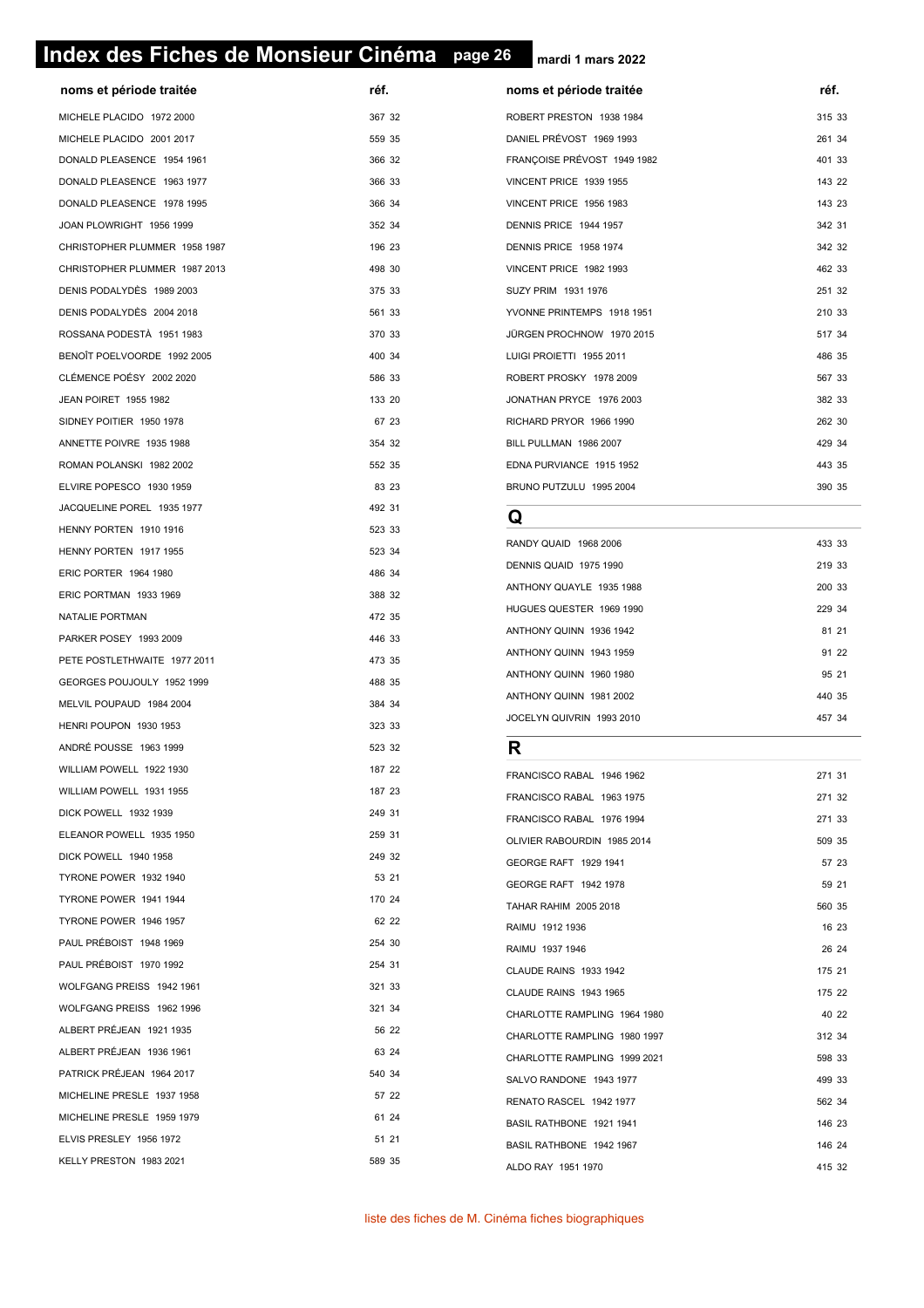# **page 26 Index des Fiches de Monsieur Cinéma page 26**

**mardi 1 mars 2022**

| noms et periode traitee       | ret.             |
|-------------------------------|------------------|
| MICHELE PLACIDO 1972 2000     | 367 32           |
| MICHELE PLACIDO 2001 2017     | 559 35           |
| DONALD PLEASENCE 1954 1961    | 366 32           |
| DONALD PLEASENCE 1963 1977    | 366 33           |
| DONALD PLEASENCE 1978 1995    | 366 34           |
| JOAN PLOWRIGHT 1956 1999      | 352 34           |
| CHRISTOPHER PLUMMER 1958 1987 | 196 23           |
| CHRISTOPHER PLUMMER 1987 2013 | 498 30           |
| DENIS PODALYDÈS 1989 2003     | 375 33           |
| DENIS PODALYDÈS 2004 2018     | 561 33           |
| ROSSANA PODESTÀ 1951 1983     | 370 33           |
| BENOÎT POELVOORDE 1992 2005   | 400 34           |
| CLÉMENCE POÉSY 2002 2020      | 586 33           |
| <b>JEAN POIRET 1955 1982</b>  | 133 20           |
| SIDNEY POITIER 1950 1978      | 67 23            |
| ANNETTE POIVRE 1935 1988      | 354 32           |
| ROMAN POLANSKI 1982 2002      | 552 35           |
| ELVIRE POPESCO 1930 1959      | 83 23            |
| JACQUELINE POREL 1935 1977    | 492 31           |
| HENNY PORTEN 1910 1916        | 523 33           |
| HENNY PORTEN 1917 1955        | 523 34           |
| <b>ERIC PORTER 1964 1980</b>  | 486 34           |
| ERIC PORTMAN 1933 1969        | 388 32           |
| NATALIE PORTMAN               | 472 35           |
| PARKER POSEY 1993 2009        | 446 33           |
| PETE POSTLETHWAITE 1977 2011  | 473 35           |
| GEORGES POUJOULY 1952 1999    | 488 35           |
| MELVIL POUPAUD 1984 2004      | 384 34           |
| HENRI POUPON 1930 1953        | 323 33           |
| ANDRÉ POUSSE 1963 1999        | 523 32           |
| WILLIAM POWELL 1922 1930      | 187 22           |
| WILLIAM POWELL 1931 1955      | 187 23           |
| DICK POWELL 1932 1939         | 249 31           |
| ELEANOR POWELL 1935 1950      | 259 31           |
| DICK POWELL 1940 1958         | 249 32           |
| TYRONE POWER 1932 1940        | 53 21            |
| TYRONE POWER 1941 1944        | 170 24           |
| TYRONE POWER 1946 1957        | 62 22            |
| PAUL PRÉBOIST 1948 1969       |                  |
| PAUL PRÉBOIST 1970 1992       | 254 30<br>254 31 |
|                               |                  |
| WOLFGANG PREISS 1942 1961     | 321 33           |
| WOLFGANG PREISS 1962 1996     | 321 34           |
| ALBERT PRÉJEAN 1921 1935      | 56 22            |
| ALBERT PRÉJEAN 1936 1961      | 63 24            |
| PATRICK PRÉJEAN 1964 2017     | 540 34           |
| MICHELINE PRESLE 1937 1958    | 57 22            |
| MICHELINE PRESLE 1959 1979    | 61 24            |
| ELVIS PRESLEY 1956 1972       | 51 21            |
| KELLY PRESTON 1983 2021       | 589 35           |
|                               |                  |

| noms et période traitée       | réf.   | noms et période traitée     | réf.   |
|-------------------------------|--------|-----------------------------|--------|
| MICHELE PLACIDO 1972 2000     | 367 32 | ROBERT PRESTON 1938 1984    | 315 33 |
| MICHELE PLACIDO 2001 2017     | 559 35 | DANIEL PRÉVOST 1969 1993    | 261 34 |
| DONALD PLEASENCE 1954 1961    | 366 32 | FRANÇOISE PRÉVOST 1949 1982 | 401 33 |
| DONALD PLEASENCE 1963 1977    | 366 33 | VINCENT PRICE 1939 1955     | 143 22 |
| DONALD PLEASENCE 1978 1995    | 366 34 | VINCENT PRICE 1956 1983     | 143 23 |
| JOAN PLOWRIGHT 1956 1999      | 352 34 | DENNIS PRICE 1944 1957      | 342 31 |
| CHRISTOPHER PLUMMER 1958 1987 | 196 23 | DENNIS PRICE 1958 1974      | 342 32 |
| CHRISTOPHER PLUMMER 1987 2013 | 498 30 | VINCENT PRICE 1982 1993     | 462 33 |
| DENIS PODALYDÈS 1989 2003     | 375 33 | SUZY PRIM 1931 1976         | 251 32 |
| DENIS PODALYDÈS 2004 2018     | 561 33 | YVONNE PRINTEMPS 1918 1951  | 210 33 |
| ROSSANA PODESTÀ   1951 1983   | 370 33 | JÜRGEN PROCHNOW 1970 2015   | 517 34 |
| BENOÎT POELVOORDE 1992 2005   | 400 34 | LUIGI PROIETTI 1955 2011    | 486 35 |
| CLÉMENCE POÉSY 2002 2020      | 586 33 | ROBERT PROSKY 1978 2009     | 567 33 |
| JEAN POIRET 1955 1982         | 133 20 | JONATHAN PRYCE 1976 2003    | 382 33 |
| SIDNEY POITIER 1950 1978      | 67 23  | RICHARD PRYOR 1966 1990     | 262 30 |
| ANNETTE POIVRE 1935 1988      | 354 32 | BILL PULLMAN 1986 2007      | 429 34 |
| ROMAN POLANSKI 1982 2002      | 552 35 | EDNA PURVIANCE 1915 1952    | 443 35 |
| ELVIRE POPESCO 1930 1959      | 83 23  | BRUNO PUTZULU 1995 2004     | 390 35 |
|                               |        |                             |        |

#### **Q**

| RANDY QUAID 1968 2006     | 433 33 |
|---------------------------|--------|
| DENNIS QUAID 1975 1990    | 219 33 |
| ANTHONY QUAYLE 1935 1988  | 200 33 |
| HUGUES QUESTER 1969 1990  | 229 34 |
| ANTHONY QUINN 1936 1942   | 81 21  |
| ANTHONY QUINN 1943 1959   | 91 22  |
| ANTHONY QUINN 1960 1980   | 95 21  |
| ANTHONY QUINN 1981 2002   | 440 35 |
| JOCELYN QUIVRIN 1993 2010 | 457 34 |

#### **R**

| FRANCISCO RABAL 1946 1962     | 271 31 |       |
|-------------------------------|--------|-------|
| FRANCISCO RABAL 1963 1975     | 271 32 |       |
| FRANCISCO RABAL 1976 1994     | 271 33 |       |
| OLIVIER RABOURDIN 1985 2014   | 509 35 |       |
| GEORGE RAFT 1929 1941         |        | 57 23 |
| GEORGE RAFT 1942 1978         |        | 59 21 |
| TAHAR RAHIM 2005 2018         | 560 35 |       |
| RAIMU 1912 1936               |        | 16 23 |
| RAIMU 1937 1946               |        | 26 24 |
| <b>CLAUDE RAINS 1933 1942</b> | 175 21 |       |
| CLAUDE RAINS 1943 1965        | 175 22 |       |
| CHARLOTTE RAMPLING 1964 1980  |        | 40 22 |
| CHARLOTTE RAMPLING 1980 1997  | 312 34 |       |
| CHARLOTTE RAMPLING 1999 2021  | 598 33 |       |
| SALVO RANDONE 1943 1977       | 499 33 |       |
| RENATO RASCEL 1942 1977       | 562 34 |       |
| BASIL RATHBONE 1921 1941      | 146 23 |       |
| BASIL RATHBONE 1942 1967      | 146 24 |       |
| ALDO RAY 1951 1970            | 415 32 |       |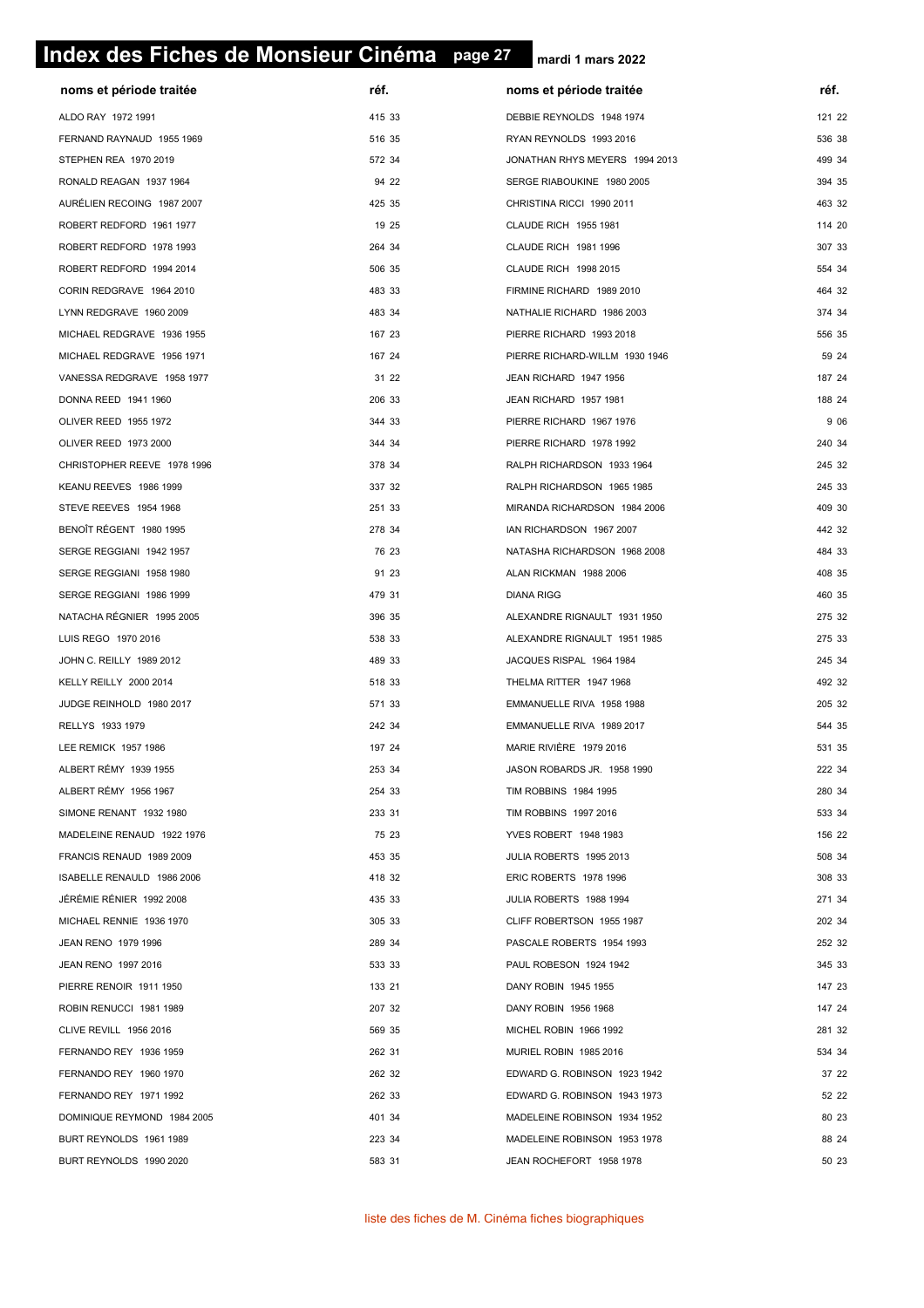# **page 27 Index des Fiches de Monsieur Cinéma page 27**

| noms et période traitée     | réf.   | noms et période traitée        | réf.   |
|-----------------------------|--------|--------------------------------|--------|
| ALDO RAY 1972 1991          | 415 33 | DEBBIE REYNOLDS 1948 1974      | 121 22 |
| FERNAND RAYNAUD 1955 1969   | 516 35 | RYAN REYNOLDS 1993 2016        | 536 38 |
| STEPHEN REA 1970 2019       | 572 34 | JONATHAN RHYS MEYERS 1994 2013 | 499 34 |
| RONALD REAGAN 1937 1964     | 94 22  | SERGE RIABOUKINE 1980 2005     | 394 35 |
| AURÉLIEN RECOING 1987 2007  | 425 35 | CHRISTINA RICCI 1990 2011      | 463 32 |
| ROBERT REDFORD 1961 1977    | 19 25  | CLAUDE RICH 1955 1981          | 114 20 |
| ROBERT REDFORD 1978 1993    | 264 34 | CLAUDE RICH 1981 1996          | 307 33 |
| ROBERT REDFORD 1994 2014    | 506 35 | CLAUDE RICH 1998 2015          | 554 34 |
| CORIN REDGRAVE 1964 2010    | 483 33 | FIRMINE RICHARD 1989 2010      | 464 32 |
| LYNN REDGRAVE 1960 2009     | 483 34 | NATHALIE RICHARD 1986 2003     | 374 34 |
| MICHAEL REDGRAVE 1936 1955  | 167 23 | PIERRE RICHARD 1993 2018       | 556 35 |
| MICHAEL REDGRAVE 1956 1971  | 167 24 | PIERRE RICHARD-WILLM 1930 1946 | 59 24  |
| VANESSA REDGRAVE 1958 1977  | 31 22  | JEAN RICHARD 1947 1956         | 187 24 |
| DONNA REED 1941 1960        | 206 33 | JEAN RICHARD 1957 1981         | 188 24 |
| OLIVER REED 1955 1972       | 344 33 | PIERRE RICHARD 1967 1976       | 9 0 6  |
| OLIVER REED 1973 2000       | 344 34 | PIERRE RICHARD 1978 1992       | 240 34 |
| CHRISTOPHER REEVE 1978 1996 | 378 34 | RALPH RICHARDSON 1933 1964     | 245 32 |
| KEANU REEVES 1986 1999      | 337 32 | RALPH RICHARDSON 1965 1985     | 245 33 |
| STEVE REEVES 1954 1968      | 251 33 | MIRANDA RICHARDSON 1984 2006   | 409 30 |
| BENOÎT RÉGENT 1980 1995     | 278 34 | IAN RICHARDSON 1967 2007       | 442 32 |
| SERGE REGGIANI 1942 1957    | 76 23  | NATASHA RICHARDSON 1968 2008   | 484 33 |
| SERGE REGGIANI 1958 1980    | 91 23  | ALAN RICKMAN 1988 2006         | 408 35 |
| SERGE REGGIANI 1986 1999    | 479 31 | <b>DIANA RIGG</b>              | 460 35 |
| NATACHA RÉGNIER 1995 2005   | 396 35 | ALEXANDRE RIGNAULT 1931 1950   | 275 32 |
| LUIS REGO 1970 2016         | 538 33 | ALEXANDRE RIGNAULT 1951 1985   | 275 33 |
| JOHN C. REILLY 1989 2012    | 489 33 | JACQUES RISPAL 1964 1984       | 245 34 |
| KELLY REILLY 2000 2014      | 518 33 | THELMA RITTER 1947 1968        | 492 32 |
| JUDGE REINHOLD 1980 2017    | 571 33 | EMMANUELLE RIVA 1958 1988      | 205 32 |
| RELLYS 1933 1979            | 242 34 | EMMANUELLE RIVA 1989 2017      | 544 35 |
| LEE REMICK 1957 1986        | 197 24 | MARIE RIVIÈRE 1979 2016        | 531 35 |
| ALBERT RÉMY 1939 1955       | 253 34 | JASON ROBARDS JR. 1958 1990    | 222 34 |
| ALBERT RÉMY 1956 1967       | 254 33 | TIM ROBBINS 1984 1995          | 280 34 |
| SIMONE RENANT 1932 1980     | 233 31 | TIM ROBBINS 1997 2016          | 533 34 |
| MADELEINE RENAUD 1922 1976  | 75 23  | YVES ROBERT 1948 1983          | 156 22 |
| FRANCIS RENAUD 1989 2009    | 453 35 | JULIA ROBERTS 1995 2013        | 508 34 |
| ISABELLE RENAULD 1986 2006  | 418 32 | ERIC ROBERTS 1978 1996         | 308 33 |
| JEREMIE RENIER 1992 2008    | 435 33 | JULIA ROBERTS 1988 1994        | 271 34 |
| MICHAEL RENNIE 1936 1970    | 305 33 | CLIFF ROBERTSON 1955 1987      | 202 34 |
| JEAN RENO 1979 1996         | 289 34 | PASCALE ROBERTS 1954 1993      | 252 32 |
| JEAN RENO 1997 2016         | 533 33 | PAUL ROBESON 1924 1942         | 345 33 |
| PIERRE RENOIR 1911 1950     | 133 21 | DANY ROBIN 1945 1955           | 147 23 |
| ROBIN RENUCCI 1981 1989     | 207 32 | DANY ROBIN 1956 1968           | 147 24 |
| CLIVE REVILL 1956 2016      | 569 35 | MICHEL ROBIN 1966 1992         | 281 32 |
| FERNANDO REY 1936 1959      | 262 31 | MURIEL ROBIN 1985 2016         | 534 34 |
| FERNANDO REY 1960 1970      | 262 32 | EDWARD G. ROBINSON 1923 1942   | 37 22  |
| FERNANDO REY 1971 1992      | 262 33 | EDWARD G. ROBINSON 1943 1973   | 52 22  |
| DOMINIQUE REYMOND 1984 2005 | 401 34 | MADELEINE ROBINSON 1934 1952   | 80 23  |
| BURT REYNOLDS 1961 1989     | 223 34 | MADELEINE ROBINSON 1953 1978   | 88 24  |
| BURT REYNOLDS 1990 2020     | 583 31 | JEAN ROCHEFORT 1958 1978       | 50 23  |
|                             |        |                                |        |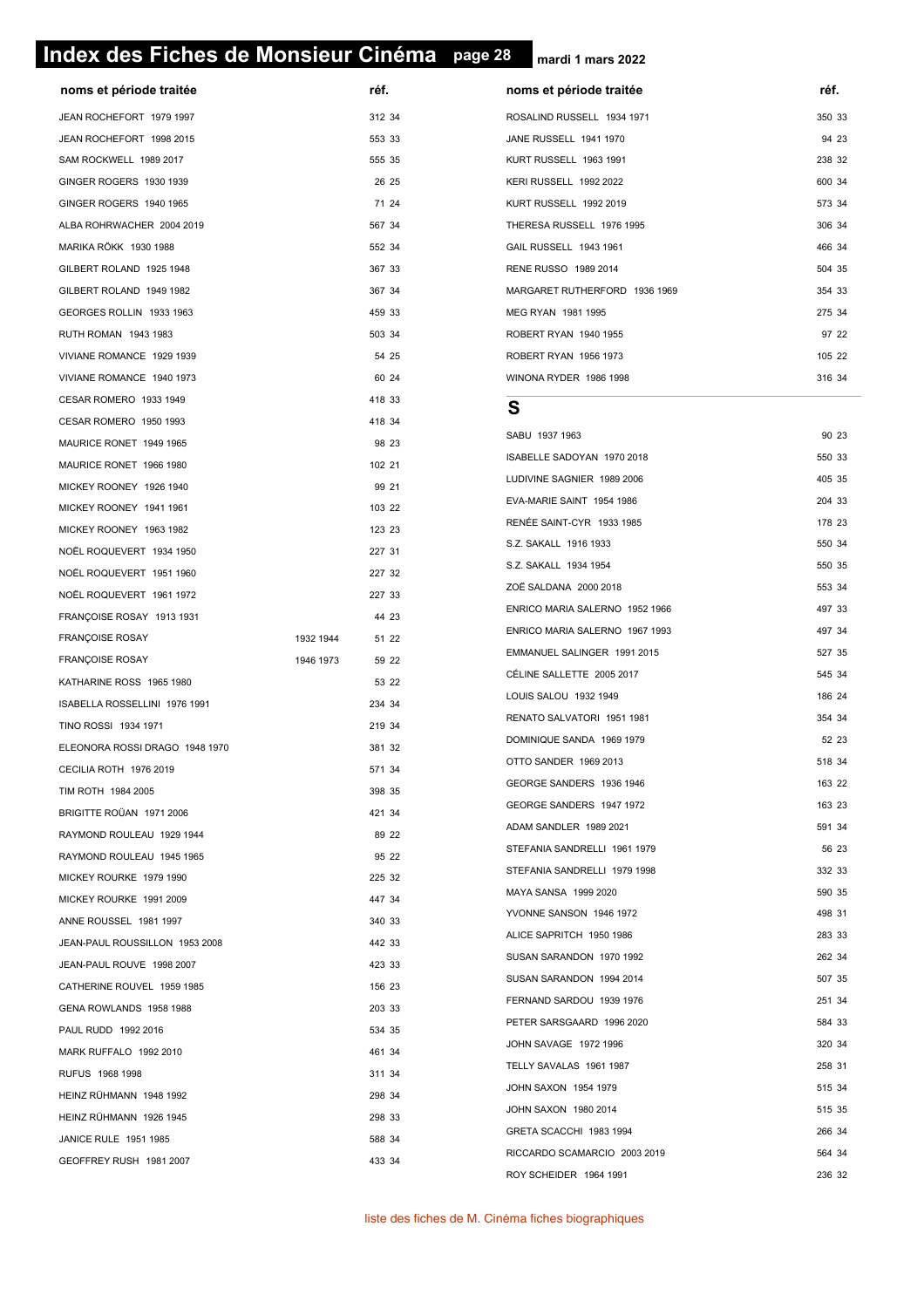# **page 28 Index des Fiches de Monsieur Cinéma page 28**

**mardi 1 mars 2022**

| noms et période traitée        | réf.               | noms et période traitée                               | réf. |
|--------------------------------|--------------------|-------------------------------------------------------|------|
| JEAN ROCHEFORT 1979 1997       | 312 34             | ROSALIND RUSSELL 1934 1971                            | 350  |
| JEAN ROCHEFORT 1998 2015       | 553 33             | JANE RUSSELL 1941 1970                                | 94   |
| SAM ROCKWELL 1989 2017         | 555 35             | KURT RUSSELL 1963 1991                                | 238  |
| GINGER ROGERS 1930 1939        | 26 25              | KERI RUSSELL 1992 2022                                | 600  |
| GINGER ROGERS 1940 1965        | 71 24              | KURT RUSSELL 1992 2019                                | 573  |
| ALBA ROHRWACHER 2004 2019      | 567 34             | THERESA RUSSELL 1976 1995                             | 306  |
| MARIKA RÖKK 1930 1988          | 552 34             | GAIL RUSSELL 1943 1961                                | 466  |
| GILBERT ROLAND 1925 1948       | 367 33             | RENE RUSSO 1989 2014                                  | 504: |
| GILBERT ROLAND 1949 1982       | 367 34             | MARGARET RUTHERFORD 1936 1969                         | 354  |
| GEORGES ROLLIN 1933 1963       | 459 33             | MEG RYAN 1981 1995                                    | 275  |
| RUTH ROMAN 1943 1983           | 503 34             | ROBERT RYAN 1940 1955                                 | 97:  |
| VIVIANE ROMANCE 1929 1939      | 54 25              | ROBERT RYAN 1956 1973                                 | 105  |
| VIVIANE ROMANCE 1940 1973      | 60 24              | WINONA RYDER 1986 1998                                | 316  |
| CESAR ROMERO 1933 1949         | 418 33             | S                                                     |      |
| CESAR ROMERO 1950 1993         | 418 34             |                                                       |      |
| MAURICE RONET 1949 1965        | 98 23              | SABU 1937 1963                                        | 90   |
| MAURICE RONET 1966 1980        | 102 21             | ISABELLE SADOYAN 1970 2018                            | 550  |
| MICKEY ROONEY 1926 1940        | 99 21              | LUDIVINE SAGNIER 1989 2006                            | 405  |
| MICKEY ROONEY 1941 1961        | 103 22             | EVA-MARIE SAINT 1954 1986                             | 204  |
| MICKEY ROONEY 1963 1982        | 123 23             | RENÉE SAINT-CYR 1933 1985                             | 178  |
| NOËL ROQUEVERT 1934 1950       | 227 31             | S.Z. SAKALL 1916 1933                                 | 550  |
| NOËL ROQUEVERT 1951 1960       | 227 32             | S.Z. SAKALL 1934 1954                                 | 550  |
| NOËL ROQUEVERT 1961 1972       | 227 33             | ZOË SALDANA 2000 2018                                 | 553  |
| FRANÇOISE ROSAY 1913 1931      | 44 23              | ENRICO MARIA SALERNO 1952 1966                        | 497  |
| <b>FRANÇOISE ROSAY</b>         | 1932 1944<br>51 22 | ENRICO MARIA SALERNO 1967 1993                        | 497  |
| <b>FRANÇOISE ROSAY</b>         | 1946 1973<br>59 22 | EMMANUEL SALINGER 1991 2015                           | 527  |
| KATHARINE ROSS 1965 1980       | 53 22              | CÉLINE SALLETTE 2005 2017                             | 545  |
| ISABELLA ROSSELLINI 1976 1991  | 234 34             | LOUIS SALOU 1932 1949                                 | 186  |
| TINO ROSSI 1934 1971           | 219 34             | RENATO SALVATORI 1951 1981                            | 354  |
| ELEONORA ROSSI DRAGO 1948 1970 | 381 32             | DOMINIQUE SANDA 1969 1979                             | 52:  |
| CECILIA ROTH 1976 2019         | 571 34             | OTTO SANDER 1969 2013                                 | 518: |
| TIM ROTH 1984 2005             | 398 35             | GEORGE SANDERS 1936 1946                              | 163  |
| BRIGITTE ROÜAN 1971 2006       | 421 34             | GEORGE SANDERS 1947 1972                              | 163  |
| RAYMOND ROULEAU 1929 1944      | 89 22              | ADAM SANDLER 1989 2021                                | 591  |
| RAYMOND ROULEAU 1945 1965      | 95 22              | STEFANIA SANDRELLI 1961 1979                          | 56   |
| MICKEY ROURKE 1979 1990        | 225 32             | STEFANIA SANDRELLI 1979 1998                          | 332  |
| MICKEY ROURKE 1991 2009        | 447 34             | MAYA SANSA 1999 2020                                  | 590  |
| ANNE ROUSSEL 1981 1997         | 340 33             | YVONNE SANSON 1946 1972                               | 498  |
| JEAN-PAUL ROUSSILLON 1953 2008 | 442 33             | ALICE SAPRITCH 1950 1986                              | 283  |
| JEAN-PAUL ROUVE 1998 2007      | 423 33             | SUSAN SARANDON 1970 1992                              | 262  |
| CATHERINE ROUVEL 1959 1985     | 156 23             | SUSAN SARANDON 1994 2014                              | 507  |
| GENA ROWLANDS 1958 1988        | 203 33             | FERNAND SARDOU 1939 1976                              | 251: |
| PAUL RUDD 1992 2016            | 534 35             | PETER SARSGAARD 1996 2020                             | 584  |
| MARK RUFFALO 1992 2010         | 461 34             | JOHN SAVAGE 1972 1996                                 | 320  |
| RUFUS 1968 1998                | 311 34             | TELLY SAVALAS 1961 1987                               | 258  |
| HEINZ RÜHMANN 1948 1992        | 298 34             | JOHN SAXON 1954 1979                                  | 515: |
| HEINZ RÜHMANN 1926 1945        | 298 33             | JOHN SAXON 1980 2014                                  | 515: |
| JANICE RULE 1951 1985          | 588 34             | GRETA SCACCHI 1983 1994                               | 266  |
| GEOFFREY RUSH 1981 2007        | 433 34             | RICCARDO SCAMARCIO 2003 2019<br>DOV COUFIDED 10011001 | 564  |

| noms et période traitée       | réf.   |
|-------------------------------|--------|
| ROSALIND RUSSELL 1934 1971    | 350 33 |
| JANE RUSSELL 1941 1970        | 94 23  |
| KURT RUSSELL 1963 1991        | 238 32 |
| KERI RUSSELL 1992 2022        | 600 34 |
| KURT RUSSELL 1992 2019        | 573 34 |
| THERESA RUSSELL 1976 1995     | 306 34 |
| GAIL RUSSELL 1943 1961        | 466 34 |
| RENE RUSSO 1989 2014          | 504 35 |
| MARGARET RUTHERFORD 1936 1969 | 354 33 |
| MFG RYAN 1981 1995            | 275 34 |
| ROBERT RYAN 1940 1955         | 97 22  |
| ROBERT RYAN 1956 1973         | 105 22 |
| WINONA RYDER 1986 1998        | 316 34 |

#### **S**

| SABU 1937 1963                 |        | 90 23 |
|--------------------------------|--------|-------|
| ISABELLE SADOYAN 1970 2018     | 550 33 |       |
| LUDIVINE SAGNIER 1989 2006     | 405 35 |       |
| EVA-MARIE SAINT 1954 1986      | 204 33 |       |
| RENÉE SAINT-CYR 1933 1985      | 178 23 |       |
| S.Z. SAKALL 1916 1933          | 550 34 |       |
| S.Z. SAKALL 1934 1954          | 550 35 |       |
| ZOË SALDANA 2000 2018          | 553 34 |       |
| ENRICO MARIA SALERNO 1952 1966 | 497 33 |       |
| ENRICO MARIA SALERNO 1967 1993 | 497 34 |       |
| EMMANUEL SALINGER 1991 2015    | 527 35 |       |
| CÉLINE SALLETTE 2005 2017      | 545 34 |       |
| LOUIS SALOU 1932 1949          | 186 24 |       |
| RENATO SALVATORI 1951 1981     | 354 34 |       |
| DOMINIQUE SANDA 1969 1979      |        | 52 23 |
| OTTO SANDER 1969 2013          | 518 34 |       |
| GEORGE SANDERS 1936 1946       | 163 22 |       |
| GEORGE SANDERS 1947 1972       | 163 23 |       |
| ADAM SANDLER 1989 2021         | 591 34 |       |
| STEFANIA SANDRELLI 1961 1979   |        | 56 23 |
| STEFANIA SANDRELLI 1979 1998   | 332 33 |       |
| MAYA SANSA 1999 2020           | 590 35 |       |
| YVONNE SANSON 1946 1972        | 498 31 |       |
| ALICE SAPRITCH 1950 1986       | 283 33 |       |
| SUSAN SARANDON 1970 1992       | 262 34 |       |
| SUSAN SARANDON 1994 2014       | 507 35 |       |
| FERNAND SARDOU 1939 1976       | 251 34 |       |
| PETER SARSGAARD 1996 2020      | 584 33 |       |
| JOHN SAVAGE 1972 1996          | 320 34 |       |
| TELLY SAVALAS 1961 1987        | 258 31 |       |
| JOHN SAXON 1954 1979           | 515 34 |       |
| JOHN SAXON 1980 2014           | 515 35 |       |
| GRETA SCACCHI 1983 1994        | 266 34 |       |
| RICCARDO SCAMARCIO 2003 2019   | 564 34 |       |
| ROY SCHEIDER 1964 1991         | 236 32 |       |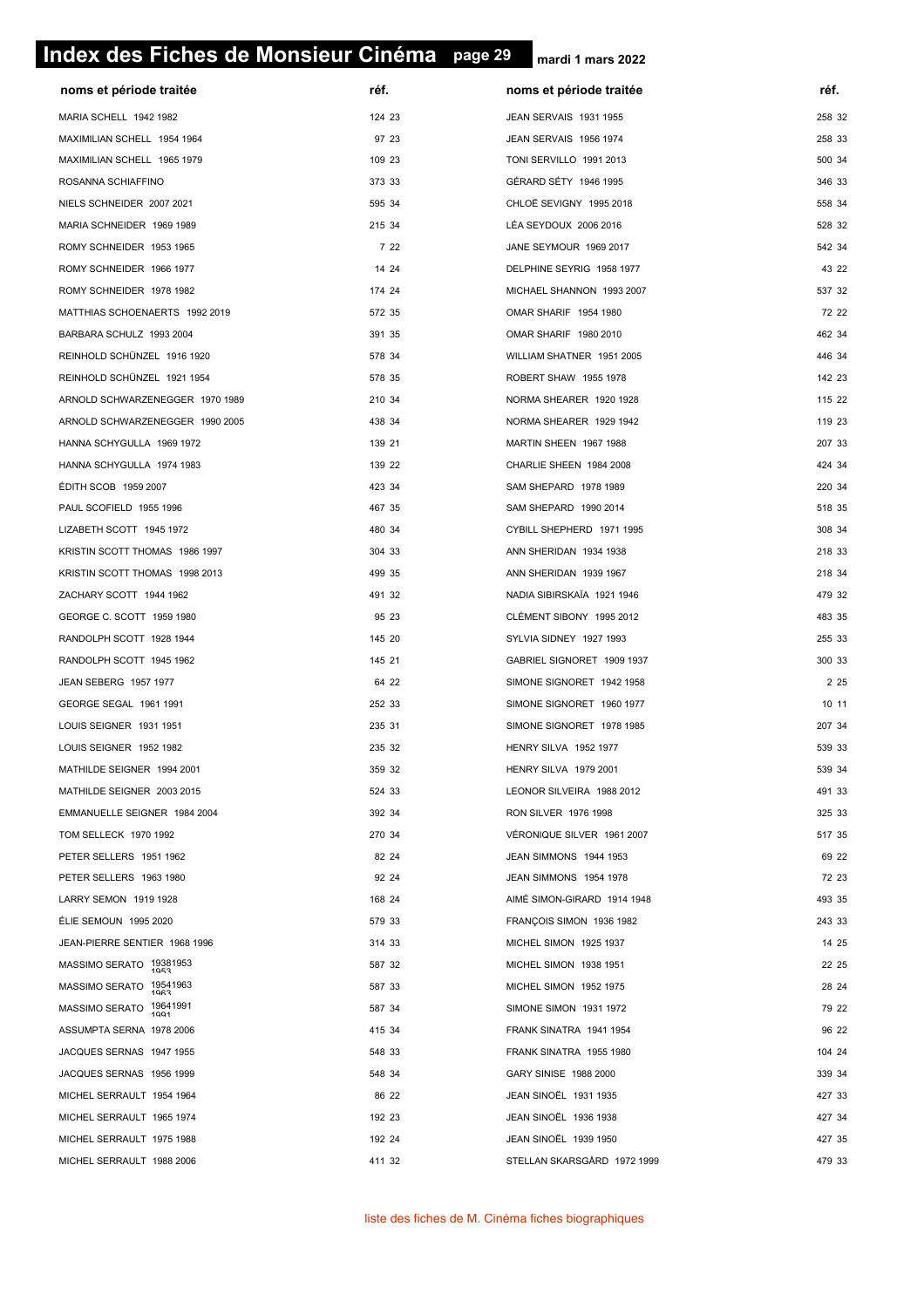# **page 29 Index des Fiches de Monsieur Cinéma page 29**

| noms et période traitée                                  | réf.   | noms et période traitée                                   | réf.   |
|----------------------------------------------------------|--------|-----------------------------------------------------------|--------|
| MARIA SCHELL 1942 1982                                   | 124 23 | JEAN SERVAIS 1931 1955                                    | 258 32 |
| MAXIMILIAN SCHELL 1954 1964                              | 97 23  | JEAN SERVAIS 1956 1974                                    | 258 33 |
| MAXIMILIAN SCHELL 1965 1979                              | 109 23 | TONI SERVILLO 1991 2013                                   | 500 34 |
| ROSANNA SCHIAFFINO                                       | 373 33 | GÉRARD SÉTY 1946 1995                                     | 346 33 |
| NIELS SCHNEIDER 2007 2021                                | 595 34 | CHLOË SEVIGNY 1995 2018                                   | 558 34 |
| MARIA SCHNEIDER 1969 1989                                | 215 34 | LÉA SEYDOUX 2006 2016                                     | 528 32 |
| ROMY SCHNEIDER 1953 1965                                 | 7 22   | JANE SEYMOUR 1969 2017                                    | 542 34 |
| ROMY SCHNEIDER 1966 1977                                 | 14 24  | DELPHINE SEYRIG 1958 1977                                 | 43 22  |
| ROMY SCHNEIDER 1978 1982                                 | 174 24 | MICHAEL SHANNON 1993 2007                                 | 537 32 |
| MATTHIAS SCHOENAERTS 1992 2019                           | 572 35 | OMAR SHARIF 1954 1980                                     | 72 22  |
| BARBARA SCHULZ 1993 2004                                 | 391 35 | OMAR SHARIF 1980 2010                                     | 462 34 |
| REINHOLD SCHÜNZEL 1916 1920                              | 578 34 | WILLIAM SHATNER 1951 2005                                 | 446 34 |
| REINHOLD SCHÜNZEL 1921 1954                              | 578 35 | ROBERT SHAW 1955 1978                                     | 142 23 |
| ARNOLD SCHWARZENEGGER 1970 1989                          | 210 34 | NORMA SHEARER 1920 1928                                   | 115 22 |
| ARNOLD SCHWARZENEGGER 1990 2005                          | 438 34 | NORMA SHEARER 1929 1942                                   | 119 23 |
| HANNA SCHYGULLA 1969 1972                                | 139 21 | MARTIN SHEEN 1967 1988                                    | 207 33 |
| HANNA SCHYGULLA 1974 1983                                | 139 22 | CHARLIE SHEEN 1984 2008                                   | 424 34 |
| ÉDITH SCOB 1959 2007                                     | 423 34 | SAM SHEPARD 1978 1989                                     | 220 34 |
| PAUL SCOFIELD 1955 1996                                  | 467 35 | SAM SHEPARD 1990 2014                                     | 518 35 |
| LIZABETH SCOTT 1945 1972                                 | 480 34 | CYBILL SHEPHERD 1971 1995                                 | 308 34 |
| KRISTIN SCOTT THOMAS 1986 1997                           | 304 33 | ANN SHERIDAN 1934 1938                                    | 218 33 |
| KRISTIN SCOTT THOMAS 1998 2013                           | 499 35 | ANN SHERIDAN 1939 1967                                    | 218 34 |
| ZACHARY SCOTT 1944 1962                                  | 491 32 | NADIA SIBIRSKAÏA 1921 1946                                | 479 32 |
| GEORGE C. SCOTT 1959 1980                                | 95 23  | CLÉMENT SIBONY 1995 2012                                  | 483 35 |
| RANDOLPH SCOTT 1928 1944                                 | 145 20 | SYLVIA SIDNEY 1927 1993                                   | 255 33 |
| RANDOLPH SCOTT 1945 1962                                 | 145 21 | GABRIEL SIGNORET 1909 1937                                | 300 33 |
| JEAN SEBERG 1957 1977                                    | 64 22  | SIMONE SIGNORET 1942 1958                                 | 2 2 5  |
| GEORGE SEGAL 1961 1991                                   | 252 33 | SIMONE SIGNORET 1960 1977                                 | 10 11  |
| LOUIS SEIGNER 1931 1951                                  | 235 31 | SIMONE SIGNORET 1978 1985                                 | 207 34 |
| LOUIS SEIGNER 1952 1982                                  | 235 32 | HENRY SILVA 1952 1977                                     | 539 33 |
|                                                          | 359 32 |                                                           | 539 34 |
| MATHILDE SEIGNER 1994 2001<br>MATHILDE SEIGNER 2003 2015 | 524 33 | <b>HENRY SILVA 1979 2001</b><br>LEONOR SILVEIRA 1988 2012 | 491 33 |
|                                                          | 392 34 |                                                           | 325 33 |
| EMMANUELLE SEIGNER 1984 2004                             | 270 34 | RON SILVER 1976 1998                                      | 517 35 |
| TOM SELLECK 1970 1992                                    | 82 24  | VERONIQUE SILVER 1961 2007                                | 69 22  |
| PETER SELLERS 1951 1962                                  |        | JEAN SIMMONS 1944 1953                                    |        |
| PETER SELLERS 1963 1980                                  | 92 24  | JEAN SIMMONS 1954 1978                                    | 72 23  |
| LARRY SEMON 1919 1928                                    | 168 24 | AIMÉ SIMON-GIRARD 1914 1948                               | 493 35 |
| ÉLIE SEMOUN 1995 2020                                    | 579 33 | FRANÇOIS SIMON 1936 1982                                  | 243 33 |
| JEAN-PIERRE SENTIER 1968 1996                            | 314 33 | MICHEL SIMON 1925 1937                                    | 14 25  |
| MASSIMO SERATO 19381953                                  | 587 32 | MICHEL SIMON 1938 1951                                    | 22 25  |
| MASSIMO SERATO 19541963                                  | 587 33 | MICHEL SIMON 1952 1975                                    | 28 24  |
| MASSIMO SERATO 19641991                                  | 587 34 | SIMONE SIMON 1931 1972                                    | 79 22  |
| ASSUMPTA SERNA 1978 2006                                 | 415 34 | FRANK SINATRA 1941 1954                                   | 96 22  |
| JACQUES SERNAS 1947 1955                                 | 548 33 | FRANK SINATRA 1955 1980                                   | 104 24 |
| JACQUES SERNAS 1956 1999                                 | 548 34 | GARY SINISE 1988 2000                                     | 339 34 |
| MICHEL SERRAULT 1954 1964                                | 86 22  | JEAN SINOËL 1931 1935                                     | 427 33 |
| MICHEL SERRAULT 1965 1974                                | 192 23 | <b>JEAN SINOËL 1936 1938</b>                              | 427 34 |
| MICHEL SERRAULT 1975 1988                                | 192 24 | <b>JEAN SINOËL 1939 1950</b>                              | 427 35 |
| MICHEL SERRAULT 1988 2006                                | 411 32 | STELLAN SKARSGÅRD 1972 1999                               | 479 33 |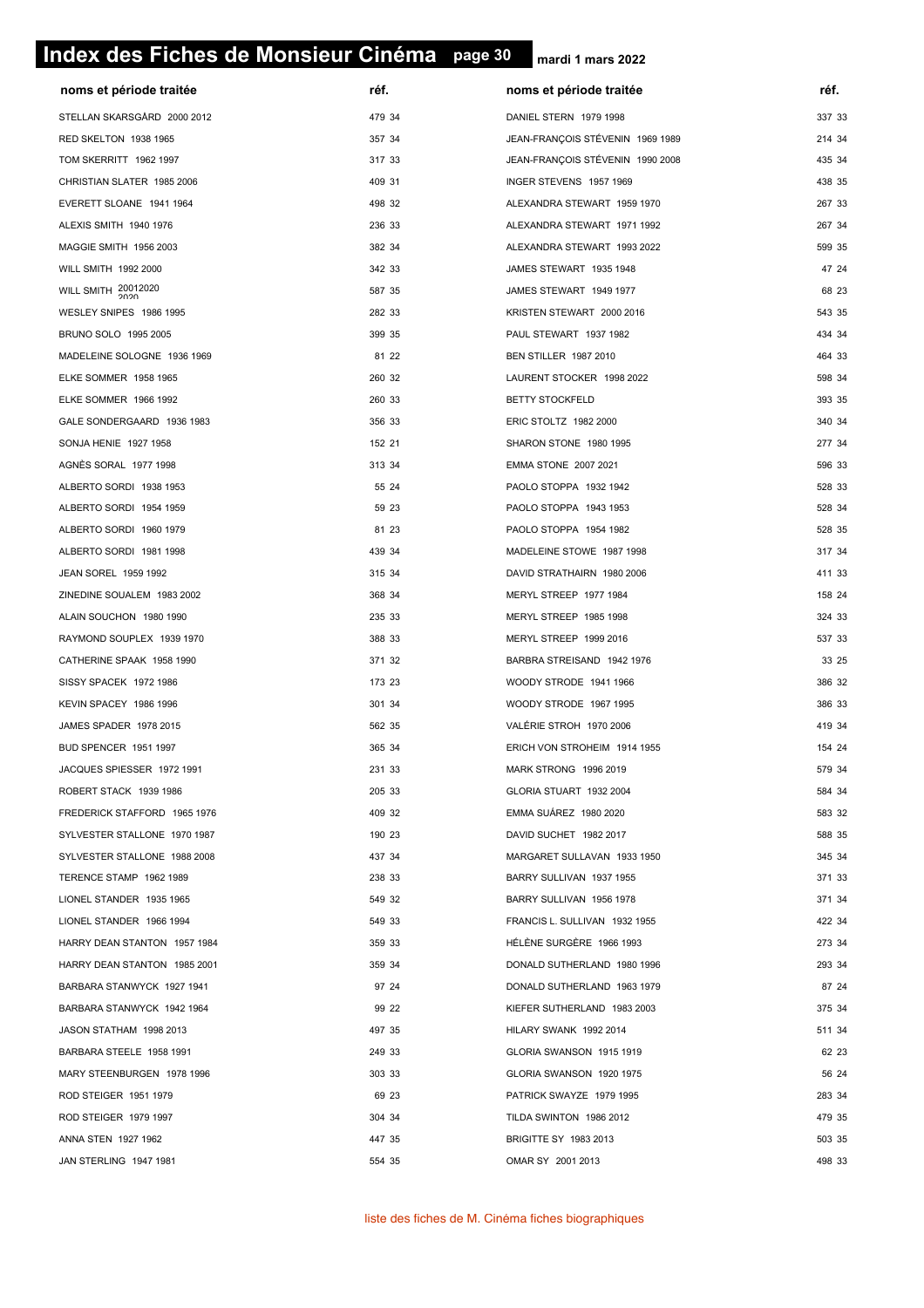# **page 30 Index des Fiches de Monsieur Cinéma page 30**

| noms et période traitée      | réf.   | noms et période traitée          | réf.   |
|------------------------------|--------|----------------------------------|--------|
| STELLAN SKARSGÅRD 2000 2012  | 479 34 | DANIEL STERN 1979 1998           | 337 33 |
| RED SKELTON 1938 1965        | 357 34 | JEAN-FRANÇOIS STÉVENIN 1969 1989 | 214 34 |
| TOM SKERRITT 1962 1997       | 317 33 | JEAN-FRANÇOIS STÉVENIN 1990 2008 | 435 34 |
| CHRISTIAN SLATER 1985 2006   | 409 31 | INGER STEVENS 1957 1969          | 438 35 |
| EVERETT SLOANE 1941 1964     | 498 32 | ALEXANDRA STEWART 1959 1970      | 267 33 |
| ALEXIS SMITH 1940 1976       | 236 33 | ALEXANDRA STEWART 1971 1992      | 267 34 |
| MAGGIE SMITH 1956 2003       | 382 34 | ALEXANDRA STEWART 1993 2022      | 599 35 |
| WILL SMITH 1992 2000         | 342 33 | JAMES STEWART 1935 1948          | 47 24  |
| WILL SMITH 20012020          | 587 35 | JAMES STEWART 1949 1977          | 68 23  |
| WESLEY SNIPES 1986 1995      | 282 33 | KRISTEN STEWART 2000 2016        | 543 35 |
| BRUNO SOLO 1995 2005         | 399 35 | PAUL STEWART 1937 1982           | 434 34 |
| MADELEINE SOLOGNE 1936 1969  | 81 22  | <b>BEN STILLER 1987 2010</b>     | 464 33 |
| ELKE SOMMER 1958 1965        | 260 32 | LAURENT STOCKER 1998 2022        | 598 34 |
| ELKE SOMMER 1966 1992        | 260 33 | <b>BETTY STOCKFELD</b>           | 393 35 |
| GALE SONDERGAARD 1936 1983   | 356 33 | ERIC STOLTZ 1982 2000            | 340 34 |
| SONJA HENIE 1927 1958        | 152 21 | SHARON STONE 1980 1995           | 277 34 |
| AGNÈS SORAL 1977 1998        | 313 34 | EMMA STONE 2007 2021             | 596 33 |
| ALBERTO SORDI 1938 1953      | 55 24  | PAOLO STOPPA 1932 1942           | 528 33 |
| ALBERTO SORDI 1954 1959      | 59 23  | PAOLO STOPPA 1943 1953           | 528 34 |
| ALBERTO SORDI 1960 1979      | 81 23  | PAOLO STOPPA 1954 1982           | 528 35 |
| ALBERTO SORDI 1981 1998      | 439 34 | MADELEINE STOWE 1987 1998        | 317 34 |
| JEAN SOREL 1959 1992         | 315 34 | DAVID STRATHAIRN 1980 2006       | 411 33 |
| ZINEDINE SOUALEM 1983 2002   | 368 34 | MERYL STREEP 1977 1984           | 158 24 |
| ALAIN SOUCHON 1980 1990      | 235 33 | MERYL STREEP 1985 1998           | 324 33 |
| RAYMOND SOUPLEX 1939 1970    | 388 33 | MERYL STREEP 1999 2016           | 537 33 |
| CATHERINE SPAAK 1958 1990    | 371 32 | BARBRA STREISAND 1942 1976       | 33 25  |
| SISSY SPACEK 1972 1986       | 173 23 | WOODY STRODE 1941 1966           | 386 32 |
| KEVIN SPACEY 1986 1996       | 301 34 | WOODY STRODE 1967 1995           | 386 33 |
| JAMES SPADER 1978 2015       | 562 35 | VALÉRIE STROH 1970 2006          | 419 34 |
| BUD SPENCER 1951 1997        | 365 34 | ERICH VON STROHEIM 1914 1955     | 154 24 |
| JACQUES SPIESSER 1972 1991   | 231 33 | MARK STRONG 1996 2019            | 579 34 |
| ROBERT STACK 1939 1986       | 205 33 | GLORIA STUART 1932 2004          | 584 34 |
| FREDERICK STAFFORD 1965 1976 | 409 32 | EMMA SUÁREZ 1980 2020            | 583 32 |
| SYLVESTER STALLONE 1970 1987 | 190 23 | DAVID SUCHET 1982 2017           | 588 35 |
| SYLVESTER STALLONE 1988 2008 | 437 34 | MARGARET SULLAVAN 1933 1950      | 345 34 |
| TERENCE STAMP 1962 1989      | 238 33 | BARRY SULLIVAN 1937 1955         | 371 33 |
| LIONEL STANDER 1935 1965     | 549 32 | BARRY SULLIVAN 1956 1978         | 371 34 |
| LIONEL STANDER 1966 1994     | 549 33 | FRANCIS L. SULLIVAN 1932 1955    | 422 34 |
| HARRY DEAN STANTON 1957 1984 | 359 33 | HÉLÈNE SURGÈRE 1966 1993         | 273 34 |
| HARRY DEAN STANTON 1985 2001 | 359 34 | DONALD SUTHERLAND 1980 1996      | 293 34 |
| BARBARA STANWYCK 1927 1941   | 97 24  | DONALD SUTHERLAND 1963 1979      | 87 24  |
| BARBARA STANWYCK 1942 1964   | 99 22  | KIEFER SUTHERLAND 1983 2003      | 375 34 |
| JASON STATHAM 1998 2013      | 497 35 | HILARY SWANK 1992 2014           | 511 34 |
| BARBARA STEELE 1958 1991     | 249 33 | GLORIA SWANSON 1915 1919         | 62 23  |
| MARY STEENBURGEN 1978 1996   | 303 33 | GLORIA SWANSON 1920 1975         | 56 24  |
| ROD STEIGER 1951 1979        | 69 23  | PATRICK SWAYZE 1979 1995         | 283 34 |
| ROD STEIGER 1979 1997        | 304 34 | TILDA SWINTON 1986 2012          | 479 35 |
| ANNA STEN 1927 1962          | 447 35 | BRIGITTE SY 1983 2013            | 503 35 |
| JAN STERLING 1947 1981       | 554 35 | OMAR SY 2001 2013                | 498 33 |
|                              |        |                                  |        |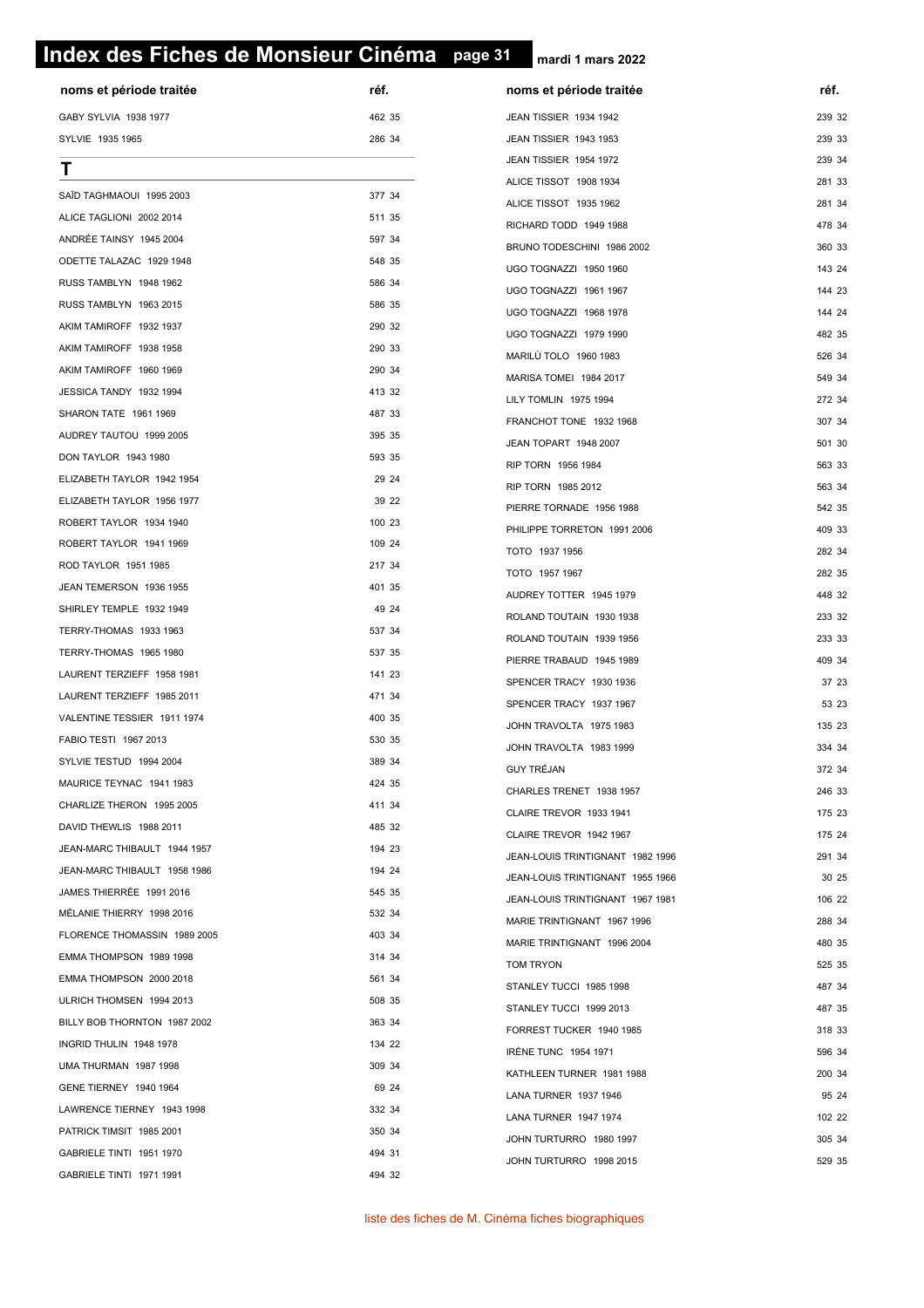# **page 31 Index des Fiches de Monsieur Cinéma page 31**

| noms et période traitée                            | réf.   | noms et période traitée          | réf.   |
|----------------------------------------------------|--------|----------------------------------|--------|
| GABY SYLVIA 1938 1977                              | 462 35 | JEAN TISSIER 1934 1942           | 239 32 |
| SYLVIE 1935 1965                                   | 286 34 | JEAN TISSIER 1943 1953           | 239 33 |
| Τ                                                  |        | JEAN TISSIER 1954 1972           | 239 34 |
| SAÏD TAGHMAOUI 1995 2003                           | 377 34 | ALICE TISSOT 1908 1934           | 281 33 |
| ALICE TAGLIONI 2002 2014                           | 511 35 | ALICE TISSOT 1935 1962           | 281 34 |
| ANDRÉE TAINSY 1945 2004                            | 597 34 | RICHARD TODD 1949 1988           | 478 34 |
| ODETTE TALAZAC 1929 1948                           | 548 35 | BRUNO TODESCHINI 1986 2002       | 360 33 |
|                                                    | 586 34 | UGO TOGNAZZI 1950 1960           | 143 24 |
| RUSS TAMBLYN 1948 1962<br>RUSS TAMBLYN 1963 2015   | 586 35 | UGO TOGNAZZI 1961 1967           | 144 23 |
|                                                    | 290 32 | UGO TOGNAZZI 1968 1978           | 144 24 |
| AKIM TAMIROFF 1932 1937<br>AKIM TAMIROFF 1938 1958 | 290 33 | UGO TOGNAZZI 1979 1990           | 482 35 |
|                                                    | 290 34 | MARILÙ TOLO 1960 1983            | 526 34 |
| AKIM TAMIROFF 1960 1969<br>JESSICA TANDY 1932 1994 | 413 32 | MARISA TOMEI 1984 2017           | 549 34 |
|                                                    | 487 33 | LILY TOMLIN 1975 1994            | 272 34 |
| SHARON TATE 1961 1969                              |        | FRANCHOT TONE 1932 1968          | 307 34 |
| AUDREY TAUTOU 1999 2005                            | 395 35 | JEAN TOPART 1948 2007            | 501 30 |
| DON TAYLOR 1943 1980                               | 593 35 | RIP TORN 1956 1984               | 563 33 |
| ELIZABETH TAYLOR 1942 1954                         | 29 24  | RIP TORN 1985 2012               | 563 34 |
| ELIZABETH TAYLOR 1956 1977                         | 39 22  | PIERRE TORNADE 1956 1988         | 542 35 |
| ROBERT TAYLOR 1934 1940                            | 100 23 | PHILIPPE TORRETON 1991 2006      | 409 33 |
| ROBERT TAYLOR 1941 1969                            | 109 24 | TOTO 1937 1956                   | 282 34 |
| ROD TAYLOR 1951 1985                               | 217 34 | TOTO 1957 1967                   | 282 35 |
| JEAN TEMERSON 1936 1955                            | 401 35 | AUDREY TOTTER 1945 1979          | 448 32 |
| SHIRLEY TEMPLE 1932 1949                           | 49 24  | ROLAND TOUTAIN 1930 1938         | 233 32 |
| TERRY-THOMAS 1933 1963                             | 537 34 | ROLAND TOUTAIN 1939 1956         | 233 33 |
| TERRY-THOMAS 1965 1980                             | 537 35 | PIERRE TRABAUD 1945 1989         | 409 34 |
| LAURENT TERZIEFF 1958 1981                         | 141 23 | SPENCER TRACY 1930 1936          | 37 23  |
| LAURENT TERZIEFF 1985 2011                         | 471 34 | SPENCER TRACY 1937 1967          | 53 23  |
| VALENTINE TESSIER 1911 1974                        | 400 35 | JOHN TRAVOLTA 1975 1983          | 135 23 |
| FABIO TESTI 1967 2013                              | 530 35 | JOHN TRAVOLTA 1983 1999          | 334 34 |
| SYLVIE TESTUD 1994 2004                            | 389 34 | GUY TRÉJAN                       | 372 34 |
| MAURICE TEYNAC 1941 1983                           | 424 35 | CHARLES TRENET 1938 1957         | 246 33 |
| CHARLIZE THERON 1995 2005                          | 411 34 | CLAIRE TREVOR 1933 1941          | 175 23 |
| DAVID THEWLIS 1988 2011                            | 485 32 | CLAIRE TREVOR 1942 1967          | 175 24 |
| JEAN-MARC THIBAULT 1944 1957                       | 194 23 | JEAN-LOUIS TRINTIGNANT 1982 1996 | 291 34 |
| JEAN-MARC THIBAULT 1958 1986                       | 194 24 | JEAN-LOUIS TRINTIGNANT 1955 1966 | 30 25  |
| JAMES THIERRÉE 1991 2016                           | 545 35 | JEAN-LOUIS TRINTIGNANT 1967 1981 | 106 22 |
| MÉLANIE THIERRY 1998 2016                          | 532 34 | MARIE TRINTIGNANT 1967 1996      | 288 34 |
| FLORENCE THOMASSIN 1989 2005                       | 403 34 | MARIE TRINTIGNANT 1996 2004      | 480 35 |
| EMMA THOMPSON 1989 1998                            | 314 34 | TOM TRYON                        | 525 35 |
| EMMA THOMPSON 2000 2018                            | 561 34 | STANLEY TUCCI 1985 1998          | 487 34 |
| ULRICH THOMSEN 1994 2013                           | 508 35 | STANLEY TUCCI 1999 2013          | 487 35 |
| BILLY BOB THORNTON 1987 2002                       | 363 34 | FORREST TUCKER 1940 1985         | 318 33 |
| INGRID THULIN 1948 1978                            | 134 22 | IRÈNE TUNC 1954 1971             | 596 34 |
| UMA THURMAN 1987 1998                              | 309 34 | KATHLEEN TURNER 1981 1988        | 200 34 |
| GENE TIERNEY 1940 1964                             | 69 24  | LANA TURNER 1937 1946            | 95 24  |
| LAWRENCE TIERNEY 1943 1998                         | 332 34 | LANA TURNER 1947 1974            | 102 22 |
| PATRICK TIMSIT 1985 2001                           | 350 34 | JOHN TURTURRO 1980 1997          | 305 34 |
| GABRIELE TINTI 1951 1970                           | 494 31 | JOHN TURTURRO 1998 2015          | 529 35 |
| GABRIELE TINTI 1971 1991                           | 494 32 |                                  |        |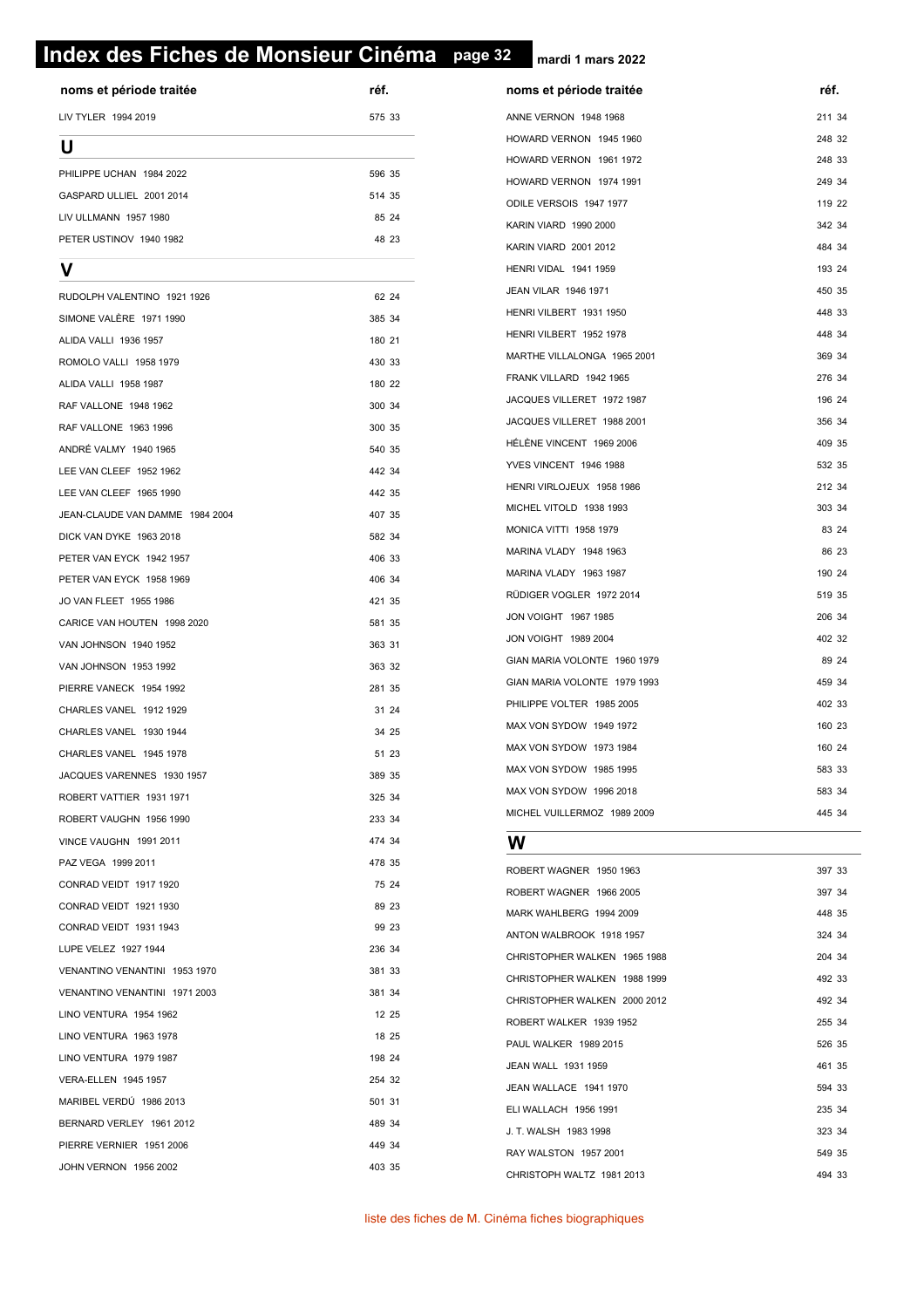# **page 32 Index des Fiches de Monsieur Cinéma page 32**

**mardi 1 mars 2022**

| noms et période traitée         | réf.   | noms et période traitée      | réf.  |
|---------------------------------|--------|------------------------------|-------|
| LIV TYLER 1994 2019             | 575 33 | ANNE VERNON 1948 1968        | 211:  |
| U                               |        | HOWARD VERNON 1945 1960      | 248   |
| PHILIPPE UCHAN 1984 2022        | 596 35 | HOWARD VERNON 1961 1972      | 248   |
| GASPARD ULLIEL 2001 2014        | 514 35 | HOWARD VERNON 1974 1991      | 249   |
| LIV ULLMANN 1957 1980           | 85 24  | ODILE VERSOIS 1947 1977      | 119   |
| PETER USTINOV 1940 1982         | 48 23  | KARIN VIARD 1990 2000        | 342   |
|                                 |        | <b>KARIN VIARD 2001 2012</b> | 484   |
| ν                               |        | HENRI VIDAL 1941 1959        | 193   |
| RUDOLPH VALENTINO 1921 1926     | 62 24  | JEAN VILAR 1946 1971         | 450   |
| SIMONE VALERE 1971 1990         | 385 34 | HENRI VILBERT 1931 1950      | 448   |
| ALIDA VALLI 1936 1957           | 180 21 | HENRI VILBERT 1952 1978      | 448   |
| ROMOLO VALLI 1958 1979          | 430 33 | MARTHE VILLALONGA 1965 2001  | 369   |
| ALIDA VALLI 1958 1987           | 180 22 | FRANK VILLARD 1942 1965      | 276 : |
| RAF VALLONE 1948 1962           | 300 34 | JACQUES VILLERET 1972 1987   | 196   |
| RAF VALLONE 1963 1996           | 300 35 | JACQUES VILLERET 1988 2001   | 356   |
| ANDRÉ VALMY 1940 1965           | 540 35 | HÉLÈNE VINCENT 1969 2006     | 409   |
| LEE VAN CLEEF 1952 1962         | 442 34 | YVES VINCENT 1946 1988       | 532   |
| LEE VAN CLEEF 1965 1990         | 442 35 | HENRI VIRLOJEUX 1958 1986    | 212:  |
| JEAN-CLAUDE VAN DAMME 1984 2004 | 407 35 | MICHEL VITOLD 1938 1993      | 303   |
| DICK VAN DYKE 1963 2018         | 582 34 | MONICA VITTI 1958 1979       | 83    |
| PETER VAN EYCK 1942 1957        | 406 33 | MARINA VLADY 1948 1963       | 86    |
| PETER VAN EYCK 1958 1969        | 406 34 | MARINA VLADY 1963 1987       | 190   |
| JO VAN FLEET 1955 1986          | 421 35 | RÜDIGER VOGLER 1972 2014     | 519   |
| CARICE VAN HOUTEN 1998 2020     | 581 35 | <b>JON VOIGHT 1967 1985</b>  | 206 : |
| VAN JOHNSON 1940 1952           | 363 31 | JON VOIGHT 1989 2004         | 402   |
| VAN JOHNSON 1953 1992           | 363 32 | GIAN MARIA VOLONTE 1960 1979 | 89    |
| PIERRE VANECK 1954 1992         | 281 35 | GIAN MARIA VOLONTE 1979 1993 | 459   |
| CHARLES VANEL 1912 1929         | 31 24  | PHILIPPE VOLTER 1985 2005    | 402   |
| CHARLES VANEL 1930 1944         | 34 25  | MAX VON SYDOW 1949 1972      | 160:  |
| CHARLES VANEL 1945 1978         | 51 23  | MAX VON SYDOW 1973 1984      | 160   |
| JACQUES VARENNES 1930 1957      | 389 35 | MAX VON SYDOW 1985 1995      | 583   |
| ROBERT VATTIER 1931 1971        | 325 34 | MAX VON SYDOW 1996 2018      | 583   |
| ROBERT VAUGHN 1956 1990         | 233 34 | MICHEL VUILLERMOZ 1989 2009  | 445   |
| VINCE VAUGHN 1991 2011          | 474 34 | W                            |       |
| PAZ VEGA 1999 2011              | 478 35 | ROBERT WAGNER 1950 1963      | 397   |
| CONRAD VEIDT 1917 1920          | 75 24  | ROBERT WAGNER 1966 2005      | 397   |
| CONRAD VEIDT 1921 1930          | 89 23  | MARK WAHLBERG 1994 2009      | 448   |
| CONRAD VEIDT 1931 1943          | 99 23  | ANTON WALBROOK 1918 1957     | 324   |
| LUPE VELEZ 1927 1944            | 236 34 | CHRISTOPHER WALKEN 1965 1988 | 204   |
| VENANTINO VENANTINI 1953 1970   | 381 33 | CHRISTOPHER WALKEN 1988 1999 | 492   |
| VENANTINO VENANTINI 1971 2003   | 381 34 | CHRISTOPHER WALKEN 2000 2012 | 492   |
| LINO VENTURA 1954 1962          | 12 25  | ROBERT WALKER 1939 1952      | 255   |
| LINO VENTURA 1963 1978          | 18 25  | PAUL WALKER 1989 2015        | 526 3 |
| LINO VENTURA 1979 1987          | 198 24 | JEAN WALL 1931 1959          | 461   |
| VERA-ELLEN 1945 1957            | 254 32 | JEAN WALLACE 1941 1970       | 594   |
| MARIBEL VERDU 1986 2013         | 501 31 | ELI WALLACH 1956 1991        | 235   |
| BERNARD VERLEY 1961 2012        | 489 34 | J. T. WALSH 1983 1998        | 323   |
| PIERRE VERNIER 1951 2006        | 449 34 | RAY WALSTON 1957 2001        | 549   |
| JOHN VERNON 1956 2002           | 403 35 | CHRISTOPH WALTZ 1981 2013    | 494   |
|                                 |        |                              |       |

| noms et période traitée       | réf.   |
|-------------------------------|--------|
| <b>ANNE VERNON 1948 1968</b>  | 211 34 |
| HOWARD VERNON 1945 1960       | 248 32 |
| HOWARD VERNON 1961 1972       | 248 33 |
| HOWARD VERNON 1974 1991       | 249 34 |
| ODILE VERSOIS 1947 1977       | 119 22 |
| KARIN VIARD 1990 2000         | 342 34 |
| <b>KARIN VIARD 2001 2012</b>  | 484 34 |
| HENRI VIDAL 1941 1959         | 193 24 |
| JEAN VILAR 1946 1971          | 450 35 |
| HENRI VILBERT 1931 1950       | 448 33 |
| HENRI VILBERT 1952 1978       | 448 34 |
| MARTHE VILLALONGA 1965 2001   | 369 34 |
| FRANK VILLARD 1942 1965       | 276 34 |
| JACQUES VILLERET 1972 1987    | 196 24 |
| JACQUES VILLERET 1988 2001    | 356 34 |
| HÉLÈNE VINCENT 1969 2006      | 409 35 |
| YVES VINCENT 1946 1988        | 532 35 |
| HENRI VIRLOJEUX 1958 1986     | 212 34 |
| MICHEL VITOLD 1938 1993       | 303 34 |
| <b>MONICA VITTI 1958 1979</b> | 83 24  |
| MARINA VLADY 1948 1963        | 86 23  |
| MARINA VLADY 1963 1987        | 190 24 |
| RÜDIGER VOGLER 1972 2014      | 519 35 |
| JON VOIGHT 1967 1985          | 206 34 |
| JON VOIGHT 1989 2004          | 402 32 |
| GIAN MARIA VOLONTE 1960 1979  | 89 24  |
| GIAN MARIA VOLONTE 1979 1993  | 459 34 |
| PHILIPPE VOLTER 1985 2005     | 402 33 |
| MAX VON SYDOW 1949 1972       | 160 23 |
| MAX VON SYDOW 1973 1984       | 160 24 |
| MAX VON SYDOW 1985 1995       | 583 33 |
| MAX VON SYDOW 1996 2018       | 583 34 |
| MICHEL VUILLERMOZ 1989 2009   | 445 34 |

#### **W**

| ROBERT WAGNER 1950 1963      | 397 33 |  |
|------------------------------|--------|--|
| ROBERT WAGNER 1966 2005      | 397 34 |  |
| MARK WAHLBERG 1994 2009      | 448 35 |  |
| ANTON WALBROOK 1918 1957     | 324 34 |  |
| CHRISTOPHER WALKEN 1965 1988 | 204 34 |  |
| CHRISTOPHER WALKEN 1988 1999 | 492 33 |  |
| CHRISTOPHER WALKEN 2000 2012 | 492 34 |  |
| ROBERT WALKER 1939 1952      | 255 34 |  |
| PAUL WALKER 1989 2015        | 526 35 |  |
| JEAN WALL 1931 1959          | 461 35 |  |
| JEAN WALLACE 1941 1970       | 594 33 |  |
| ELI WALLACH 1956 1991        | 235 34 |  |
| J. T. WALSH 1983 1998        | 323 34 |  |
| RAY WALSTON 1957 2001        | 549 35 |  |
| CHRISTOPH WALTZ 1981 2013    | 494 33 |  |

liste des fiches de M. Cinéma fiches biographiques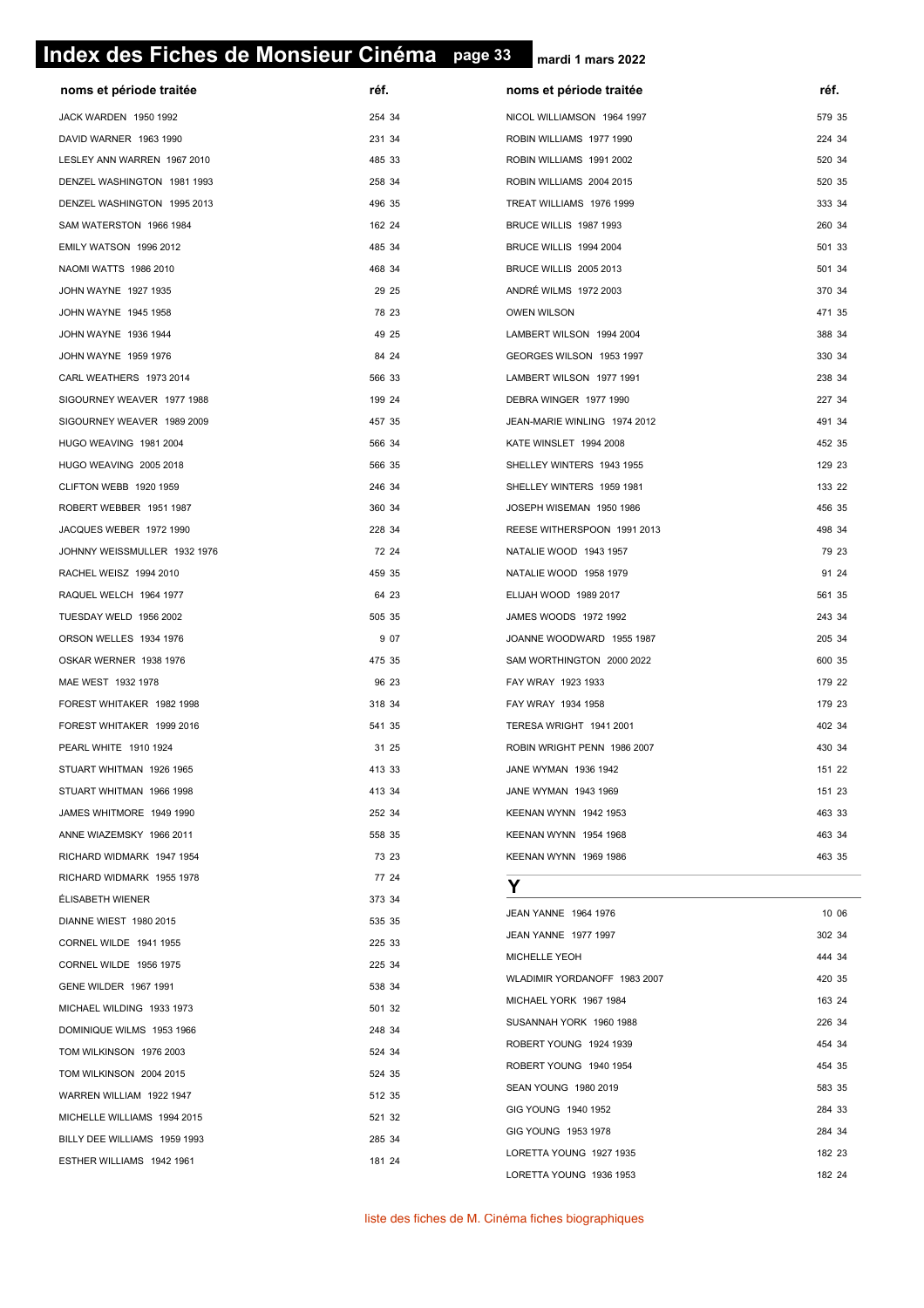# **page 33 Index des Fiches de Monsieur Cinéma page 33**

| noms et période traitée      | réf.   | noms et période traitée       | réf.   |
|------------------------------|--------|-------------------------------|--------|
| JACK WARDEN 1950 1992        | 254 34 | NICOL WILLIAMSON 1964 1997    | 579 35 |
| DAVID WARNER 1963 1990       | 231 34 | ROBIN WILLIAMS 1977 1990      | 224 34 |
| LESLEY ANN WARREN 1967 2010  | 485 33 | ROBIN WILLIAMS 1991 2002      | 520 34 |
| DENZEL WASHINGTON 1981 1993  | 258 34 | ROBIN WILLIAMS 2004 2015      | 520 35 |
| DENZEL WASHINGTON 1995 2013  | 496 35 | TREAT WILLIAMS 1976 1999      | 333 34 |
| SAM WATERSTON 1966 1984      | 162 24 | BRUCE WILLIS 1987 1993        | 260 34 |
| EMILY WATSON 1996 2012       | 485 34 | BRUCE WILLIS 1994 2004        | 501 33 |
| NAOMI WATTS 1986 2010        | 468 34 | <b>BRUCE WILLIS 2005 2013</b> | 501 34 |
| JOHN WAYNE 1927 1935         | 29 25  | ANDRÉ WILMS 1972 2003         | 370 34 |
| JOHN WAYNE 1945 1958         | 78 23  | <b>OWEN WILSON</b>            | 471 35 |
| JOHN WAYNE 1936 1944         | 49 25  | LAMBERT WILSON 1994 2004      | 388 34 |
| JOHN WAYNE 1959 1976         | 84 24  | GEORGES WILSON 1953 1997      | 330 34 |
| CARL WEATHERS 1973 2014      | 566 33 | LAMBERT WILSON 1977 1991      | 238 34 |
| SIGOURNEY WEAVER 1977 1988   | 199 24 | DEBRA WINGER 1977 1990        | 227 34 |
| SIGOURNEY WEAVER 1989 2009   | 457 35 | JEAN-MARIE WINLING 1974 2012  | 491 34 |
| HUGO WEAVING 1981 2004       | 566 34 | KATE WINSLET 1994 2008        | 452 35 |
| HUGO WEAVING 2005 2018       | 566 35 | SHELLEY WINTERS 1943 1955     | 129 23 |
| CLIFTON WEBB 1920 1959       | 246 34 | SHELLEY WINTERS 1959 1981     | 133 22 |
| ROBERT WEBBER 1951 1987      | 360 34 | JOSEPH WISEMAN 1950 1986      | 456 35 |
| JACQUES WEBER 1972 1990      | 228 34 | REESE WITHERSPOON 1991 2013   | 498 34 |
| JOHNNY WEISSMULLER 1932 1976 | 72 24  | NATALIE WOOD 1943 1957        | 79 23  |
| RACHEL WEISZ 1994 2010       | 459 35 | NATALIE WOOD 1958 1979        | 91 24  |
| RAQUEL WELCH 1964 1977       | 64 23  | ELIJAH WOOD 1989 2017         | 561 35 |
| TUESDAY WELD 1956 2002       | 505 35 | JAMES WOODS 1972 1992         | 243 34 |
| ORSON WELLES 1934 1976       | 9 0 7  | JOANNE WOODWARD 1955 1987     | 205 34 |
| OSKAR WERNER 1938 1976       | 475 35 | SAM WORTHINGTON 2000 2022     | 600 35 |
| MAE WEST 1932 1978           | 96 23  | FAY WRAY 1923 1933            | 179 22 |
| FOREST WHITAKER 1982 1998    | 318 34 | FAY WRAY 1934 1958            | 179 23 |
| FOREST WHITAKER 1999 2016    | 541 35 | TERESA WRIGHT 1941 2001       | 402 34 |
| PEARL WHITE 1910 1924        | 31 25  | ROBIN WRIGHT PENN 1986 2007   | 430 34 |
| STUART WHITMAN 1926 1965     | 413 33 | JANE WYMAN 1936 1942          | 151 22 |
| STUART WHITMAN 1966 1998     | 413 34 | JANE WYMAN 1943 1969          | 151 23 |
| JAMES WHITMORE 1949 1990     | 252 34 | KEENAN WYNN 1942 1953         | 463 33 |
| ANNE WIAZEMSKY 1966 2011     | 558 35 | KEENAN WYNN 1954 1968         | 463 34 |
| RICHARD WIDMARK 1947 1954    | 73 23  | KEENAN WYNN 1969 1986         | 463 35 |
| RICHARD WIDMARK 1955 1978    | 77 24  | Y                             |        |
| ÉLISABETH WIENER             | 373 34 | JEAN YANNE 1964 1976          | 10 06  |
| DIANNE WIEST 1980 2015       | 535 35 | JEAN YANNE 1977 1997          | 302 34 |
| CORNEL WILDE 1941 1955       | 225 33 | MICHELLE YEOH                 | 444 34 |
| CORNEL WILDE 1956 1975       | 225 34 | WLADIMIR YORDANOFF 1983 2007  | 420 35 |
| GENE WILDER 1967 1991        | 538 34 | MICHAEL YORK 1967 1984        | 163 24 |
| MICHAEL WILDING 1933 1973    | 501 32 | SUSANNAH YORK 1960 1988       | 226 34 |
| DOMINIQUE WILMS 1953 1966    | 248 34 | ROBERT YOUNG 1924 1939        | 454 34 |
| TOM WILKINSON 1976 2003      | 524 34 | ROBERT YOUNG 1940 1954        | 454 35 |
| TOM WILKINSON 2004 2015      | 524 35 | SEAN YOUNG 1980 2019          | 583 35 |
| WARREN WILLIAM 1922 1947     | 512 35 | GIG YOUNG 1940 1952           | 284 33 |
| MICHELLE WILLIAMS 1994 2015  | 521 32 | GIG YOUNG 1953 1978           | 284 34 |
| BILLY DEE WILLIAMS 1959 1993 | 285 34 | LORETTA YOUNG 1927 1935       | 182 23 |
| ESTHER WILLIAMS 1942 1961    | 181 24 | LORETTA YOUNG 1936 1953       | 182 24 |
|                              |        |                               |        |